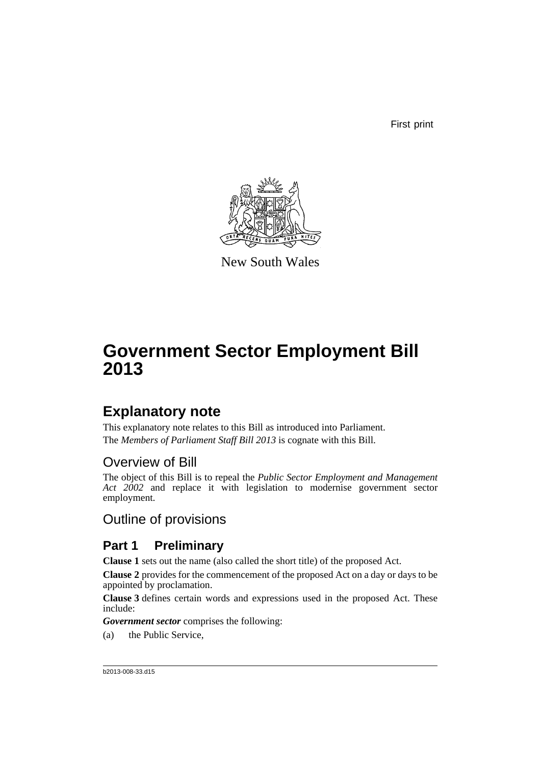First print



New South Wales

# **Government Sector Employment Bill 2013**

# **Explanatory note**

This explanatory note relates to this Bill as introduced into Parliament. The *Members of Parliament Staff Bill 2013* is cognate with this Bill.

# Overview of Bill

The object of this Bill is to repeal the *Public Sector Employment and Management* Act 2002 and replace it with legislation to modernise government sector employment.

Outline of provisions

# **Part 1 Preliminary**

**Clause 1** sets out the name (also called the short title) of the proposed Act.

**Clause 2** provides for the commencement of the proposed Act on a day or days to be appointed by proclamation.

**Clause 3** defines certain words and expressions used in the proposed Act. These include:

*Government sector* comprises the following:

(a) the Public Service,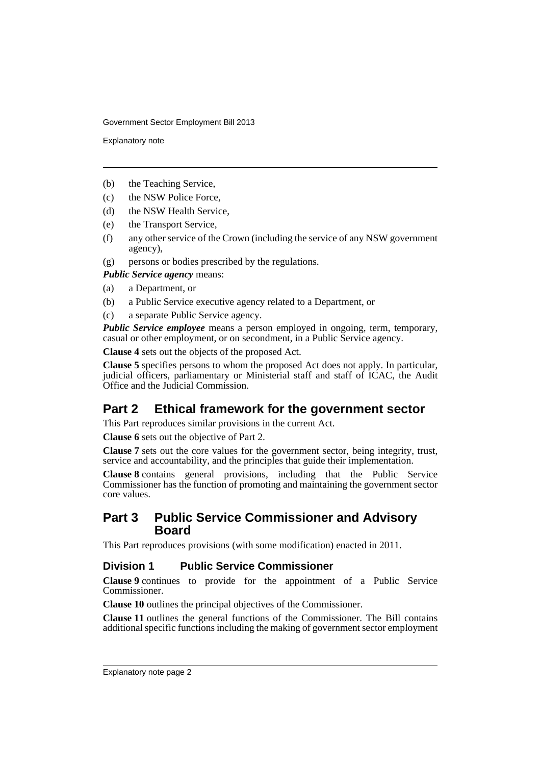Explanatory note

- (b) the Teaching Service,
- (c) the NSW Police Force,
- (d) the NSW Health Service,
- (e) the Transport Service,
- (f) any other service of the Crown (including the service of any NSW government agency),
- (g) persons or bodies prescribed by the regulations.

*Public Service agency* means:

- (a) a Department, or
- (b) a Public Service executive agency related to a Department, or
- (c) a separate Public Service agency.

*Public Service employee* means a person employed in ongoing, term, temporary, casual or other employment, or on secondment, in a Public Service agency.

**Clause 4** sets out the objects of the proposed Act.

**Clause 5** specifies persons to whom the proposed Act does not apply. In particular, judicial officers, parliamentary or Ministerial staff and staff of ICAC, the Audit Office and the Judicial Commission.

# **Part 2 Ethical framework for the government sector**

This Part reproduces similar provisions in the current Act.

**Clause 6** sets out the objective of Part 2.

**Clause 7** sets out the core values for the government sector, being integrity, trust, service and accountability, and the principles that guide their implementation.

**Clause 8** contains general provisions, including that the Public Service Commissioner has the function of promoting and maintaining the government sector core values.

#### **Part 3 Public Service Commissioner and Advisory Board**

This Part reproduces provisions (with some modification) enacted in 2011.

#### **Division 1 Public Service Commissioner**

**Clause 9** continues to provide for the appointment of a Public Service Commissioner.

**Clause 10** outlines the principal objectives of the Commissioner.

**Clause 11** outlines the general functions of the Commissioner. The Bill contains additional specific functions including the making of government sector employment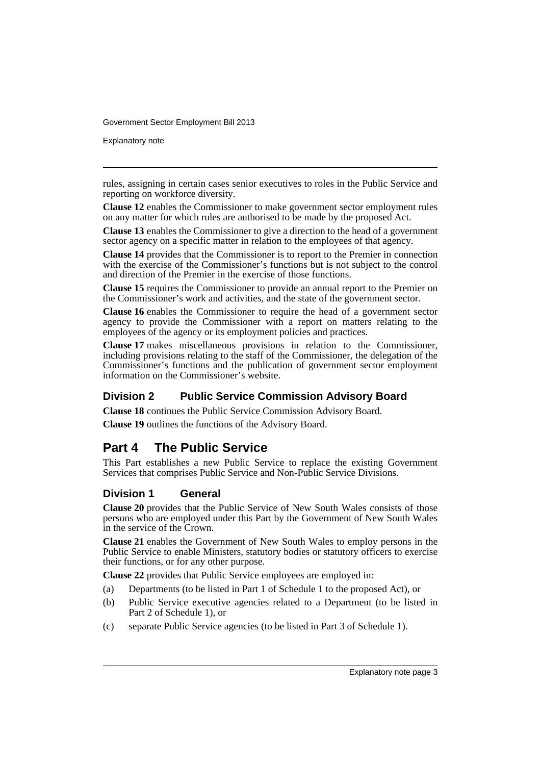Explanatory note

rules, assigning in certain cases senior executives to roles in the Public Service and reporting on workforce diversity.

**Clause 12** enables the Commissioner to make government sector employment rules on any matter for which rules are authorised to be made by the proposed Act.

**Clause 13** enables the Commissioner to give a direction to the head of a government sector agency on a specific matter in relation to the employees of that agency.

**Clause 14** provides that the Commissioner is to report to the Premier in connection with the exercise of the Commissioner's functions but is not subject to the control and direction of the Premier in the exercise of those functions.

**Clause 15** requires the Commissioner to provide an annual report to the Premier on the Commissioner's work and activities, and the state of the government sector.

**Clause 16** enables the Commissioner to require the head of a government sector agency to provide the Commissioner with a report on matters relating to the employees of the agency or its employment policies and practices.

**Clause 17** makes miscellaneous provisions in relation to the Commissioner, including provisions relating to the staff of the Commissioner, the delegation of the Commissioner's functions and the publication of government sector employment information on the Commissioner's website.

#### **Division 2 Public Service Commission Advisory Board**

**Clause 18** continues the Public Service Commission Advisory Board.

**Clause 19** outlines the functions of the Advisory Board.

## **Part 4 The Public Service**

This Part establishes a new Public Service to replace the existing Government Services that comprises Public Service and Non-Public Service Divisions.

#### **Division 1 General**

**Clause 20** provides that the Public Service of New South Wales consists of those persons who are employed under this Part by the Government of New South Wales in the service of the Crown.

**Clause 21** enables the Government of New South Wales to employ persons in the Public Service to enable Ministers, statutory bodies or statutory officers to exercise their functions, or for any other purpose.

**Clause 22** provides that Public Service employees are employed in:

- (a) Departments (to be listed in Part 1 of Schedule 1 to the proposed Act), or
- (b) Public Service executive agencies related to a Department (to be listed in Part 2 of Schedule 1), or
- (c) separate Public Service agencies (to be listed in Part 3 of Schedule 1).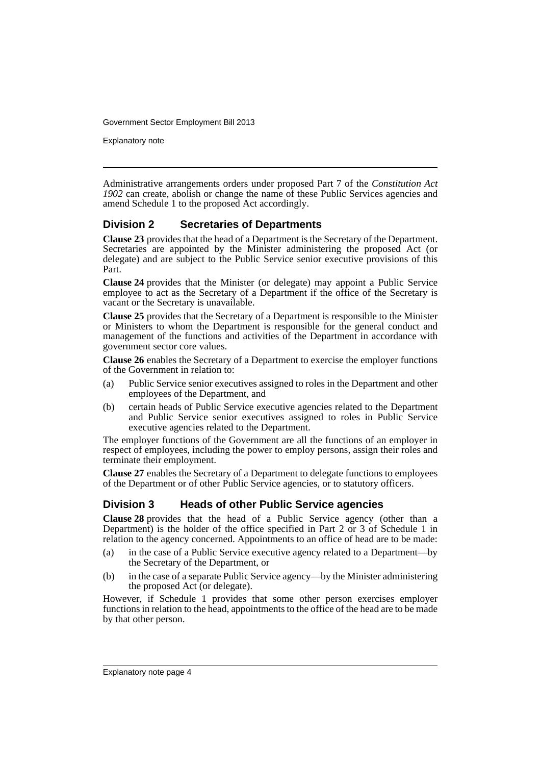Explanatory note

Administrative arrangements orders under proposed Part 7 of the *Constitution Act 1902* can create, abolish or change the name of these Public Services agencies and amend Schedule 1 to the proposed Act accordingly.

#### **Division 2 Secretaries of Departments**

**Clause 23** provides that the head of a Department is the Secretary of the Department. Secretaries are appointed by the Minister administering the proposed Act (or delegate) and are subject to the Public Service senior executive provisions of this Part.

**Clause 24** provides that the Minister (or delegate) may appoint a Public Service employee to act as the Secretary of a Department if the office of the Secretary is vacant or the Secretary is unavailable.

**Clause 25** provides that the Secretary of a Department is responsible to the Minister or Ministers to whom the Department is responsible for the general conduct and management of the functions and activities of the Department in accordance with government sector core values.

**Clause 26** enables the Secretary of a Department to exercise the employer functions of the Government in relation to:

- (a) Public Service senior executives assigned to roles in the Department and other employees of the Department, and
- (b) certain heads of Public Service executive agencies related to the Department and Public Service senior executives assigned to roles in Public Service executive agencies related to the Department.

The employer functions of the Government are all the functions of an employer in respect of employees, including the power to employ persons, assign their roles and terminate their employment.

**Clause 27** enables the Secretary of a Department to delegate functions to employees of the Department or of other Public Service agencies, or to statutory officers.

#### **Division 3 Heads of other Public Service agencies**

**Clause 28** provides that the head of a Public Service agency (other than a Department) is the holder of the office specified in Part 2 or 3 of Schedule 1 in relation to the agency concerned. Appointments to an office of head are to be made:

- (a) in the case of a Public Service executive agency related to a Department—by the Secretary of the Department, or
- (b) in the case of a separate Public Service agency—by the Minister administering the proposed Act (or delegate).

However, if Schedule 1 provides that some other person exercises employer functions in relation to the head, appointments to the office of the head are to be made by that other person.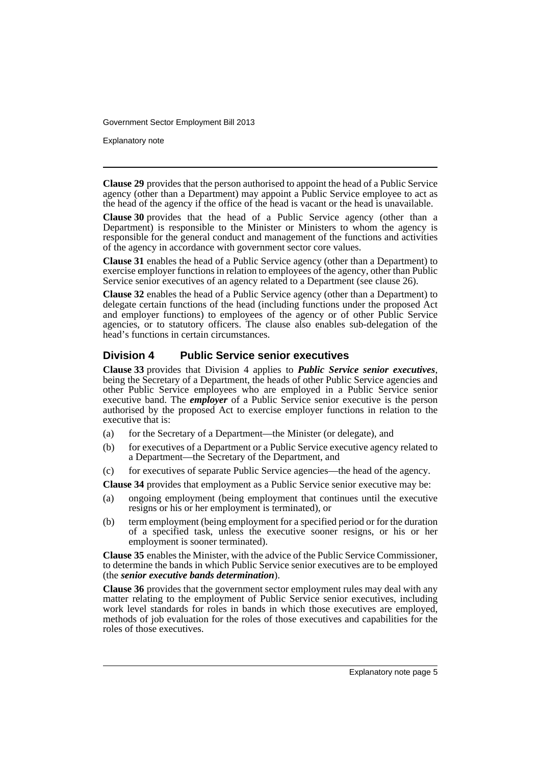Explanatory note

**Clause 29** provides that the person authorised to appoint the head of a Public Service agency (other than a Department) may appoint a Public Service employee to act as the head of the agency if the office of the head is vacant or the head is unavailable.

**Clause 30** provides that the head of a Public Service agency (other than a Department) is responsible to the Minister or Ministers to whom the agency is responsible for the general conduct and management of the functions and activities of the agency in accordance with government sector core values.

**Clause 31** enables the head of a Public Service agency (other than a Department) to exercise employer functions in relation to employees of the agency, other than Public Service senior executives of an agency related to a Department (see clause 26).

**Clause 32** enables the head of a Public Service agency (other than a Department) to delegate certain functions of the head (including functions under the proposed Act and employer functions) to employees of the agency or of other Public Service agencies, or to statutory officers. The clause also enables sub-delegation of the head's functions in certain circumstances.

#### **Division 4 Public Service senior executives**

**Clause 33** provides that Division 4 applies to *Public Service senior executives*, being the Secretary of a Department, the heads of other Public Service agencies and other Public Service employees who are employed in a Public Service senior executive band. The *employer* of a Public Service senior executive is the person authorised by the proposed Act to exercise employer functions in relation to the executive that is:

- (a) for the Secretary of a Department—the Minister (or delegate), and
- (b) for executives of a Department or a Public Service executive agency related to a Department—the Secretary of the Department, and
- (c) for executives of separate Public Service agencies—the head of the agency.

**Clause 34** provides that employment as a Public Service senior executive may be:

- (a) ongoing employment (being employment that continues until the executive resigns or his or her employment is terminated), or
- (b) term employment (being employment for a specified period or for the duration of a specified task, unless the executive sooner resigns, or his or her employment is sooner terminated).

**Clause 35** enables the Minister, with the advice of the Public Service Commissioner, to determine the bands in which Public Service senior executives are to be employed (the *senior executive bands determination*).

**Clause 36** provides that the government sector employment rules may deal with any matter relating to the employment of Public Service senior executives, including work level standards for roles in bands in which those executives are employed, methods of job evaluation for the roles of those executives and capabilities for the roles of those executives.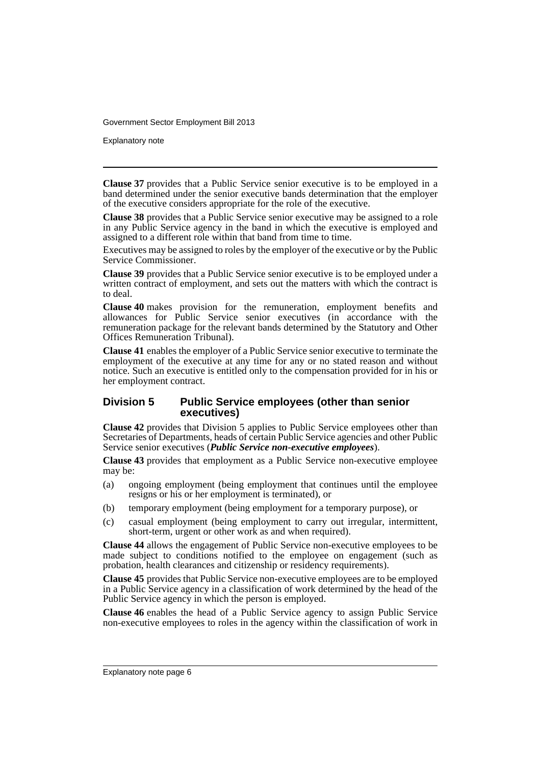Explanatory note

**Clause 37** provides that a Public Service senior executive is to be employed in a band determined under the senior executive bands determination that the employer of the executive considers appropriate for the role of the executive.

**Clause 38** provides that a Public Service senior executive may be assigned to a role in any Public Service agency in the band in which the executive is employed and assigned to a different role within that band from time to time.

Executives may be assigned to roles by the employer of the executive or by the Public Service Commissioner.

**Clause 39** provides that a Public Service senior executive is to be employed under a written contract of employment, and sets out the matters with which the contract is to deal.

**Clause 40** makes provision for the remuneration, employment benefits and allowances for Public Service senior executives (in accordance with the remuneration package for the relevant bands determined by the Statutory and Other Offices Remuneration Tribunal).

**Clause 41** enables the employer of a Public Service senior executive to terminate the employment of the executive at any time for any or no stated reason and without notice. Such an executive is entitled only to the compensation provided for in his or her employment contract.

#### **Division 5 Public Service employees (other than senior executives)**

**Clause 42** provides that Division 5 applies to Public Service employees other than Secretaries of Departments, heads of certain Public Service agencies and other Public Service senior executives (*Public Service non-executive employees*).

**Clause 43** provides that employment as a Public Service non-executive employee may be:

- (a) ongoing employment (being employment that continues until the employee resigns or his or her employment is terminated), or
- (b) temporary employment (being employment for a temporary purpose), or
- (c) casual employment (being employment to carry out irregular, intermittent, short-term, urgent or other work as and when required).

**Clause 44** allows the engagement of Public Service non-executive employees to be made subject to conditions notified to the employee on engagement (such as probation, health clearances and citizenship or residency requirements).

**Clause 45** provides that Public Service non-executive employees are to be employed in a Public Service agency in a classification of work determined by the head of the Public Service agency in which the person is employed.

**Clause 46** enables the head of a Public Service agency to assign Public Service non-executive employees to roles in the agency within the classification of work in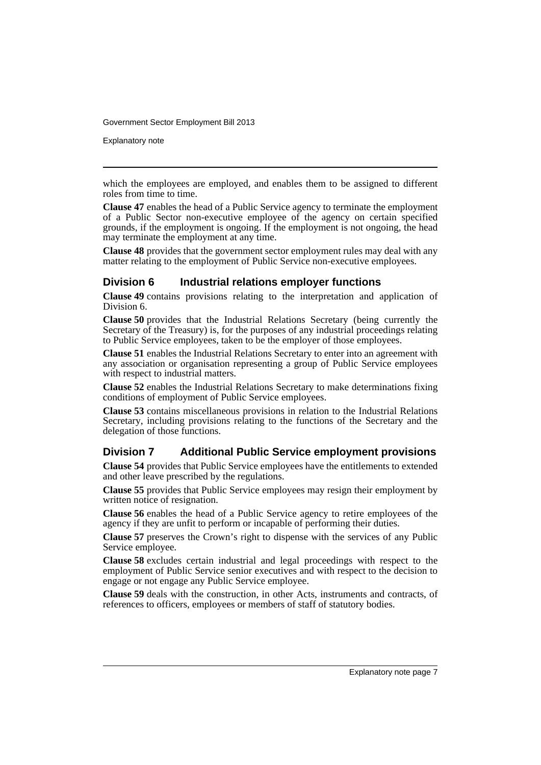Explanatory note

which the employees are employed, and enables them to be assigned to different roles from time to time.

**Clause 47** enables the head of a Public Service agency to terminate the employment of a Public Sector non-executive employee of the agency on certain specified grounds, if the employment is ongoing. If the employment is not ongoing, the head may terminate the employment at any time.

**Clause 48** provides that the government sector employment rules may deal with any matter relating to the employment of Public Service non-executive employees.

#### **Division 6 Industrial relations employer functions**

**Clause 49** contains provisions relating to the interpretation and application of Division 6.

**Clause 50** provides that the Industrial Relations Secretary (being currently the Secretary of the Treasury) is, for the purposes of any industrial proceedings relating to Public Service employees, taken to be the employer of those employees.

**Clause 51** enables the Industrial Relations Secretary to enter into an agreement with any association or organisation representing a group of Public Service employees with respect to industrial matters.

**Clause 52** enables the Industrial Relations Secretary to make determinations fixing conditions of employment of Public Service employees.

**Clause 53** contains miscellaneous provisions in relation to the Industrial Relations Secretary, including provisions relating to the functions of the Secretary and the delegation of those functions.

#### **Division 7 Additional Public Service employment provisions**

**Clause 54** provides that Public Service employees have the entitlements to extended and other leave prescribed by the regulations.

**Clause 55** provides that Public Service employees may resign their employment by written notice of resignation.

**Clause 56** enables the head of a Public Service agency to retire employees of the agency if they are unfit to perform or incapable of performing their duties.

**Clause 57** preserves the Crown's right to dispense with the services of any Public Service employee.

**Clause 58** excludes certain industrial and legal proceedings with respect to the employment of Public Service senior executives and with respect to the decision to engage or not engage any Public Service employee.

**Clause 59** deals with the construction, in other Acts, instruments and contracts, of references to officers, employees or members of staff of statutory bodies.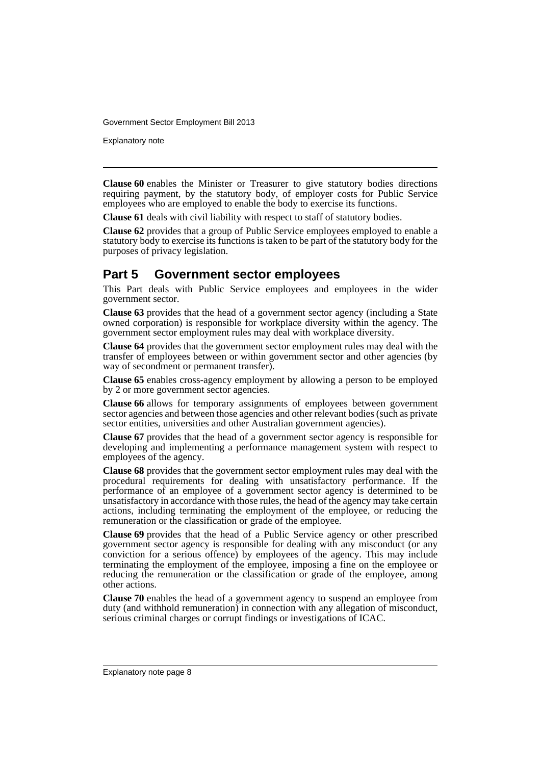Explanatory note

**Clause 60** enables the Minister or Treasurer to give statutory bodies directions requiring payment, by the statutory body, of employer costs for Public Service employees who are employed to enable the body to exercise its functions.

**Clause 61** deals with civil liability with respect to staff of statutory bodies.

**Clause 62** provides that a group of Public Service employees employed to enable a statutory body to exercise its functions is taken to be part of the statutory body for the purposes of privacy legislation.

## **Part 5 Government sector employees**

This Part deals with Public Service employees and employees in the wider government sector.

**Clause 63** provides that the head of a government sector agency (including a State owned corporation) is responsible for workplace diversity within the agency. The government sector employment rules may deal with workplace diversity.

**Clause 64** provides that the government sector employment rules may deal with the transfer of employees between or within government sector and other agencies (by way of secondment or permanent transfer).

**Clause 65** enables cross-agency employment by allowing a person to be employed by 2 or more government sector agencies.

**Clause 66** allows for temporary assignments of employees between government sector agencies and between those agencies and other relevant bodies (such as private sector entities, universities and other Australian government agencies).

**Clause 67** provides that the head of a government sector agency is responsible for developing and implementing a performance management system with respect to employees of the agency.

**Clause 68** provides that the government sector employment rules may deal with the procedural requirements for dealing with unsatisfactory performance. If the performance of an employee of a government sector agency is determined to be unsatisfactory in accordance with those rules, the head of the agency may take certain actions, including terminating the employment of the employee, or reducing the remuneration or the classification or grade of the employee.

**Clause 69** provides that the head of a Public Service agency or other prescribed government sector agency is responsible for dealing with any misconduct (or any conviction for a serious offence) by employees of the agency. This may include terminating the employment of the employee, imposing a fine on the employee or reducing the remuneration or the classification or grade of the employee, among other actions.

**Clause 70** enables the head of a government agency to suspend an employee from duty (and withhold remuneration) in connection with any allegation of misconduct, serious criminal charges or corrupt findings or investigations of ICAC.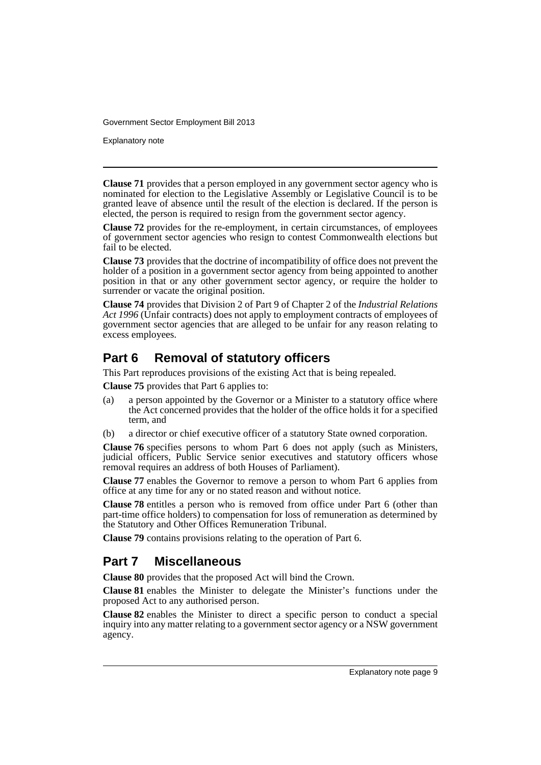Explanatory note

**Clause 71** provides that a person employed in any government sector agency who is nominated for election to the Legislative Assembly or Legislative Council is to be granted leave of absence until the result of the election is declared. If the person is elected, the person is required to resign from the government sector agency.

**Clause 72** provides for the re-employment, in certain circumstances, of employees of government sector agencies who resign to contest Commonwealth elections but fail to be elected.

**Clause 73** provides that the doctrine of incompatibility of office does not prevent the holder of a position in a government sector agency from being appointed to another position in that or any other government sector agency, or require the holder to surrender or vacate the original position.

**Clause 74** provides that Division 2 of Part 9 of Chapter 2 of the *Industrial Relations* Act 1996 (Unfair contracts) does not apply to employment contracts of employees of government sector agencies that are alleged to be unfair for any reason relating to excess employees.

# **Part 6 Removal of statutory officers**

This Part reproduces provisions of the existing Act that is being repealed.

**Clause 75** provides that Part 6 applies to:

- (a) a person appointed by the Governor or a Minister to a statutory office where the Act concerned provides that the holder of the office holds it for a specified term, and
- (b) a director or chief executive officer of a statutory State owned corporation.

**Clause 76** specifies persons to whom Part 6 does not apply (such as Ministers, judicial officers, Public Service senior executives and statutory officers whose removal requires an address of both Houses of Parliament).

**Clause 77** enables the Governor to remove a person to whom Part 6 applies from office at any time for any or no stated reason and without notice.

**Clause 78** entitles a person who is removed from office under Part 6 (other than part-time office holders) to compensation for loss of remuneration as determined by the Statutory and Other Offices Remuneration Tribunal.

**Clause 79** contains provisions relating to the operation of Part 6.

# **Part 7 Miscellaneous**

**Clause 80** provides that the proposed Act will bind the Crown.

**Clause 81** enables the Minister to delegate the Minister's functions under the proposed Act to any authorised person.

**Clause 82** enables the Minister to direct a specific person to conduct a special inquiry into any matter relating to a government sector agency or a NSW government agency.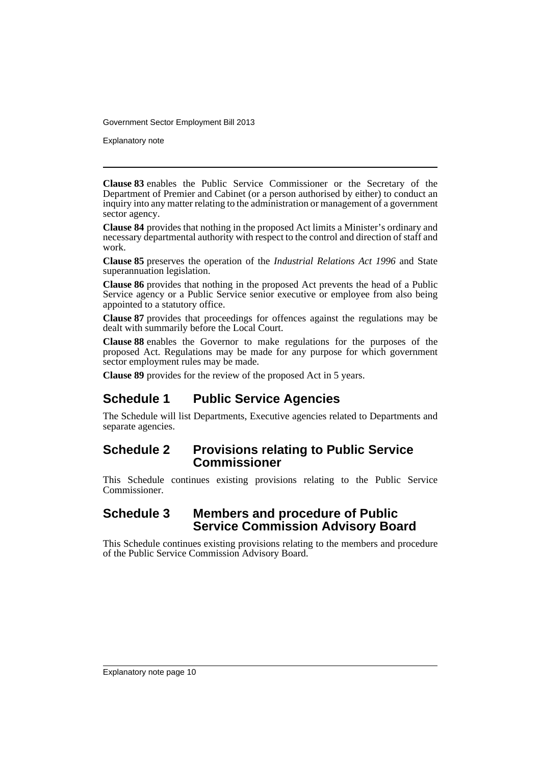Explanatory note

**Clause 83** enables the Public Service Commissioner or the Secretary of the Department of Premier and Cabinet (or a person authorised by either) to conduct an inquiry into any matter relating to the administration or management of a government sector agency.

**Clause 84** provides that nothing in the proposed Act limits a Minister's ordinary and necessary departmental authority with respect to the control and direction of staff and work.

**Clause 85** preserves the operation of the *Industrial Relations Act 1996* and State superannuation legislation.

**Clause 86** provides that nothing in the proposed Act prevents the head of a Public Service agency or a Public Service senior executive or employee from also being appointed to a statutory office.

**Clause 87** provides that proceedings for offences against the regulations may be dealt with summarily before the Local Court.

**Clause 88** enables the Governor to make regulations for the purposes of the proposed Act. Regulations may be made for any purpose for which government sector employment rules may be made.

**Clause 89** provides for the review of the proposed Act in 5 years.

# **Schedule 1 Public Service Agencies**

The Schedule will list Departments, Executive agencies related to Departments and separate agencies.

## **Schedule 2 Provisions relating to Public Service Commissioner**

This Schedule continues existing provisions relating to the Public Service Commissioner.

## **Schedule 3 Members and procedure of Public Service Commission Advisory Board**

This Schedule continues existing provisions relating to the members and procedure of the Public Service Commission Advisory Board.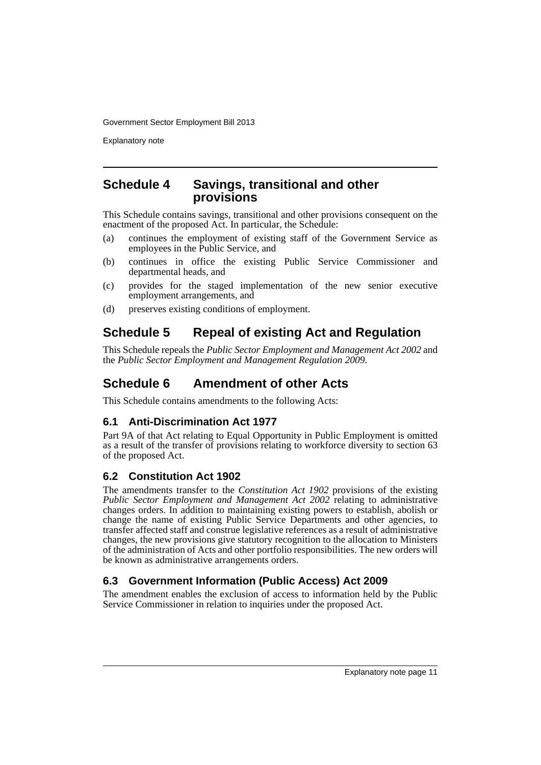Explanatory note

#### **Schedule 4 Savings, transitional and other provisions**

This Schedule contains savings, transitional and other provisions consequent on the enactment of the proposed Act. In particular, the Schedule:

- (a) continues the employment of existing staff of the Government Service as employees in the Public Service, and
- (b) continues in office the existing Public Service Commissioner and departmental heads, and
- (c) provides for the staged implementation of the new senior executive employment arrangements, and
- (d) preserves existing conditions of employment.

# **Schedule 5 Repeal of existing Act and Regulation**

This Schedule repeals the *Public Sector Employment and Management Act 2002* and the *Public Sector Employment and Management Regulation 2009*.

# **Schedule 6 Amendment of other Acts**

This Schedule contains amendments to the following Acts:

## **6.1 Anti-Discrimination Act 1977**

Part 9A of that Act relating to Equal Opportunity in Public Employment is omitted as a result of the transfer of provisions relating to workforce diversity to section 63 of the proposed Act.

## **6.2 Constitution Act 1902**

The amendments transfer to the *Constitution Act 1902* provisions of the existing *Public Sector Employment and Management Act 2002* relating to administrative changes orders. In addition to maintaining existing powers to establish, abolish or change the name of existing Public Service Departments and other agencies, to transfer affected staff and construe legislative references as a result of administrative changes, the new provisions give statutory recognition to the allocation to Ministers of the administration of Acts and other portfolio responsibilities. The new orders will be known as administrative arrangements orders.

## **6.3 Government Information (Public Access) Act 2009**

The amendment enables the exclusion of access to information held by the Public Service Commissioner in relation to inquiries under the proposed Act.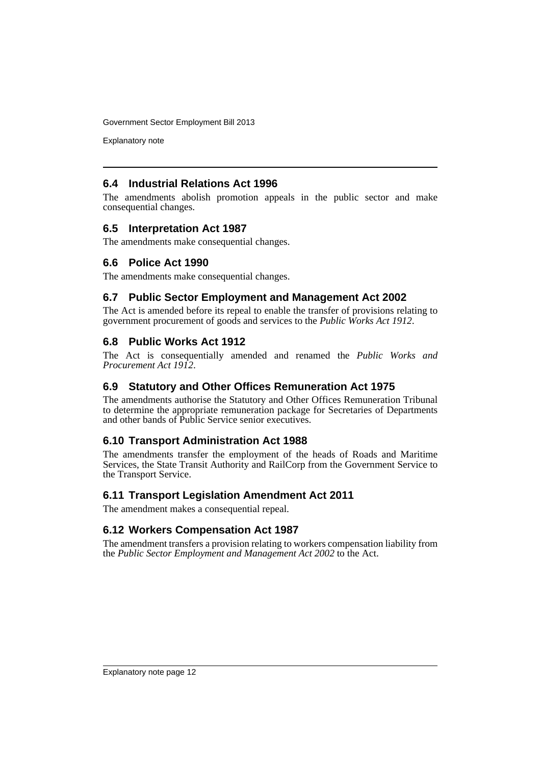Explanatory note

#### **6.4 Industrial Relations Act 1996**

The amendments abolish promotion appeals in the public sector and make consequential changes.

#### **6.5 Interpretation Act 1987**

The amendments make consequential changes.

#### **6.6 Police Act 1990**

The amendments make consequential changes.

#### **6.7 Public Sector Employment and Management Act 2002**

The Act is amended before its repeal to enable the transfer of provisions relating to government procurement of goods and services to the *Public Works Act 1912*.

#### **6.8 Public Works Act 1912**

The Act is consequentially amended and renamed the *Public Works and Procurement Act 1912*.

#### **6.9 Statutory and Other Offices Remuneration Act 1975**

The amendments authorise the Statutory and Other Offices Remuneration Tribunal to determine the appropriate remuneration package for Secretaries of Departments and other bands of Public Service senior executives.

#### **6.10 Transport Administration Act 1988**

The amendments transfer the employment of the heads of Roads and Maritime Services, the State Transit Authority and RailCorp from the Government Service to the Transport Service.

#### **6.11 Transport Legislation Amendment Act 2011**

The amendment makes a consequential repeal.

#### **6.12 Workers Compensation Act 1987**

The amendment transfers a provision relating to workers compensation liability from the *Public Sector Employment and Management Act 2002* to the Act.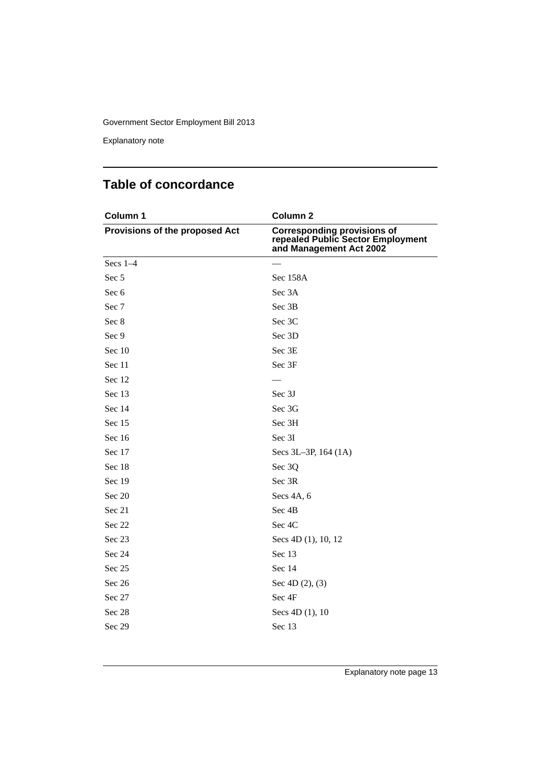Explanatory note

# **Table of concordance**

| Column 1                       | Column <sub>2</sub>                                                                                |
|--------------------------------|----------------------------------------------------------------------------------------------------|
| Provisions of the proposed Act | <b>Corresponding provisions of</b><br>repealed Public Sector Employment<br>and Management Act 2002 |
| Secs $1-4$                     |                                                                                                    |
| Sec 5                          | Sec 158A                                                                                           |
| Sec 6                          | Sec 3A                                                                                             |
| Sec 7                          | Sec 3B                                                                                             |
| Sec 8                          | Sec 3C                                                                                             |
| Sec 9                          | Sec 3D                                                                                             |
| Sec 10                         | Sec 3E                                                                                             |
| Sec 11                         | Sec 3F                                                                                             |
| Sec 12                         |                                                                                                    |
| Sec 13                         | Sec 3J                                                                                             |
| Sec 14                         | Sec 3G                                                                                             |
| Sec 15                         | Sec 3H                                                                                             |
| Sec 16                         | Sec 3I                                                                                             |
| Sec 17                         | Secs 3L-3P, 164 (1A)                                                                               |
| Sec 18                         | Sec 3Q                                                                                             |
| Sec 19                         | Sec 3R                                                                                             |
| Sec 20                         | Secs 4A, 6                                                                                         |
| Sec 21                         | Sec 4B                                                                                             |
| Sec 22                         | Sec 4C                                                                                             |
| Sec 23                         | Secs 4D (1), 10, 12                                                                                |
| Sec 24                         | Sec 13                                                                                             |
| Sec 25                         | Sec 14                                                                                             |
| Sec 26                         | Sec $4D(2)$ , (3)                                                                                  |
| Sec 27                         | Sec 4F                                                                                             |
| Sec 28                         | Secs 4D (1), 10                                                                                    |
| Sec 29                         | Sec 13                                                                                             |
|                                |                                                                                                    |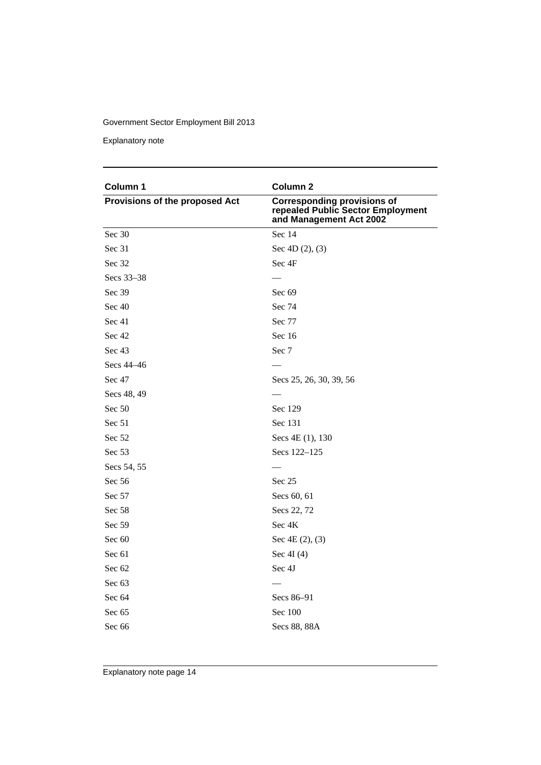Explanatory note

| Column 1                       | Column <sub>2</sub>                                                                                |
|--------------------------------|----------------------------------------------------------------------------------------------------|
| Provisions of the proposed Act | <b>Corresponding provisions of</b><br>repealed Public Sector Employment<br>and Management Act 2002 |
| Sec 30                         | Sec 14                                                                                             |
| Sec 31                         | Sec $4D(2)$ , (3)                                                                                  |
| Sec 32                         | Sec 4F                                                                                             |
| Secs 33-38                     |                                                                                                    |
| Sec 39                         | Sec 69                                                                                             |
| Sec 40                         | Sec 74                                                                                             |
| Sec 41                         | Sec 77                                                                                             |
| Sec 42                         | Sec $16$                                                                                           |
| Sec 43                         | Sec 7                                                                                              |
| Secs 44–46                     |                                                                                                    |
| Sec 47                         | Secs 25, 26, 30, 39, 56                                                                            |
| Secs 48, 49                    |                                                                                                    |
| Sec 50                         | Sec 129                                                                                            |
| Sec 51                         | Sec 131                                                                                            |
| Sec 52                         | Secs 4E (1), 130                                                                                   |
| Sec 53                         | Secs 122–125                                                                                       |
| Secs 54, 55                    |                                                                                                    |
| Sec 56                         | Sec 25                                                                                             |
| Sec 57                         | Secs 60, 61                                                                                        |
| Sec 58                         | Secs 22, 72                                                                                        |
| Sec 59                         | Sec 4K                                                                                             |
| Sec 60                         | Sec $4E(2)$ , $(3)$                                                                                |
| Sec 61                         | Sec $4I(4)$                                                                                        |
| Sec 62                         | Sec 4J                                                                                             |
| Sec 63                         |                                                                                                    |
| Sec 64                         | Secs 86-91                                                                                         |
| Sec 65                         | Sec 100                                                                                            |
| Sec 66                         | Secs 88, 88A                                                                                       |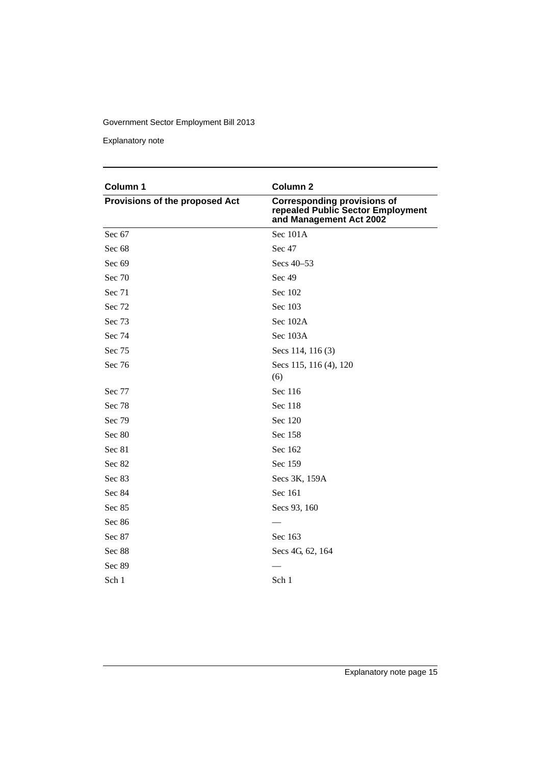Explanatory note

| Column 1                       | Column <sub>2</sub>                                                                                |
|--------------------------------|----------------------------------------------------------------------------------------------------|
| Provisions of the proposed Act | <b>Corresponding provisions of</b><br>repealed Public Sector Employment<br>and Management Act 2002 |
| Sec 67                         | Sec 101A                                                                                           |
| Sec 68                         | Sec 47                                                                                             |
| Sec 69                         | Secs 40-53                                                                                         |
| Sec 70                         | Sec 49                                                                                             |
| Sec 71                         | Sec 102                                                                                            |
| Sec 72                         | Sec 103                                                                                            |
| Sec 73                         | Sec 102A                                                                                           |
| Sec 74                         | Sec 103A                                                                                           |
| Sec 75                         | Secs 114, 116 (3)                                                                                  |
| Sec 76                         | Secs 115, 116 (4), 120<br>(6)                                                                      |
| Sec 77                         | Sec 116                                                                                            |
| Sec 78                         | Sec 118                                                                                            |
| Sec 79                         | Sec 120                                                                                            |
| Sec 80                         | Sec 158                                                                                            |
| Sec 81                         | Sec 162                                                                                            |
| Sec 82                         | Sec 159                                                                                            |
| Sec 83                         | Secs 3K, 159A                                                                                      |
| Sec 84                         | Sec 161                                                                                            |
| Sec 85                         | Secs 93, 160                                                                                       |
| Sec 86                         |                                                                                                    |
| Sec 87                         | Sec 163                                                                                            |
| Sec 88                         | Secs 4G, 62, 164                                                                                   |
| Sec 89                         |                                                                                                    |
| Sch 1                          | Sch 1                                                                                              |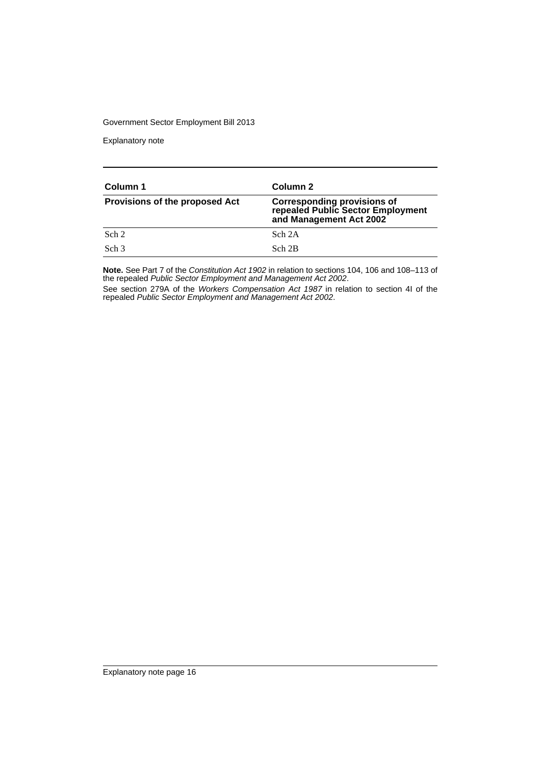Explanatory note

| Column 1                              | Column 2                                                                                           |
|---------------------------------------|----------------------------------------------------------------------------------------------------|
| <b>Provisions of the proposed Act</b> | <b>Corresponding provisions of</b><br>repealed Public Sector Employment<br>and Management Act 2002 |
| Sch 2                                 | Sch 2A                                                                                             |
| Sch <sub>3</sub>                      | Sch 2B                                                                                             |

**Note.** See Part 7 of the *Constitution Act 1902* in relation to sections 104, 106 and 108–113 of the repealed *Public Sector Employment and Management Act 2002*.

See section 279A of the *Workers Compensation Act 1987* in relation to section 4I of the repealed *Public Sector Employment and Management Act 2002*.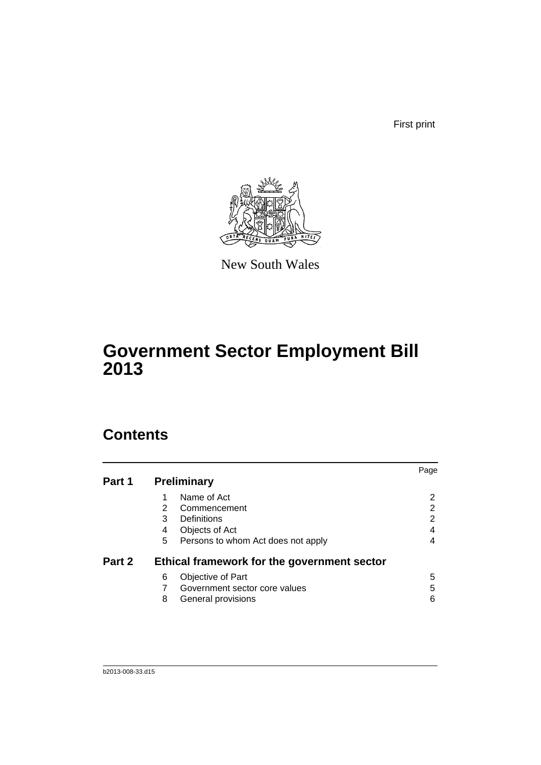First print



New South Wales

# **Government Sector Employment Bill 2013**

# **Contents**

|        |   |                                             | Page |
|--------|---|---------------------------------------------|------|
| Part 1 |   | <b>Preliminary</b>                          |      |
|        |   | Name of Act                                 | 2    |
|        | 2 | Commencement                                | 2    |
|        | 3 | Definitions                                 | 2    |
|        | 4 | Objects of Act                              |      |
|        | 5 | Persons to whom Act does not apply          | 4    |
| Part 2 |   | Ethical framework for the government sector |      |
|        | 6 | Objective of Part                           | 5    |
|        |   | Government sector core values               | 5    |
|        | 8 | General provisions                          | 6    |
|        |   |                                             |      |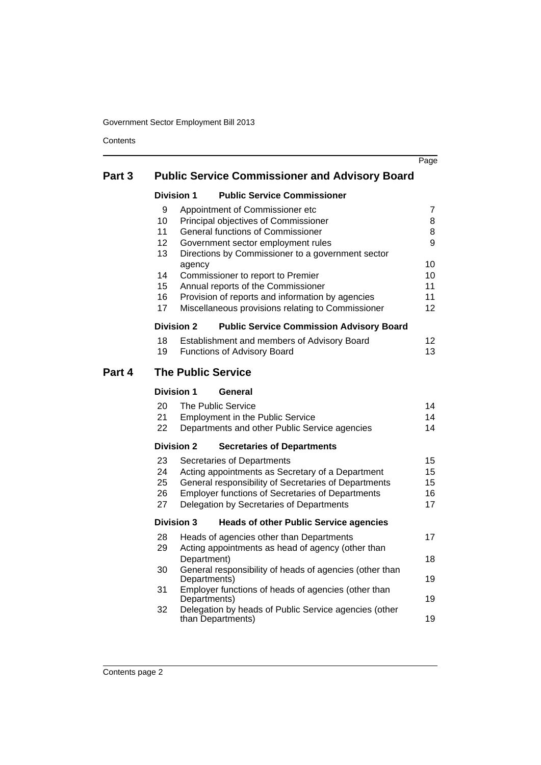**Contents** 

|        |                   |                                                                                        | Page            |
|--------|-------------------|----------------------------------------------------------------------------------------|-----------------|
| Part 3 |                   | <b>Public Service Commissioner and Advisory Board</b>                                  |                 |
|        | <b>Division 1</b> | <b>Public Service Commissioner</b>                                                     |                 |
|        | 9                 | Appointment of Commissioner etc                                                        | 7               |
|        | 10                | Principal objectives of Commissioner                                                   | 8               |
|        | 11                | General functions of Commissioner                                                      | 8               |
|        | 12                | Government sector employment rules                                                     | 9               |
|        | 13                | Directions by Commissioner to a government sector                                      |                 |
|        | agency            |                                                                                        | 10              |
|        | 14                | Commissioner to report to Premier                                                      | 10              |
|        | 15<br>16          | Annual reports of the Commissioner<br>Provision of reports and information by agencies | 11<br>11        |
|        | 17                | Miscellaneous provisions relating to Commissioner                                      | 12              |
|        | <b>Division 2</b> | <b>Public Service Commission Advisory Board</b>                                        |                 |
|        | 18                | Establishment and members of Advisory Board                                            | 12 <sub>2</sub> |
|        | 19                | Functions of Advisory Board                                                            | 13              |
| Part 4 |                   | <b>The Public Service</b>                                                              |                 |
|        | <b>Division 1</b> | General                                                                                |                 |
|        | 20                | The Public Service                                                                     | 14              |
|        | 21                | <b>Employment in the Public Service</b>                                                | 14              |
|        | 22                | Departments and other Public Service agencies                                          | 14              |
|        | <b>Division 2</b> | <b>Secretaries of Departments</b>                                                      |                 |
|        | 23                | Secretaries of Departments                                                             | 15              |
|        | 24                | Acting appointments as Secretary of a Department                                       | 15              |
|        | 25                | General responsibility of Secretaries of Departments                                   | 15              |
|        | 26                | <b>Employer functions of Secretaries of Departments</b>                                | 16              |
|        | 27                | Delegation by Secretaries of Departments                                               | 17              |
|        | <b>Division 3</b> | <b>Heads of other Public Service agencies</b>                                          |                 |
|        | 28                | Heads of agencies other than Departments                                               | 17              |
|        | 29                | Acting appointments as head of agency (other than                                      |                 |
|        |                   | Department)                                                                            | 18              |
|        | 30                | General responsibility of heads of agencies (other than                                |                 |
|        |                   | Departments)                                                                           | 19              |
|        | 31                | Employer functions of heads of agencies (other than<br>Departments)                    | 19              |
|        | 32                | Delegation by heads of Public Service agencies (other                                  |                 |
|        |                   | than Departments)                                                                      | 19              |
|        |                   |                                                                                        |                 |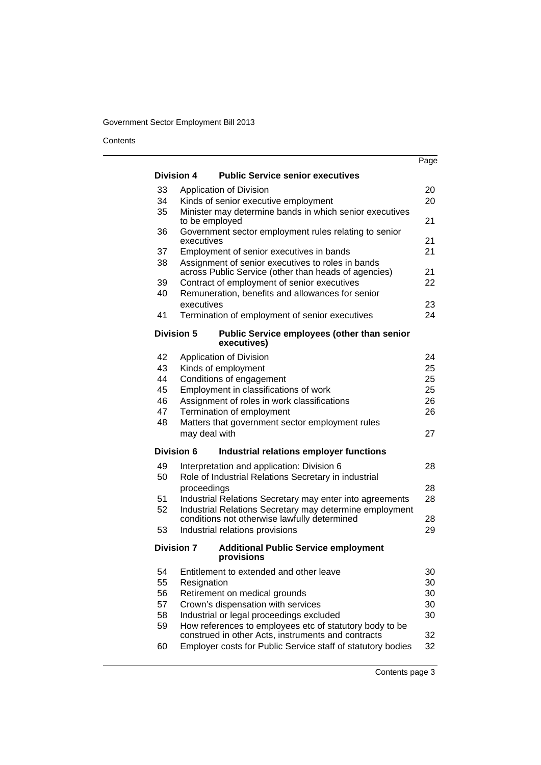**Contents** 

|    |                                                                                                               | Page |
|----|---------------------------------------------------------------------------------------------------------------|------|
|    | <b>Division 4</b><br><b>Public Service senior executives</b>                                                  |      |
| 33 | Application of Division                                                                                       | 20   |
| 34 | Kinds of senior executive employment                                                                          | 20   |
| 35 | Minister may determine bands in which senior executives                                                       |      |
|    | to be employed                                                                                                | 21   |
| 36 | Government sector employment rules relating to senior<br>executives                                           | 21   |
| 37 | Employment of senior executives in bands                                                                      | 21   |
| 38 | Assignment of senior executives to roles in bands<br>across Public Service (other than heads of agencies)     | 21   |
| 39 | Contract of employment of senior executives                                                                   | 22   |
| 40 | Remuneration, benefits and allowances for senior                                                              |      |
|    | executives                                                                                                    | 23   |
| 41 | Termination of employment of senior executives                                                                | 24   |
|    | <b>Division 5</b><br>Public Service employees (other than senior<br>executives)                               |      |
| 42 | Application of Division                                                                                       | 24   |
| 43 | Kinds of employment                                                                                           | 25   |
| 44 | Conditions of engagement                                                                                      | 25   |
| 45 | Employment in classifications of work                                                                         | 25   |
| 46 | Assignment of roles in work classifications                                                                   | 26   |
| 47 | Termination of employment                                                                                     | 26   |
| 48 | Matters that government sector employment rules<br>may deal with                                              | 27   |
|    | Division 6<br>Industrial relations employer functions                                                         |      |
| 49 | Interpretation and application: Division 6                                                                    | 28   |
| 50 | Role of Industrial Relations Secretary in industrial                                                          |      |
|    | proceedings                                                                                                   | 28   |
| 51 | Industrial Relations Secretary may enter into agreements                                                      | 28   |
| 52 | Industrial Relations Secretary may determine employment                                                       |      |
|    | conditions not otherwise lawfully determined                                                                  | 28   |
| 53 | Industrial relations provisions                                                                               | 29   |
|    | <b>Division 7</b><br><b>Additional Public Service employment</b><br>provisions                                |      |
| 54 | Entitlement to extended and other leave                                                                       | 30   |
| 55 | Resignation                                                                                                   | 30   |
| 56 | Retirement on medical grounds                                                                                 | 30   |
| 57 | Crown's dispensation with services                                                                            | 30   |
| 58 | Industrial or legal proceedings excluded                                                                      | 30   |
| 59 | How references to employees etc of statutory body to be<br>construed in other Acts, instruments and contracts | 32   |
| 60 | Employer costs for Public Service staff of statutory bodies                                                   | 32   |

Contents page 3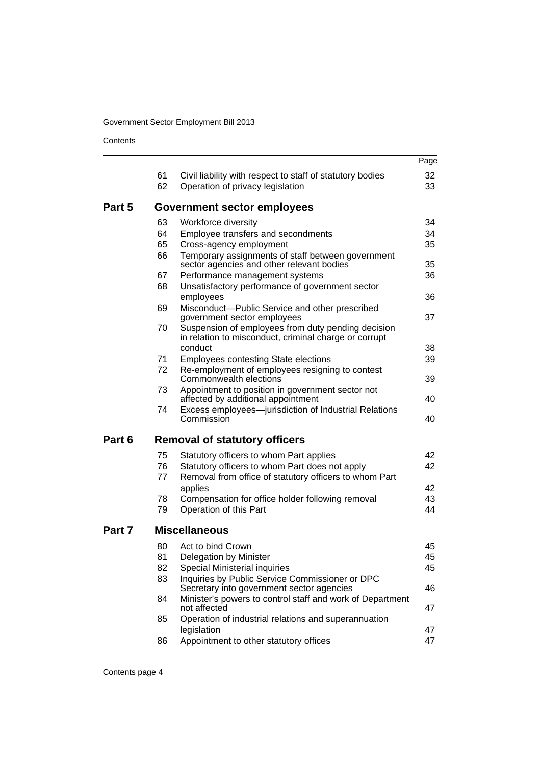**Contents** 

|        |                      |                                                                                                                          | Page     |
|--------|----------------------|--------------------------------------------------------------------------------------------------------------------------|----------|
|        | 61<br>62             | Civil liability with respect to staff of statutory bodies<br>Operation of privacy legislation                            | 32<br>33 |
|        |                      |                                                                                                                          |          |
| Part 5 |                      | Government sector employees                                                                                              |          |
|        | 63                   | Workforce diversity                                                                                                      | 34       |
|        | 64                   | Employee transfers and secondments                                                                                       | 34       |
|        | 65                   | Cross-agency employment                                                                                                  | 35       |
|        | 66                   | Temporary assignments of staff between government<br>sector agencies and other relevant bodies                           | 35       |
|        | 67                   | Performance management systems                                                                                           | 36       |
|        | 68                   | Unsatisfactory performance of government sector<br>employees                                                             | 36       |
|        | 69                   | Misconduct-Public Service and other prescribed<br>government sector employees                                            | 37       |
|        | 70                   | Suspension of employees from duty pending decision<br>in relation to misconduct, criminal charge or corrupt              |          |
|        |                      | conduct                                                                                                                  | 38       |
|        | 71<br>72             | <b>Employees contesting State elections</b><br>Re-employment of employees resigning to contest<br>Commonwealth elections | 39<br>39 |
|        | 73                   | Appointment to position in government sector not                                                                         |          |
|        |                      | affected by additional appointment                                                                                       | 40       |
|        | 74                   | Excess employees-jurisdiction of Industrial Relations<br>Commission                                                      | 40       |
| Part 6 |                      | <b>Removal of statutory officers</b>                                                                                     |          |
|        | 75                   | Statutory officers to whom Part applies                                                                                  | 42       |
|        | 76                   | Statutory officers to whom Part does not apply                                                                           | 42       |
|        | 77                   | Removal from office of statutory officers to whom Part                                                                   |          |
|        |                      | applies                                                                                                                  | 42       |
|        | 78<br>79             | Compensation for office holder following removal<br>Operation of this Part                                               | 43<br>44 |
| Part 7 | <b>Miscellaneous</b> |                                                                                                                          |          |
|        | 80                   | Act to bind Crown                                                                                                        | 45       |
|        | 81                   | Delegation by Minister                                                                                                   | 45       |
|        | 82                   | Special Ministerial inquiries                                                                                            | 45       |
|        | 83                   | Inquiries by Public Service Commissioner or DPC<br>Secretary into government sector agencies                             | 46       |
|        | 84                   | Minister's powers to control staff and work of Department<br>not affected                                                | 47       |
|        | 85                   | Operation of industrial relations and superannuation<br>legislation                                                      | 47       |
|        | 86                   | Appointment to other statutory offices                                                                                   | 47       |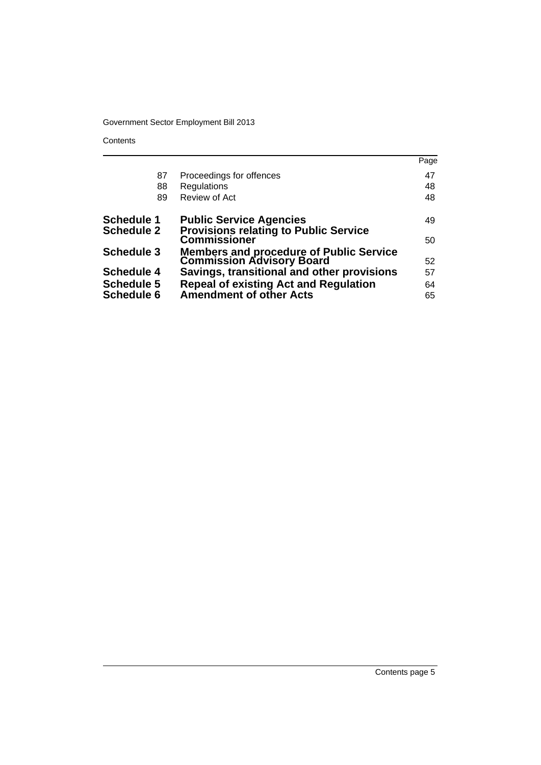**Contents** 

|                   |                                                                              | Page |
|-------------------|------------------------------------------------------------------------------|------|
| 87                | Proceedings for offences                                                     | 47   |
| 88                | Regulations                                                                  | 48   |
| 89                | Review of Act                                                                | 48   |
| <b>Schedule 1</b> | <b>Public Service Agencies</b>                                               | 49   |
| <b>Schedule 2</b> | <b>Provisions relating to Public Service</b><br><b>Commissioner</b>          | 50   |
| <b>Schedule 3</b> | <b>Members and procedure of Public Service<br/>Commission Advisory Board</b> |      |
|                   |                                                                              | 52   |
| <b>Schedule 4</b> | Savings, transitional and other provisions                                   | 57   |
| <b>Schedule 5</b> | <b>Repeal of existing Act and Regulation</b>                                 | 64   |
| <b>Schedule 6</b> | <b>Amendment of other Acts</b>                                               | 65   |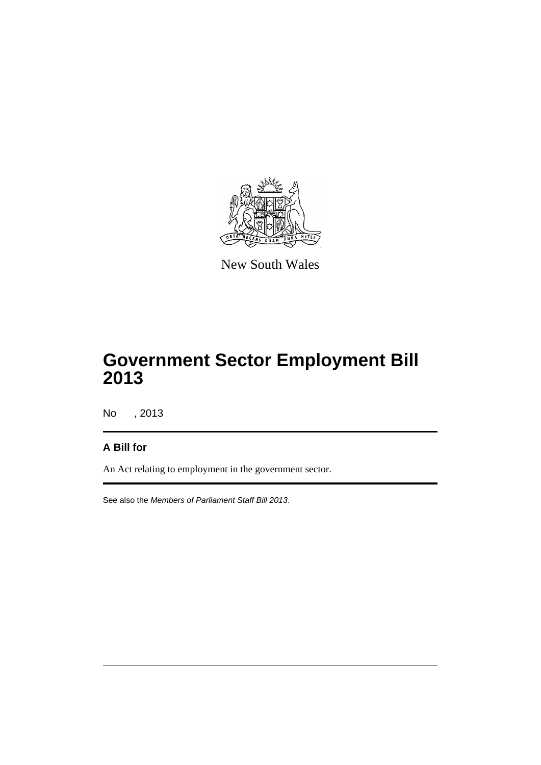

New South Wales

# **Government Sector Employment Bill 2013**

No , 2013

## **A Bill for**

An Act relating to employment in the government sector.

See also the *Members of Parliament Staff Bill 2013*.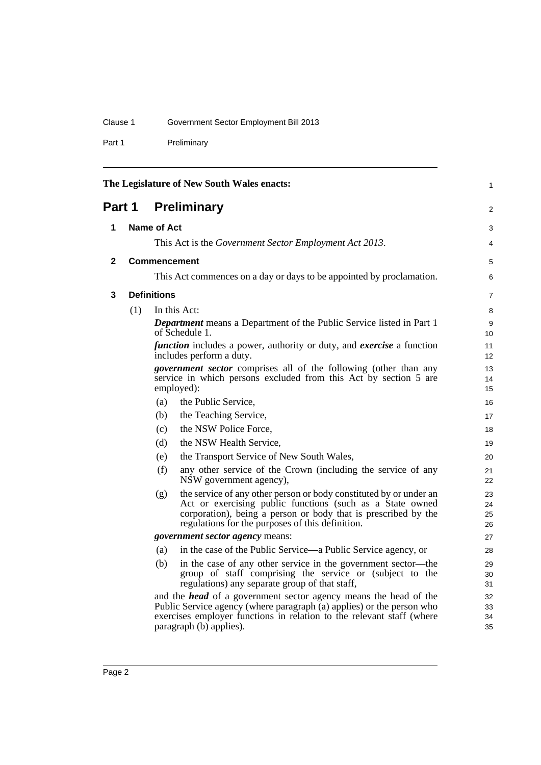Part 1 Preliminary

<span id="page-23-3"></span><span id="page-23-2"></span><span id="page-23-1"></span><span id="page-23-0"></span>

|              |                                                                                                                                                           |                    | The Legislature of New South Wales enacts:                                                                                                                                                                                                            | 1                    |
|--------------|-----------------------------------------------------------------------------------------------------------------------------------------------------------|--------------------|-------------------------------------------------------------------------------------------------------------------------------------------------------------------------------------------------------------------------------------------------------|----------------------|
| Part 1       |                                                                                                                                                           |                    | <b>Preliminary</b>                                                                                                                                                                                                                                    | 2                    |
| 1            |                                                                                                                                                           | <b>Name of Act</b> |                                                                                                                                                                                                                                                       | 3                    |
|              |                                                                                                                                                           |                    | This Act is the Government Sector Employment Act 2013.                                                                                                                                                                                                | 4                    |
|              |                                                                                                                                                           |                    |                                                                                                                                                                                                                                                       |                      |
| $\mathbf{2}$ |                                                                                                                                                           |                    | <b>Commencement</b>                                                                                                                                                                                                                                   | 5                    |
|              |                                                                                                                                                           |                    | This Act commences on a day or days to be appointed by proclamation.                                                                                                                                                                                  | 6                    |
| 3            |                                                                                                                                                           | <b>Definitions</b> |                                                                                                                                                                                                                                                       | $\overline{7}$       |
|              | (1)                                                                                                                                                       |                    | In this Act:                                                                                                                                                                                                                                          | 8                    |
|              |                                                                                                                                                           |                    | <b>Department</b> means a Department of the Public Service listed in Part 1<br>of Schedule 1.                                                                                                                                                         | 9<br>10              |
|              |                                                                                                                                                           |                    | <i>function</i> includes a power, authority or duty, and <i>exercise</i> a function<br>includes perform a duty.                                                                                                                                       | 11<br>12             |
|              | <i>government sector</i> comprises all of the following (other than any<br>service in which persons excluded from this Act by section 5 are<br>employed): |                    | 13<br>14<br>15                                                                                                                                                                                                                                        |                      |
|              |                                                                                                                                                           | (a)                | the Public Service,                                                                                                                                                                                                                                   | 16                   |
|              |                                                                                                                                                           | (b)                | the Teaching Service,                                                                                                                                                                                                                                 | 17                   |
|              |                                                                                                                                                           | (c)                | the NSW Police Force.                                                                                                                                                                                                                                 | 18                   |
|              |                                                                                                                                                           | (d)                | the NSW Health Service,                                                                                                                                                                                                                               | 19                   |
|              |                                                                                                                                                           | (e)                | the Transport Service of New South Wales,                                                                                                                                                                                                             | 20                   |
|              |                                                                                                                                                           | (f)                | any other service of the Crown (including the service of any<br>NSW government agency),                                                                                                                                                               | 21<br>22             |
|              |                                                                                                                                                           | (g)                | the service of any other person or body constituted by or under an<br>Act or exercising public functions (such as a State owned<br>corporation), being a person or body that is prescribed by the<br>regulations for the purposes of this definition. | 23<br>24<br>25<br>26 |
|              |                                                                                                                                                           |                    | government sector agency means:                                                                                                                                                                                                                       | 27                   |
|              |                                                                                                                                                           | (a)                | in the case of the Public Service—a Public Service agency, or                                                                                                                                                                                         | 28                   |
|              |                                                                                                                                                           | (b)                | in the case of any other service in the government sector-the<br>group of staff comprising the service or (subject to the<br>regulations) any separate group of that staff,                                                                           | 29<br>30<br>31       |
|              |                                                                                                                                                           |                    | and the <i>head</i> of a government sector agency means the head of the<br>Public Service agency (where paragraph (a) applies) or the person who<br>exercises employer functions in relation to the relevant staff (where<br>paragraph (b) applies).  | 32<br>33<br>34<br>35 |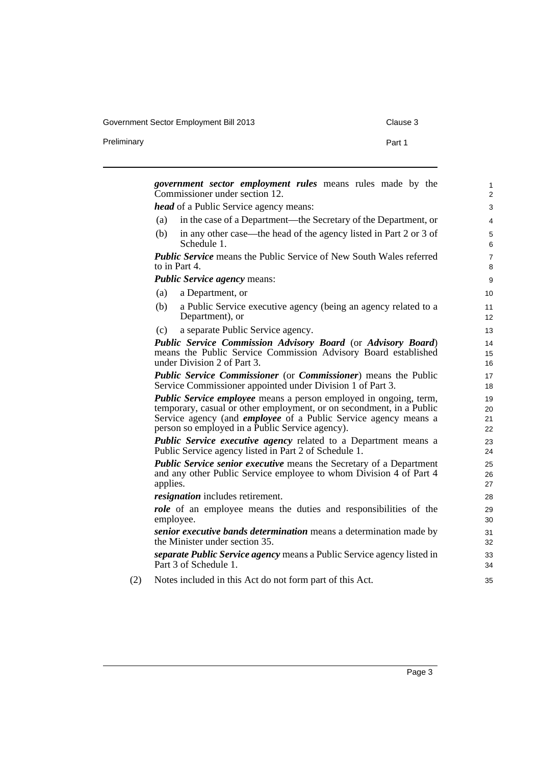Government Sector Employment Bill 2013 Clause 3

Preliminary **Preliminary Part 1** 

| <i>government sector employment rules</i> means rules made by the                         | $\mathbf{1}$   |
|-------------------------------------------------------------------------------------------|----------------|
| Commissioner under section 12.                                                            | $\overline{2}$ |
| head of a Public Service agency means:                                                    | 3              |
| in the case of a Department—the Secretary of the Department, or<br>(a)                    | 4              |
| in any other case—the head of the agency listed in Part 2 or 3 of<br>(b)<br>Schedule 1.   | 5<br>6         |
| <b>Public Service</b> means the Public Service of New South Wales referred                | $\overline{7}$ |
| to in Part 4.                                                                             | 8              |
| <b>Public Service agency means:</b>                                                       | 9              |
| (a)<br>a Department, or                                                                   | 10             |
| (b)<br>a Public Service executive agency (being an agency related to a<br>Department), or | 11<br>12       |
| a separate Public Service agency.<br>(c)                                                  | 13             |
| Public Service Commission Advisory Board (or Advisory Board)                              | 14             |
| means the Public Service Commission Advisory Board established                            | 15             |
| under Division 2 of Part 3.                                                               | 16             |
| <b>Public Service Commissioner</b> (or <b>Commissioner</b> ) means the Public             | 17             |
| Service Commissioner appointed under Division 1 of Part 3.                                | 18             |
| <b>Public Service employee</b> means a person employed in ongoing, term,                  | 19             |
| temporary, casual or other employment, or on secondment, in a Public                      | 20             |
| Service agency (and <i>employee</i> of a Public Service agency means a                    | 21             |
| person so employed in a Public Service agency).                                           | 22             |
| <b>Public Service executive agency related to a Department means a</b>                    | 23             |
| Public Service agency listed in Part 2 of Schedule 1.                                     | 24             |
| <b>Public Service senior executive means the Secretary of a Department</b>                | 25             |
| and any other Public Service employee to whom Division 4 of Part 4                        | 26             |
| applies.                                                                                  | 27             |
| resignation includes retirement.                                                          | 28             |
| <i>role</i> of an employee means the duties and responsibilities of the                   | 29             |
| employee.                                                                                 | 30             |
| senior executive bands determination means a determination made by                        | 31             |
| the Minister under section 35.                                                            | 32             |
| <i>separate Public Service agency</i> means a Public Service agency listed in             | 33             |
| Part 3 of Schedule 1.                                                                     | 34             |
| Notes included in this Act do not form part of this Act.                                  | 35             |

(2) Notes included in this Act do not form part of this Act.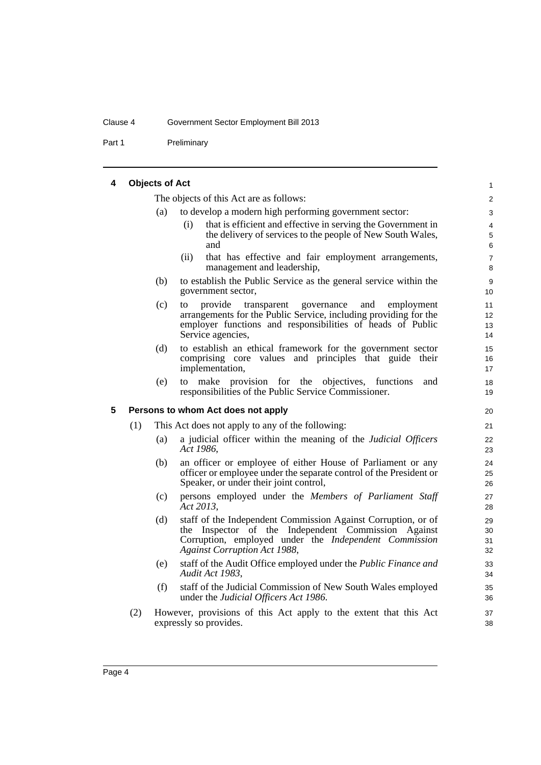#### Clause 4 Government Sector Employment Bill 2013

Part 1 Preliminary

#### <span id="page-25-0"></span>**4 Objects of Act**

The objects of this Act are as follows:

- (a) to develop a modern high performing government sector:
	- (i) that is efficient and effective in serving the Government in the delivery of services to the people of New South Wales, and

- (ii) that has effective and fair employment arrangements, management and leadership,
- (b) to establish the Public Service as the general service within the government sector,
- (c) to provide transparent governance and employment arrangements for the Public Service, including providing for the employer functions and responsibilities of heads of Public Service agencies,
- (d) to establish an ethical framework for the government sector comprising core values and principles that guide their implementation,
- (e) to make provision for the objectives, functions and responsibilities of the Public Service Commissioner.

#### <span id="page-25-1"></span>**5 Persons to whom Act does not apply**

- (1) This Act does not apply to any of the following:
	- (a) a judicial officer within the meaning of the *Judicial Officers Act 1986*,
	- (b) an officer or employee of either House of Parliament or any officer or employee under the separate control of the President or Speaker, or under their joint control,
	- (c) persons employed under the *Members of Parliament Staff Act 2013*,
	- (d) staff of the Independent Commission Against Corruption, or of the Inspector of the Independent Commission Against Corruption, employed under the *Independent Commission Against Corruption Act 1988*,
	- (e) staff of the Audit Office employed under the *Public Finance and Audit Act 1983*,
	- (f) staff of the Judicial Commission of New South Wales employed under the *Judicial Officers Act 1986*.
- (2) However, provisions of this Act apply to the extent that this Act expressly so provides.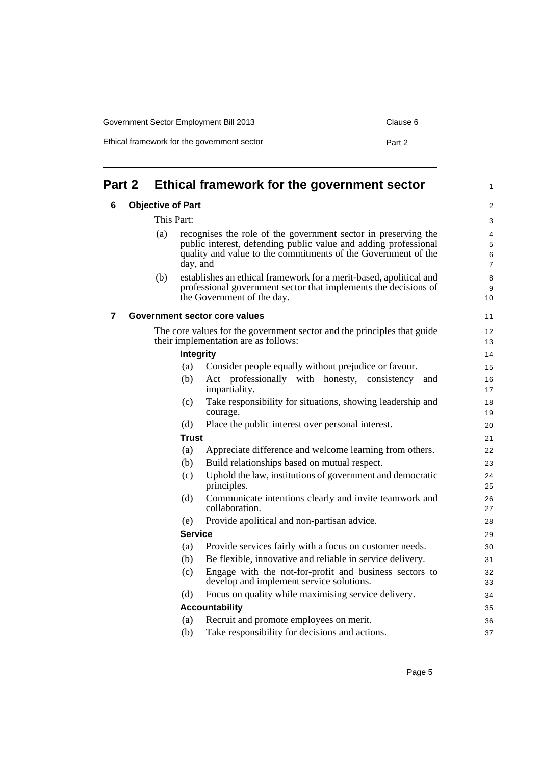| Ethical framework for the government sector | Part 2 |
|---------------------------------------------|--------|
|                                             |        |

<span id="page-26-2"></span><span id="page-26-1"></span><span id="page-26-0"></span>

| Part 2 |     |                          | Ethical framework for the government sector                                                                     | 1                   |
|--------|-----|--------------------------|-----------------------------------------------------------------------------------------------------------------|---------------------|
| 6      |     | <b>Objective of Part</b> |                                                                                                                 | $\overline{2}$      |
|        |     | This Part:               |                                                                                                                 | 3                   |
|        | (a) |                          | recognises the role of the government sector in preserving the                                                  | $\overline{4}$      |
|        |     |                          | public interest, defending public value and adding professional                                                 | 5                   |
|        |     | day, and                 | quality and value to the commitments of the Government of the                                                   | 6<br>$\overline{7}$ |
|        | (b) |                          | establishes an ethical framework for a merit-based, apolitical and                                              | 8                   |
|        |     |                          | professional government sector that implements the decisions of<br>the Government of the day.                   | 9<br>10             |
| 7      |     |                          | Government sector core values                                                                                   | 11                  |
|        |     |                          | The core values for the government sector and the principles that guide<br>their implementation are as follows: | 12<br>13            |
|        |     | <b>Integrity</b>         |                                                                                                                 | 14                  |
|        |     | (a)                      | Consider people equally without prejudice or favour.                                                            | 15                  |
|        |     | (b)                      | Act professionally with honesty, consistency<br>and<br>impartiality.                                            | 16<br>17            |
|        |     | (c)                      | Take responsibility for situations, showing leadership and<br>courage.                                          | 18<br>19            |
|        |     | (d)                      | Place the public interest over personal interest.                                                               | 20                  |
|        |     | <b>Trust</b>             |                                                                                                                 | 21                  |
|        |     | (a)                      | Appreciate difference and welcome learning from others.                                                         | 22                  |
|        |     | (b)                      | Build relationships based on mutual respect.                                                                    | 23                  |
|        |     | (c)                      | Uphold the law, institutions of government and democratic<br>principles.                                        | 24<br>25            |
|        |     | (d)                      | Communicate intentions clearly and invite teamwork and<br>collaboration.                                        | 26<br>27            |
|        |     | (e)                      | Provide apolitical and non-partisan advice.                                                                     | 28                  |
|        |     | <b>Service</b>           |                                                                                                                 | 29                  |
|        |     | (a)                      | Provide services fairly with a focus on customer needs.                                                         | 30                  |
|        |     | (b)                      | Be flexible, innovative and reliable in service delivery.                                                       | 31                  |
|        |     | (c)                      | Engage with the not-for-profit and business sectors to<br>develop and implement service solutions.              | 32<br>33            |
|        |     | (d)                      | Focus on quality while maximising service delivery.                                                             | 34                  |
|        |     |                          | <b>Accountability</b>                                                                                           | 35                  |
|        |     | (a)                      | Recruit and promote employees on merit.                                                                         | 36                  |
|        |     | (b)                      | Take responsibility for decisions and actions.                                                                  | 37                  |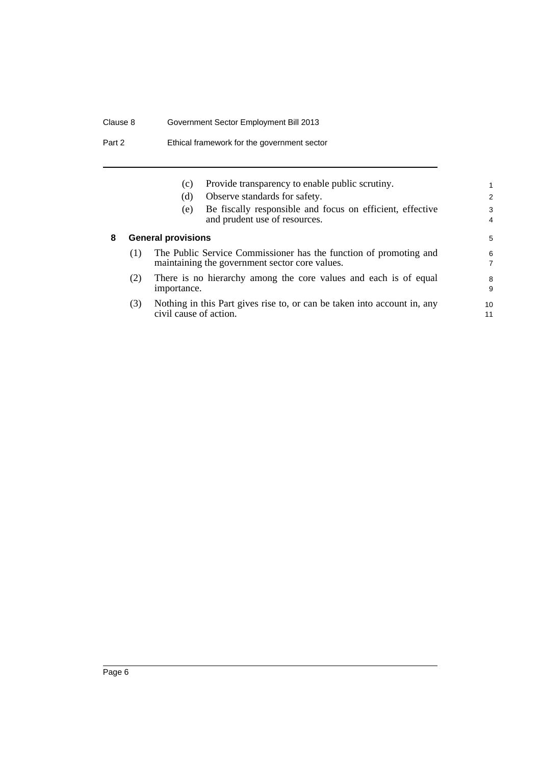## Clause 8 Government Sector Employment Bill 2013

Part 2 Ethical framework for the government sector

<span id="page-27-0"></span>

|   |     | (c)<br>(d)                | Provide transparency to enable public scrutiny.<br>Observe standards for safety.                                    | 2  |
|---|-----|---------------------------|---------------------------------------------------------------------------------------------------------------------|----|
|   |     |                           |                                                                                                                     |    |
|   |     | (e)                       | Be fiscally responsible and focus on efficient, effective                                                           | 3  |
|   |     |                           | and prudent use of resources.                                                                                       | 4  |
| 8 |     | <b>General provisions</b> |                                                                                                                     | 5  |
|   | (1) |                           | The Public Service Commissioner has the function of promoting and<br>maintaining the government sector core values. | 6  |
|   | (2) |                           | There is no hierarchy among the core values and each is of equal                                                    | 8  |
|   |     |                           |                                                                                                                     |    |
|   |     | importance.               |                                                                                                                     | 9  |
|   | (3) |                           | Nothing in this Part gives rise to, or can be taken into account in, any                                            | 10 |
|   |     | civil cause of action.    |                                                                                                                     | 11 |
|   |     |                           |                                                                                                                     |    |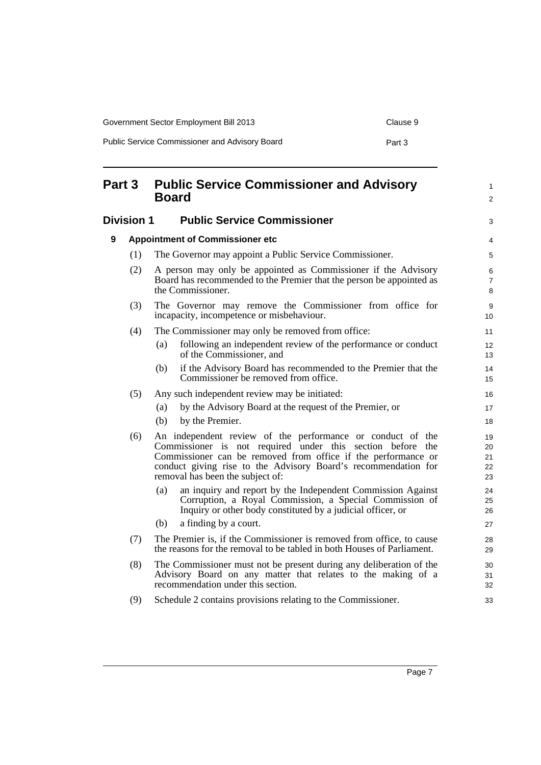| Government Sector Employment Bill 2013         | Clause 9 |
|------------------------------------------------|----------|
| Public Service Commissioner and Advisory Board | Part 3   |

<span id="page-28-2"></span><span id="page-28-1"></span><span id="page-28-0"></span>

| Part 3 |                   | <b>Public Service Commissioner and Advisory</b><br><b>Board</b>                                                                                                                                                                                                                                 | 1<br>2                     |
|--------|-------------------|-------------------------------------------------------------------------------------------------------------------------------------------------------------------------------------------------------------------------------------------------------------------------------------------------|----------------------------|
|        | <b>Division 1</b> | <b>Public Service Commissioner</b>                                                                                                                                                                                                                                                              | 3                          |
| 9      |                   | <b>Appointment of Commissioner etc</b>                                                                                                                                                                                                                                                          | 4                          |
|        | (1)               | The Governor may appoint a Public Service Commissioner.                                                                                                                                                                                                                                         | 5                          |
|        | (2)               | A person may only be appointed as Commissioner if the Advisory<br>Board has recommended to the Premier that the person be appointed as<br>the Commissioner.                                                                                                                                     | 6<br>7<br>8                |
|        | (3)               | The Governor may remove the Commissioner from office for<br>incapacity, incompetence or misbehaviour.                                                                                                                                                                                           | 9<br>10                    |
|        | (4)               | The Commissioner may only be removed from office:                                                                                                                                                                                                                                               | 11                         |
|        |                   | following an independent review of the performance or conduct<br>(a)<br>of the Commissioner, and                                                                                                                                                                                                | 12<br>13                   |
|        |                   | if the Advisory Board has recommended to the Premier that the<br>(b)<br>Commissioner be removed from office.                                                                                                                                                                                    | 14<br>15                   |
|        | (5)               | Any such independent review may be initiated:                                                                                                                                                                                                                                                   | 16                         |
|        |                   | by the Advisory Board at the request of the Premier, or<br>(a)                                                                                                                                                                                                                                  | 17                         |
|        |                   | by the Premier.<br>(b)                                                                                                                                                                                                                                                                          | 18                         |
|        | (6)               | An independent review of the performance or conduct of the<br>Commissioner is not required under this section before the<br>Commissioner can be removed from office if the performance or<br>conduct giving rise to the Advisory Board's recommendation for<br>removal has been the subject of: | 19<br>20<br>21<br>22<br>23 |
|        |                   | an inquiry and report by the Independent Commission Against<br>(a)<br>Corruption, a Royal Commission, a Special Commission of<br>Inquiry or other body constituted by a judicial officer, or                                                                                                    | 24<br>25<br>26             |
|        |                   | (b)<br>a finding by a court.                                                                                                                                                                                                                                                                    | 27                         |
|        | (7)               | The Premier is, if the Commissioner is removed from office, to cause<br>the reasons for the removal to be tabled in both Houses of Parliament.                                                                                                                                                  | 28<br>29                   |
|        | (8)               | The Commissioner must not be present during any deliberation of the<br>Advisory Board on any matter that relates to the making of a<br>recommendation under this section.                                                                                                                       | 30<br>31<br>32             |
|        | (9)               | Schedule 2 contains provisions relating to the Commissioner.                                                                                                                                                                                                                                    | 33                         |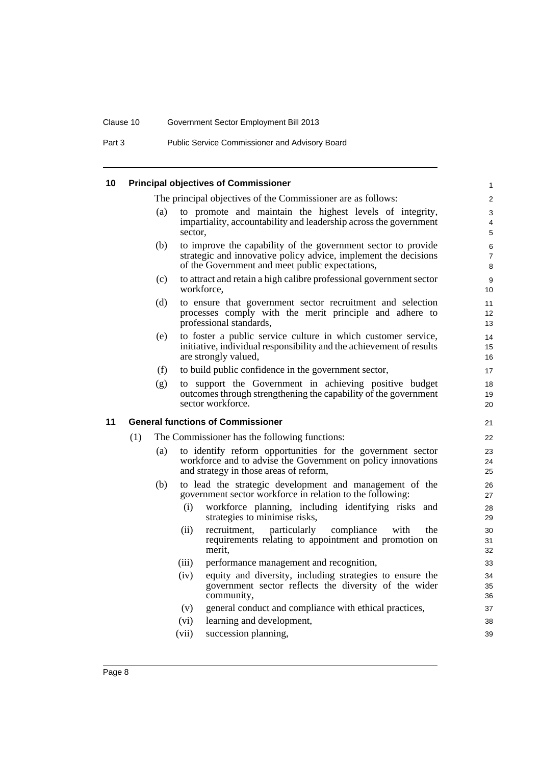## Clause 10 Government Sector Employment Bill 2013

Part 3 Public Service Commissioner and Advisory Board

<span id="page-29-1"></span><span id="page-29-0"></span>

| 10 |     |     | <b>Principal objectives of Commissioner</b>                                                                                                                                         | $\mathbf{1}$             |
|----|-----|-----|-------------------------------------------------------------------------------------------------------------------------------------------------------------------------------------|--------------------------|
|    |     |     | The principal objectives of the Commissioner are as follows:                                                                                                                        | 2                        |
|    |     | (a) | to promote and maintain the highest levels of integrity,<br>impartiality, accountability and leadership across the government<br>sector.                                            | 3<br>4<br>5              |
|    |     | (b) | to improve the capability of the government sector to provide<br>strategic and innovative policy advice, implement the decisions<br>of the Government and meet public expectations, | 6<br>$\overline{7}$<br>8 |
|    |     | (c) | to attract and retain a high calibre professional government sector<br>workforce,                                                                                                   | 9<br>10                  |
|    |     | (d) | to ensure that government sector recruitment and selection<br>processes comply with the merit principle and adhere to<br>professional standards,                                    | 11<br>12<br>13           |
|    |     | (e) | to foster a public service culture in which customer service,<br>initiative, individual responsibility and the achievement of results<br>are strongly valued,                       | 14<br>15<br>16           |
|    |     | (f) | to build public confidence in the government sector,                                                                                                                                | 17                       |
|    |     | (g) | to support the Government in achieving positive budget<br>outcomes through strengthening the capability of the government<br>sector workforce.                                      | 18<br>19<br>20           |
| 11 |     |     | <b>General functions of Commissioner</b>                                                                                                                                            | 21                       |
|    | (1) |     | The Commissioner has the following functions:                                                                                                                                       | 22                       |
|    |     | (a) | to identify reform opportunities for the government sector<br>workforce and to advise the Government on policy innovations<br>and strategy in those areas of reform,                | 23<br>24<br>25           |
|    |     | (b) |                                                                                                                                                                                     |                          |
|    |     |     | to lead the strategic development and management of the<br>government sector workforce in relation to the following:                                                                | 26<br>27                 |
|    |     |     | workforce planning, including identifying risks and<br>(i)<br>strategies to minimise risks,                                                                                         | 28<br>29                 |
|    |     |     | particularly<br>(ii)<br>compliance<br>with<br>the<br>recruitment,<br>requirements relating to appointment and promotion on<br>merit,                                                | 30<br>31<br>32           |
|    |     |     | (iii)<br>performance management and recognition,                                                                                                                                    | 33                       |
|    |     |     | equity and diversity, including strategies to ensure the<br>(iv)<br>government sector reflects the diversity of the wider<br>community,                                             |                          |
|    |     |     | (v)<br>general conduct and compliance with ethical practices,                                                                                                                       | 34<br>35<br>36<br>37     |
|    |     |     | (vi)<br>learning and development,<br>(vii)<br>succession planning,                                                                                                                  | 38                       |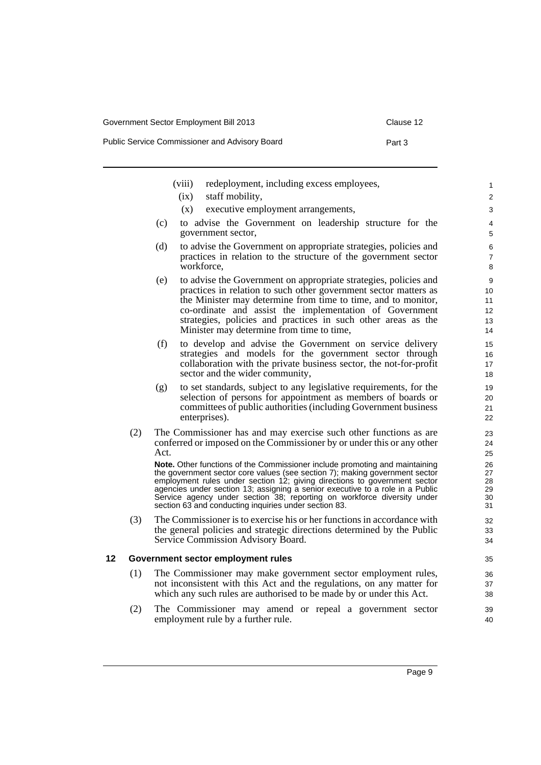Public Service Commissioner and Advisory Board **Part 3** Part 3 (viii) redeployment, including excess employees,

- (ix) staff mobility,
- (x) executive employment arrangements,
- (c) to advise the Government on leadership structure for the government sector,
- (d) to advise the Government on appropriate strategies, policies and practices in relation to the structure of the government sector workforce,
- (e) to advise the Government on appropriate strategies, policies and practices in relation to such other government sector matters as the Minister may determine from time to time, and to monitor, co-ordinate and assist the implementation of Government strategies, policies and practices in such other areas as the Minister may determine from time to time,
- (f) to develop and advise the Government on service delivery strategies and models for the government sector through collaboration with the private business sector, the not-for-profit sector and the wider community,
- (g) to set standards, subject to any legislative requirements, for the selection of persons for appointment as members of boards or committees of public authorities (including Government business enterprises).
- (2) The Commissioner has and may exercise such other functions as are conferred or imposed on the Commissioner by or under this or any other Act.

**Note.** Other functions of the Commissioner include promoting and maintaining the government sector core values (see section 7); making government sector employment rules under section 12; giving directions to government sector agencies under section 13; assigning a senior executive to a role in a Public Service agency under section 38; reporting on workforce diversity under section 63 and conducting inquiries under section 83.

(3) The Commissioner is to exercise his or her functions in accordance with the general policies and strategic directions determined by the Public Service Commission Advisory Board.

#### <span id="page-30-0"></span>**12 Government sector employment rules**

- (1) The Commissioner may make government sector employment rules, not inconsistent with this Act and the regulations, on any matter for which any such rules are authorised to be made by or under this Act.
- (2) The Commissioner may amend or repeal a government sector employment rule by a further rule.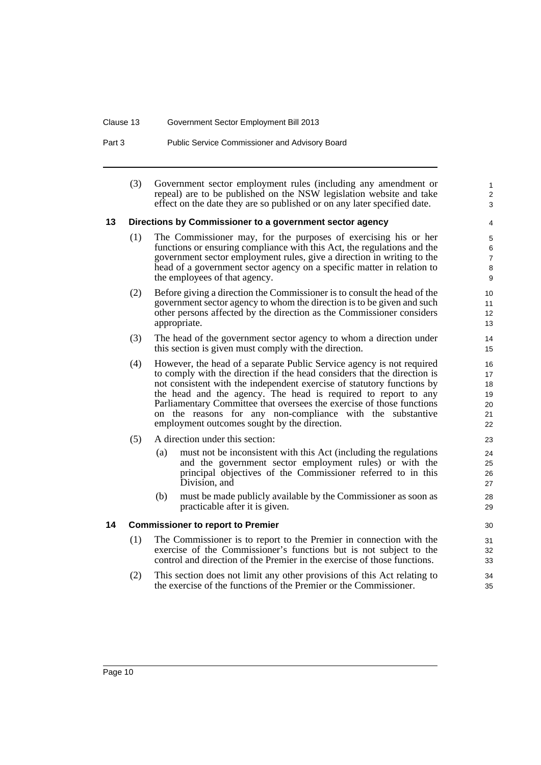#### Clause 13 Government Sector Employment Bill 2013

Part 3 Public Service Commissioner and Advisory Board

(3) Government sector employment rules (including any amendment or repeal) are to be published on the NSW legislation website and take effect on the date they are so published or on any later specified date.

1  $\overline{2}$ 3

#### <span id="page-31-0"></span>**13 Directions by Commissioner to a government sector agency**

- (1) The Commissioner may, for the purposes of exercising his or her functions or ensuring compliance with this Act, the regulations and the government sector employment rules, give a direction in writing to the head of a government sector agency on a specific matter in relation to the employees of that agency.
- (2) Before giving a direction the Commissioner is to consult the head of the government sector agency to whom the direction is to be given and such other persons affected by the direction as the Commissioner considers appropriate.
- (3) The head of the government sector agency to whom a direction under this section is given must comply with the direction.
- (4) However, the head of a separate Public Service agency is not required to comply with the direction if the head considers that the direction is not consistent with the independent exercise of statutory functions by the head and the agency. The head is required to report to any Parliamentary Committee that oversees the exercise of those functions on the reasons for any non-compliance with the substantive employment outcomes sought by the direction.
- (5) A direction under this section:
	- (a) must not be inconsistent with this Act (including the regulations and the government sector employment rules) or with the principal objectives of the Commissioner referred to in this Division, and
	- (b) must be made publicly available by the Commissioner as soon as practicable after it is given.

#### <span id="page-31-1"></span>**14 Commissioner to report to Premier**

- (1) The Commissioner is to report to the Premier in connection with the exercise of the Commissioner's functions but is not subject to the control and direction of the Premier in the exercise of those functions.
- (2) This section does not limit any other provisions of this Act relating to the exercise of the functions of the Premier or the Commissioner.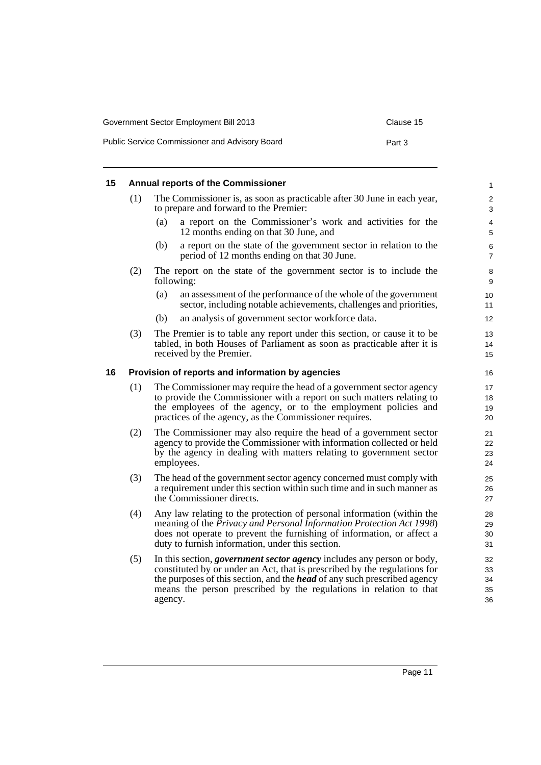| Government Sector Employment Bill 2013         | Clause 15 |
|------------------------------------------------|-----------|
| Public Service Commissioner and Advisory Board | Part 3    |

#### <span id="page-32-0"></span>**15 Annual reports of the Commissioner**

| (1) | The Commissioner is, as soon as practicable after 30 June in each year, |
|-----|-------------------------------------------------------------------------|
|     | to prepare and forward to the Premier:                                  |

- (a) a report on the Commissioner's work and activities for the 12 months ending on that 30 June, and
- (b) a report on the state of the government sector in relation to the period of 12 months ending on that 30 June.
- (2) The report on the state of the government sector is to include the following:
	- (a) an assessment of the performance of the whole of the government sector, including notable achievements, challenges and priorities,
	- (b) an analysis of government sector workforce data.
- (3) The Premier is to table any report under this section, or cause it to be tabled, in both Houses of Parliament as soon as practicable after it is received by the Premier.

#### <span id="page-32-1"></span>**16 Provision of reports and information by agencies**

- (1) The Commissioner may require the head of a government sector agency to provide the Commissioner with a report on such matters relating to the employees of the agency, or to the employment policies and practices of the agency, as the Commissioner requires.
- (2) The Commissioner may also require the head of a government sector agency to provide the Commissioner with information collected or held by the agency in dealing with matters relating to government sector employees.
- (3) The head of the government sector agency concerned must comply with a requirement under this section within such time and in such manner as the Commissioner directs.
- (4) Any law relating to the protection of personal information (within the meaning of the *Privacy and Personal Information Protection Act 1998*) does not operate to prevent the furnishing of information, or affect a duty to furnish information, under this section.
- (5) In this section, *government sector agency* includes any person or body, constituted by or under an Act, that is prescribed by the regulations for the purposes of this section, and the *head* of any such prescribed agency means the person prescribed by the regulations in relation to that agency.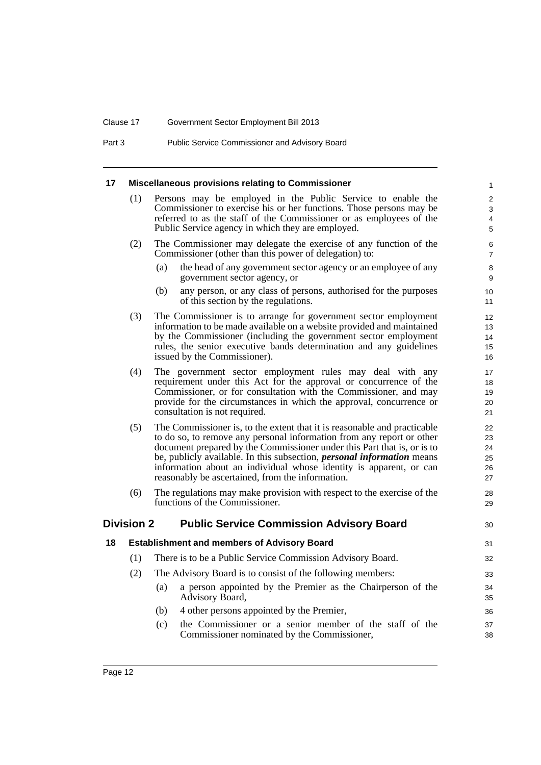#### Clause 17 Government Sector Employment Bill 2013

Part 3 Public Service Commissioner and Advisory Board

#### <span id="page-33-0"></span>**17 Miscellaneous provisions relating to Commissioner**

(1) Persons may be employed in the Public Service to enable the Commissioner to exercise his or her functions. Those persons may be referred to as the staff of the Commissioner or as employees of the Public Service agency in which they are employed.

 $30$ 

38

- (2) The Commissioner may delegate the exercise of any function of the Commissioner (other than this power of delegation) to:
	- (a) the head of any government sector agency or an employee of any government sector agency, or
	- (b) any person, or any class of persons, authorised for the purposes of this section by the regulations.
- (3) The Commissioner is to arrange for government sector employment information to be made available on a website provided and maintained by the Commissioner (including the government sector employment rules, the senior executive bands determination and any guidelines issued by the Commissioner).
- (4) The government sector employment rules may deal with any requirement under this Act for the approval or concurrence of the Commissioner, or for consultation with the Commissioner, and may provide for the circumstances in which the approval, concurrence or consultation is not required.
- (5) The Commissioner is, to the extent that it is reasonable and practicable to do so, to remove any personal information from any report or other document prepared by the Commissioner under this Part that is, or is to be, publicly available. In this subsection, *personal information* means information about an individual whose identity is apparent, or can reasonably be ascertained, from the information.
- (6) The regulations may make provision with respect to the exercise of the functions of the Commissioner.

#### <span id="page-33-2"></span><span id="page-33-1"></span>**Division 2 Public Service Commission Advisory Board**

| 18 |     |                   | <b>Establishment and members of Advisory Board</b>                             | 31       |
|----|-----|-------------------|--------------------------------------------------------------------------------|----------|
|    | (1) |                   | There is to be a Public Service Commission Advisory Board.                     | 32       |
|    | (2) |                   | The Advisory Board is to consist of the following members:                     | 33       |
|    |     | (a)               | a person appointed by the Premier as the Chairperson of the<br>Advisory Board, | 34<br>35 |
|    |     | (b)               | 4 other persons appointed by the Premier,                                      | 36       |
|    |     | $\left( c\right)$ | the Commissioner or a senior member of the staff of the                        | 37       |

(c) the Commissioner or a senior member of the staff of the Commissioner nominated by the Commissioner,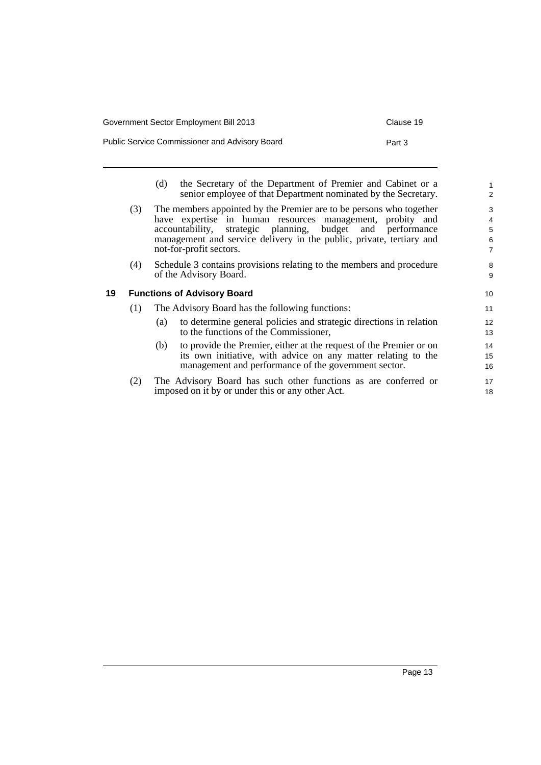| Government Sector Employment Bill 2013         | Clause 19 |
|------------------------------------------------|-----------|
| Public Service Commissioner and Advisory Board | Part 3    |

<span id="page-34-0"></span>

|    |     | the Secretary of the Department of Premier and Cabinet or a<br>(d)<br>senior employee of that Department nominated by the Secretary.                                                                                                                                                              | $\mathbf{1}$<br>2                                        |
|----|-----|---------------------------------------------------------------------------------------------------------------------------------------------------------------------------------------------------------------------------------------------------------------------------------------------------|----------------------------------------------------------|
|    | (3) | The members appointed by the Premier are to be persons who together<br>have expertise in human resources management, probity and<br>accountability, strategic planning, budget and performance<br>management and service delivery in the public, private, tertiary and<br>not-for-profit sectors. | 3<br>$\overline{4}$<br>$\sqrt{5}$<br>6<br>$\overline{7}$ |
|    | (4) | Schedule 3 contains provisions relating to the members and procedure<br>of the Advisory Board.                                                                                                                                                                                                    | 8<br>9                                                   |
| 19 |     | <b>Functions of Advisory Board</b>                                                                                                                                                                                                                                                                | 10                                                       |
|    | (1) | The Advisory Board has the following functions:                                                                                                                                                                                                                                                   | 11                                                       |
|    |     | to determine general policies and strategic directions in relation<br>(a)<br>to the functions of the Commissioner,                                                                                                                                                                                | 12<br>13                                                 |
|    |     | to provide the Premier, either at the request of the Premier or on<br>(b)<br>its own initiative, with advice on any matter relating to the<br>management and performance of the government sector.                                                                                                | 14<br>15<br>16                                           |
|    | (2) | The Advisory Board has such other functions as are conferred or<br>imposed on it by or under this or any other Act.                                                                                                                                                                               | 17<br>18                                                 |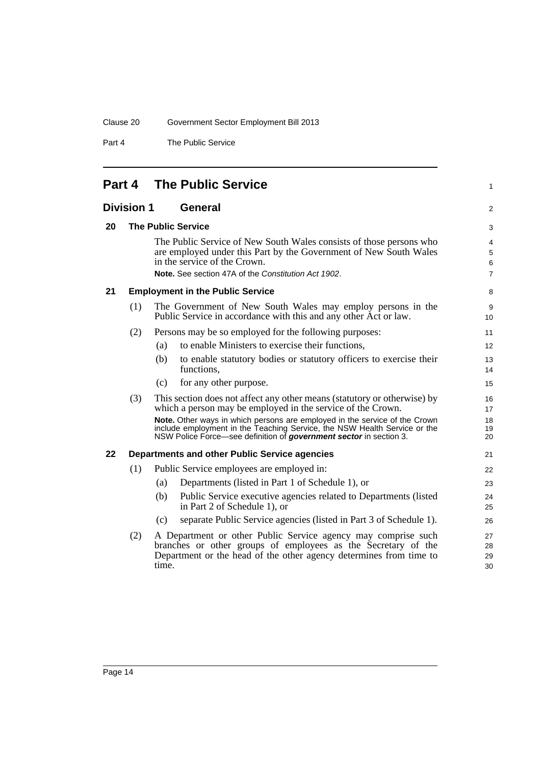Part 4 The Public Service

# <span id="page-35-0"></span>**Part 4 The Public Service**

<span id="page-35-1"></span>

| <b>Division 1</b> | <b>General</b> |
|-------------------|----------------|
|                   |                |

#### <span id="page-35-2"></span>**20 The Public Service**

The Public Service of New South Wales consists of those persons who are employed under this Part by the Government of New South Wales in the service of the Crown. **Note.** See section 47A of the *Constitution Act 1902*.

1

2

#### <span id="page-35-3"></span>**21 Employment in the Public Service**

| The Government of New South Wales may employ persons in the      |
|------------------------------------------------------------------|
| Public Service in accordance with this and any other Act or law. |

- (2) Persons may be so employed for the following purposes:
	- (a) to enable Ministers to exercise their functions,
		- (b) to enable statutory bodies or statutory officers to exercise their functions,
		- (c) for any other purpose.
- (3) This section does not affect any other means (statutory or otherwise) by which a person may be employed in the service of the Crown. **Note.** Other ways in which persons are employed in the service of the Crown include employment in the Teaching Service, the NSW Health Service or the NSW Police Force—see definition of *government sector* in section 3.

#### <span id="page-35-4"></span>**22 Departments and other Public Service agencies**

- (1) Public Service employees are employed in:
	- (a) Departments (listed in Part 1 of Schedule 1), or
	- (b) Public Service executive agencies related to Departments (listed in Part 2 of Schedule 1), or
	- (c) separate Public Service agencies (listed in Part 3 of Schedule 1).
	- (2) A Department or other Public Service agency may comprise such branches or other groups of employees as the Secretary of the Department or the head of the other agency determines from time to time.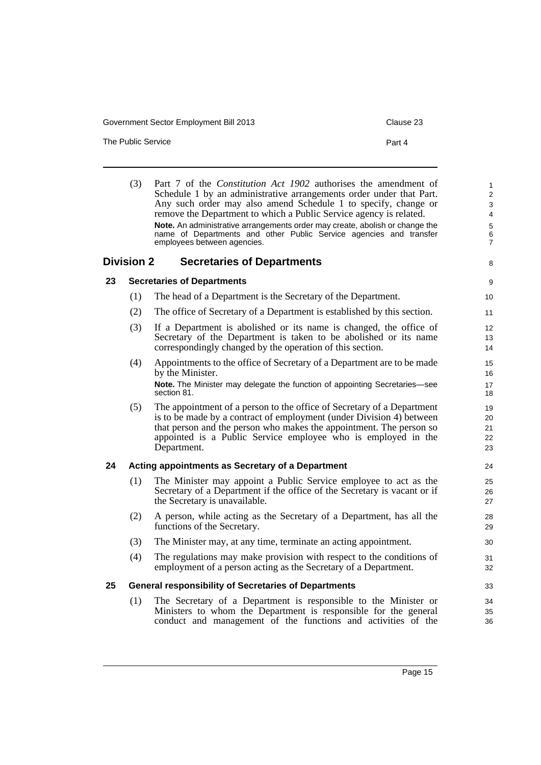The Public Service **Part 4** 

|    | (3)               | Part 7 of the Constitution Act 1902 authorises the amendment of<br>Schedule 1 by an administrative arrangements order under that Part.<br>Any such order may also amend Schedule 1 to specify, change or<br>remove the Department to which a Public Service agency is related.<br>Note. An administrative arrangements order may create, abolish or change the<br>name of Departments and other Public Service agencies and transfer<br>employees between agencies. | $\mathbf{1}$<br>2<br>3<br>$\overline{4}$<br>$\mathbf 5$<br>6<br>$\overline{7}$ |
|----|-------------------|---------------------------------------------------------------------------------------------------------------------------------------------------------------------------------------------------------------------------------------------------------------------------------------------------------------------------------------------------------------------------------------------------------------------------------------------------------------------|--------------------------------------------------------------------------------|
|    | <b>Division 2</b> | <b>Secretaries of Departments</b>                                                                                                                                                                                                                                                                                                                                                                                                                                   | 8                                                                              |
| 23 |                   | <b>Secretaries of Departments</b>                                                                                                                                                                                                                                                                                                                                                                                                                                   | 9                                                                              |
|    | (1)               | The head of a Department is the Secretary of the Department.                                                                                                                                                                                                                                                                                                                                                                                                        | 10                                                                             |
|    | (2)               | The office of Secretary of a Department is established by this section.                                                                                                                                                                                                                                                                                                                                                                                             | 11                                                                             |
|    | (3)               | If a Department is abolished or its name is changed, the office of<br>Secretary of the Department is taken to be abolished or its name<br>correspondingly changed by the operation of this section.                                                                                                                                                                                                                                                                 | 12<br>13<br>14                                                                 |
|    | (4)               | Appointments to the office of Secretary of a Department are to be made<br>by the Minister.<br>Note. The Minister may delegate the function of appointing Secretaries-see<br>section 81.                                                                                                                                                                                                                                                                             | 15<br>16<br>17<br>18                                                           |
|    | (5)               | The appointment of a person to the office of Secretary of a Department<br>is to be made by a contract of employment (under Division 4) between<br>that person and the person who makes the appointment. The person so<br>appointed is a Public Service employee who is employed in the<br>Department.                                                                                                                                                               | 19<br>20<br>21<br>22<br>23                                                     |
| 24 |                   | Acting appointments as Secretary of a Department                                                                                                                                                                                                                                                                                                                                                                                                                    | 24                                                                             |
|    | (1)               | The Minister may appoint a Public Service employee to act as the<br>Secretary of a Department if the office of the Secretary is vacant or if<br>the Secretary is unavailable.                                                                                                                                                                                                                                                                                       | 25<br>26<br>27                                                                 |
|    | (2)               | A person, while acting as the Secretary of a Department, has all the<br>functions of the Secretary.                                                                                                                                                                                                                                                                                                                                                                 | 28<br>29                                                                       |
|    | (3)               | The Minister may, at any time, terminate an acting appointment.                                                                                                                                                                                                                                                                                                                                                                                                     | 30                                                                             |
|    | (4)               | The regulations may make provision with respect to the conditions of<br>employment of a person acting as the Secretary of a Department.                                                                                                                                                                                                                                                                                                                             | 31<br>32                                                                       |
| 25 |                   | <b>General responsibility of Secretaries of Departments</b>                                                                                                                                                                                                                                                                                                                                                                                                         | 33                                                                             |
|    | (1)               | The Secretary of a Department is responsible to the Minister or<br>Ministers to whom the Department is responsible for the general<br>conduct and management of the functions and activities of the                                                                                                                                                                                                                                                                 | 34<br>35<br>36                                                                 |

conduct and management of the functions and activities of the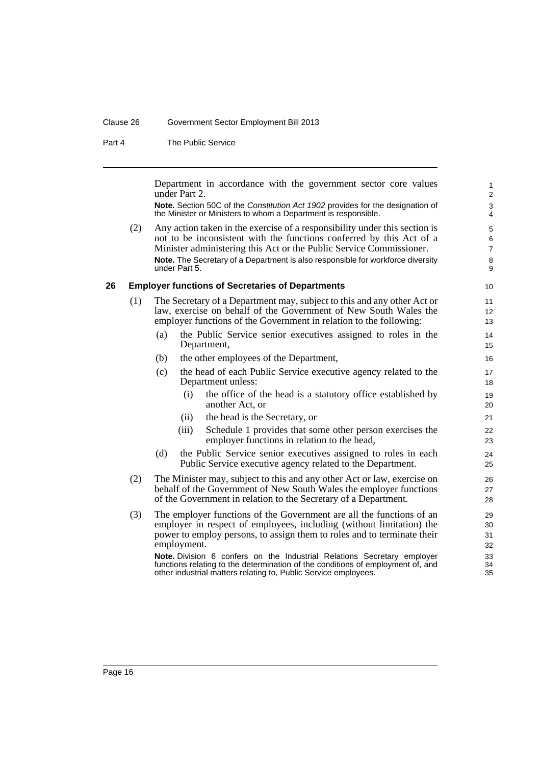#### Clause 26 Government Sector Employment Bill 2013

Part 4 The Public Service

Department in accordance with the government sector core values under Part 2.

**Note.** Section 50C of the *Constitution Act 1902* provides for the designation of the Minister or Ministers to whom a Department is responsible.

(2) Any action taken in the exercise of a responsibility under this section is not to be inconsistent with the functions conferred by this Act of a Minister administering this Act or the Public Service Commissioner. **Note.** The Secretary of a Department is also responsible for workforce diversity under Part 5.

#### **26 Employer functions of Secretaries of Departments**

- (1) The Secretary of a Department may, subject to this and any other Act or law, exercise on behalf of the Government of New South Wales the employer functions of the Government in relation to the following:
	- (a) the Public Service senior executives assigned to roles in the Department,
	- (b) the other employees of the Department,
	- (c) the head of each Public Service executive agency related to the Department unless:
		- (i) the office of the head is a statutory office established by another Act, or
		- (ii) the head is the Secretary, or
		- (iii) Schedule 1 provides that some other person exercises the employer functions in relation to the head,
	- (d) the Public Service senior executives assigned to roles in each Public Service executive agency related to the Department.
- (2) The Minister may, subject to this and any other Act or law, exercise on behalf of the Government of New South Wales the employer functions of the Government in relation to the Secretary of a Department.
- (3) The employer functions of the Government are all the functions of an employer in respect of employees, including (without limitation) the power to employ persons, to assign them to roles and to terminate their employment.

**Note.** Division 6 confers on the Industrial Relations Secretary employer functions relating to the determination of the conditions of employment of, and other industrial matters relating to, Public Service employees.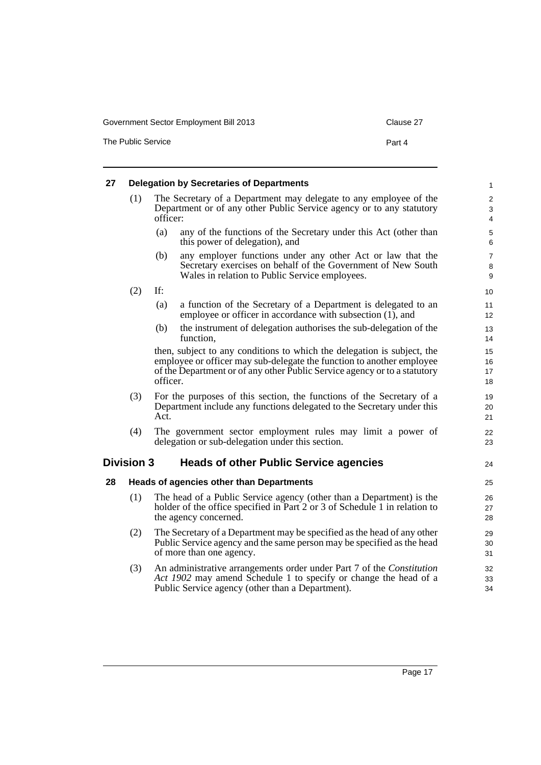The Public Service **Part 4** 

| 27 |                   |          | <b>Delegation by Secretaries of Departments</b>                                                                                                                                                                               | $\mathbf{1}$                            |
|----|-------------------|----------|-------------------------------------------------------------------------------------------------------------------------------------------------------------------------------------------------------------------------------|-----------------------------------------|
|    | (1)               | officer: | The Secretary of a Department may delegate to any employee of the<br>Department or of any other Public Service agency or to any statutory                                                                                     | $\sqrt{2}$<br>3<br>$\overline{4}$       |
|    |                   | (a)      | any of the functions of the Secretary under this Act (other than<br>this power of delegation), and                                                                                                                            | $\mathbf 5$<br>6                        |
|    |                   | (b)      | any employer functions under any other Act or law that the<br>Secretary exercises on behalf of the Government of New South<br>Wales in relation to Public Service employees.                                                  | $\overline{7}$<br>8<br>$\boldsymbol{9}$ |
|    | (2)               | If:      |                                                                                                                                                                                                                               | 10                                      |
|    |                   | (a)      | a function of the Secretary of a Department is delegated to an<br>employee or officer in accordance with subsection (1), and                                                                                                  | 11<br>12                                |
|    |                   | (b)      | the instrument of delegation authorises the sub-delegation of the<br>function,                                                                                                                                                | 13<br>14                                |
|    |                   | officer. | then, subject to any conditions to which the delegation is subject, the<br>employee or officer may sub-delegate the function to another employee<br>of the Department or of any other Public Service agency or to a statutory | 15<br>16<br>17<br>18                    |
|    | (3)               | Act.     | For the purposes of this section, the functions of the Secretary of a<br>Department include any functions delegated to the Secretary under this                                                                               | 19<br>20<br>21                          |
|    | (4)               |          | The government sector employment rules may limit a power of<br>delegation or sub-delegation under this section.                                                                                                               | 22<br>23                                |
|    | <b>Division 3</b> |          | <b>Heads of other Public Service agencies</b>                                                                                                                                                                                 | 24                                      |
| 28 |                   |          | <b>Heads of agencies other than Departments</b>                                                                                                                                                                               | 25                                      |
|    | (1)               |          | The head of a Public Service agency (other than a Department) is the<br>holder of the office specified in Part 2 or 3 of Schedule 1 in relation to<br>the agency concerned.                                                   | 26<br>27<br>28                          |
|    | (2)               |          | The Secretary of a Department may be specified as the head of any other<br>Public Service agency and the same person may be specified as the head<br>of more than one agency.                                                 | 29<br>30<br>31                          |

(3) An administrative arrangements order under Part 7 of the *Constitution Act 1902* may amend Schedule 1 to specify or change the head of a Public Service agency (other than a Department).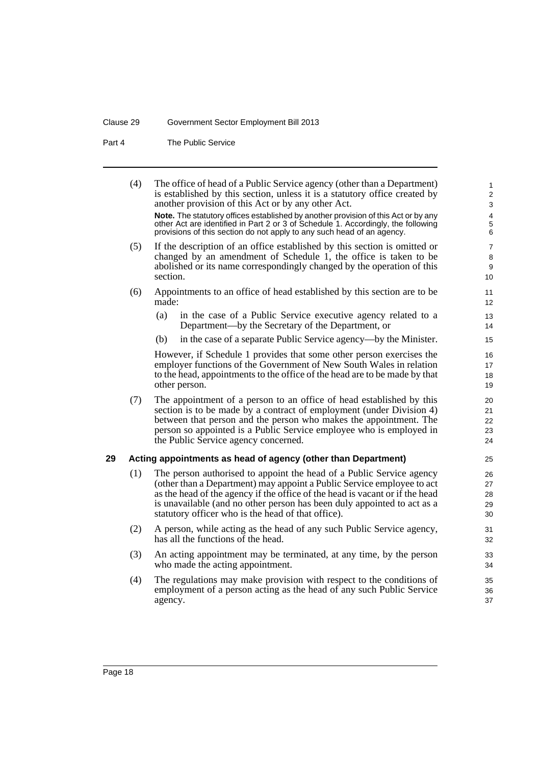#### Clause 29 Government Sector Employment Bill 2013

Part 4 The Public Service

(4) The office of head of a Public Service agency (other than a Department) is established by this section, unless it is a statutory office created by another provision of this Act or by any other Act. **Note.** The statutory offices established by another provision of this Act or by any other Act are identified in Part 2 or 3 of Schedule 1. Accordingly, the following provisions of this section do not apply to any such head of an agency. (5) If the description of an office established by this section is omitted or changed by an amendment of Schedule 1, the office is taken to be abolished or its name correspondingly changed by the operation of this section. (6) Appointments to an office of head established by this section are to be made: (a) in the case of a Public Service executive agency related to a Department—by the Secretary of the Department, or (b) in the case of a separate Public Service agency—by the Minister. However, if Schedule 1 provides that some other person exercises the employer functions of the Government of New South Wales in relation to the head, appointments to the office of the head are to be made by that other person. (7) The appointment of a person to an office of head established by this section is to be made by a contract of employment (under Division 4) between that person and the person who makes the appointment. The person so appointed is a Public Service employee who is employed in the Public Service agency concerned. **29 Acting appointments as head of agency (other than Department)** (1) The person authorised to appoint the head of a Public Service agency (other than a Department) may appoint a Public Service employee to act as the head of the agency if the office of the head is vacant or if the head is unavailable (and no other person has been duly appointed to act as a statutory officer who is the head of that office). (2) A person, while acting as the head of any such Public Service agency, has all the functions of the head. (3) An acting appointment may be terminated, at any time, by the person who made the acting appointment. (4) The regulations may make provision with respect to the conditions of employment of a person acting as the head of any such Public Service agency. 1 2 3  $\boldsymbol{\Lambda}$ 5 6 7 8 9 10 11 12 13 14 15 16 17 18 19 20 21 22 23 24 25 26 27 28 29 30 31 32 33 34 35 36 37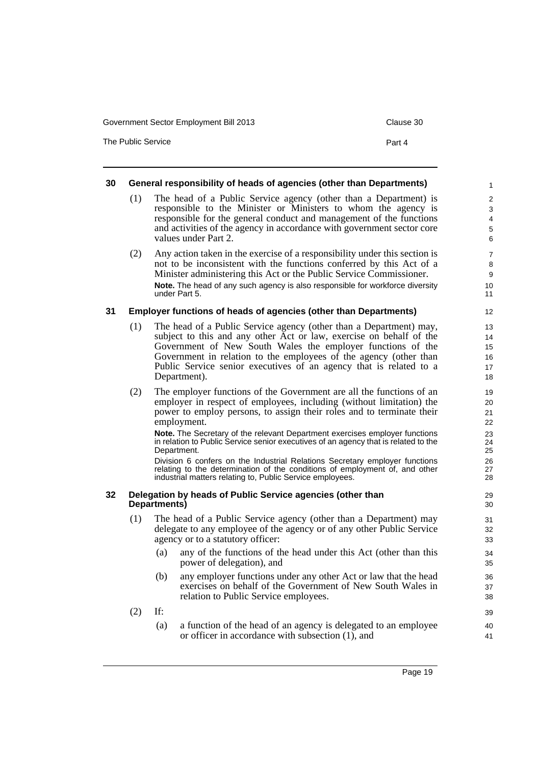The Public Service **Part 4** 

#### **30 General responsibility of heads of agencies (other than Departments)**

- (1) The head of a Public Service agency (other than a Department) is responsible to the Minister or Ministers to whom the agency is responsible for the general conduct and management of the functions and activities of the agency in accordance with government sector core values under Part 2.
- (2) Any action taken in the exercise of a responsibility under this section is not to be inconsistent with the functions conferred by this Act of a Minister administering this Act or the Public Service Commissioner. **Note.** The head of any such agency is also responsible for workforce diversity under Part 5.

#### **31 Employer functions of heads of agencies (other than Departments)**

- (1) The head of a Public Service agency (other than a Department) may, subject to this and any other Act or law, exercise on behalf of the Government of New South Wales the employer functions of the Government in relation to the employees of the agency (other than Public Service senior executives of an agency that is related to a Department).
- (2) The employer functions of the Government are all the functions of an employer in respect of employees, including (without limitation) the power to employ persons, to assign their roles and to terminate their employment.

**Note.** The Secretary of the relevant Department exercises employer functions in relation to Public Service senior executives of an agency that is related to the Department.

Division 6 confers on the Industrial Relations Secretary employer functions relating to the determination of the conditions of employment of, and other industrial matters relating to, Public Service employees.

#### **32 Delegation by heads of Public Service agencies (other than Departments)**

- (1) The head of a Public Service agency (other than a Department) may delegate to any employee of the agency or of any other Public Service agency or to a statutory officer:
	- (a) any of the functions of the head under this Act (other than this power of delegation), and
	- (b) any employer functions under any other Act or law that the head exercises on behalf of the Government of New South Wales in relation to Public Service employees.
- (2) If:
	- (a) a function of the head of an agency is delegated to an employee or officer in accordance with subsection (1), and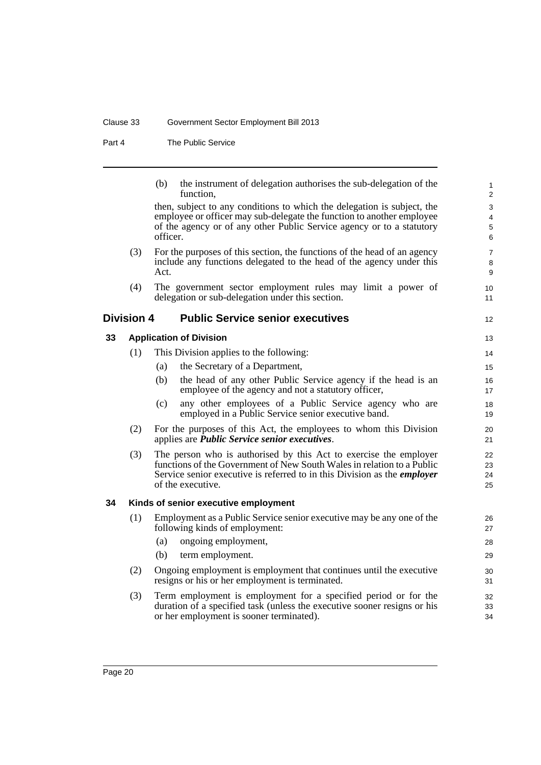#### Clause 33 Government Sector Employment Bill 2013

Part 4 The Public Service

| (b) | the instrument of delegation authorises the sub-delegation of the |
|-----|-------------------------------------------------------------------|
|     | function,                                                         |

12

13

then, subject to any conditions to which the delegation is subject, the employee or officer may sub-delegate the function to another employee of the agency or of any other Public Service agency or to a statutory officer.

- (3) For the purposes of this section, the functions of the head of an agency include any functions delegated to the head of the agency under this Act.
- (4) The government sector employment rules may limit a power of delegation or sub-delegation under this section.

## **Division 4 Public Service senior executives**

#### **33 Application of Division**

| (1) | This Division applies to the following: |                                                               |    |
|-----|-----------------------------------------|---------------------------------------------------------------|----|
|     | (a)                                     | the Secretary of a Department,                                | 15 |
|     | (b)                                     | the head of any other Public Service agency if the head is an | 16 |
|     |                                         | employee of the agency and not a statutory officer,           | 17 |

- (c) any other employees of a Public Service agency who are employed in a Public Service senior executive band.
- (2) For the purposes of this Act, the employees to whom this Division applies are *Public Service senior executives*.
- (3) The person who is authorised by this Act to exercise the employer functions of the Government of New South Wales in relation to a Public Service senior executive is referred to in this Division as the *employer* of the executive.

#### **34 Kinds of senior executive employment**

- (1) Employment as a Public Service senior executive may be any one of the following kinds of employment:
	- (a) ongoing employment,
	- (b) term employment.
- (2) Ongoing employment is employment that continues until the executive resigns or his or her employment is terminated.
- (3) Term employment is employment for a specified period or for the duration of a specified task (unless the executive sooner resigns or his or her employment is sooner terminated).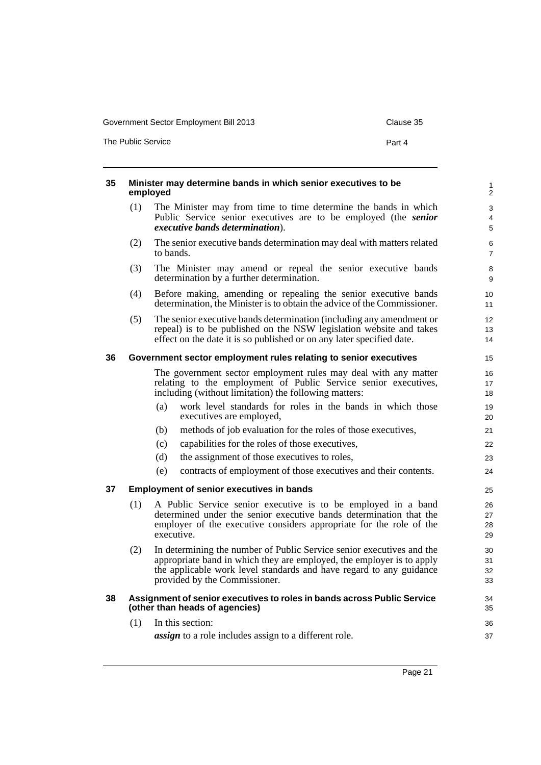The Public Service **Part 4** 

| 35 |     | Minister may determine bands in which senior executives to be<br>employed                                                                                                                                                                              | $\mathbf{1}$<br>2        |
|----|-----|--------------------------------------------------------------------------------------------------------------------------------------------------------------------------------------------------------------------------------------------------------|--------------------------|
|    | (1) | The Minister may from time to time determine the bands in which<br>Public Service senior executives are to be employed (the senior<br>executive bands determination).                                                                                  | 3<br>$\overline{4}$<br>5 |
|    | (2) | The senior executive bands determination may deal with matters related<br>to bands.                                                                                                                                                                    | 6<br>$\overline{7}$      |
|    | (3) | The Minister may amend or repeal the senior executive bands<br>determination by a further determination.                                                                                                                                               | 8<br>9                   |
|    | (4) | Before making, amending or repealing the senior executive bands<br>determination, the Minister is to obtain the advice of the Commissioner.                                                                                                            | 10<br>11                 |
|    | (5) | The senior executive bands determination (including any amendment or<br>repeal) is to be published on the NSW legislation website and takes<br>effect on the date it is so published or on any later specified date.                                   | 12<br>13<br>14           |
| 36 |     | Government sector employment rules relating to senior executives                                                                                                                                                                                       | 15                       |
|    |     | The government sector employment rules may deal with any matter<br>relating to the employment of Public Service senior executives,<br>including (without limitation) the following matters:                                                            | 16<br>17<br>18           |
|    |     | work level standards for roles in the bands in which those<br>(a)<br>executives are employed,                                                                                                                                                          | 19<br>20                 |
|    |     | methods of job evaluation for the roles of those executives,<br>(b)                                                                                                                                                                                    | 21                       |
|    |     | capabilities for the roles of those executives,<br>(c)                                                                                                                                                                                                 | 22                       |
|    |     | (d)<br>the assignment of those executives to roles,                                                                                                                                                                                                    | 23                       |
|    |     | contracts of employment of those executives and their contents.<br>(e)                                                                                                                                                                                 | 24                       |
| 37 |     | <b>Employment of senior executives in bands</b>                                                                                                                                                                                                        | 25                       |
|    | (1) | A Public Service senior executive is to be employed in a band<br>determined under the senior executive bands determination that the<br>employer of the executive considers appropriate for the role of the<br>executive.                               | 26<br>27<br>28<br>29     |
|    | (2) | In determining the number of Public Service senior executives and the<br>appropriate band in which they are employed, the employer is to apply<br>the applicable work level standards and have regard to any guidance<br>provided by the Commissioner. | 30<br>31<br>32<br>33     |
| 38 |     | Assignment of senior executives to roles in bands across Public Service<br>(other than heads of agencies)                                                                                                                                              | 34<br>35                 |
|    | (1) | In this section:                                                                                                                                                                                                                                       | 36                       |
|    |     | <i>assign</i> to a role includes assign to a different role.                                                                                                                                                                                           | 37                       |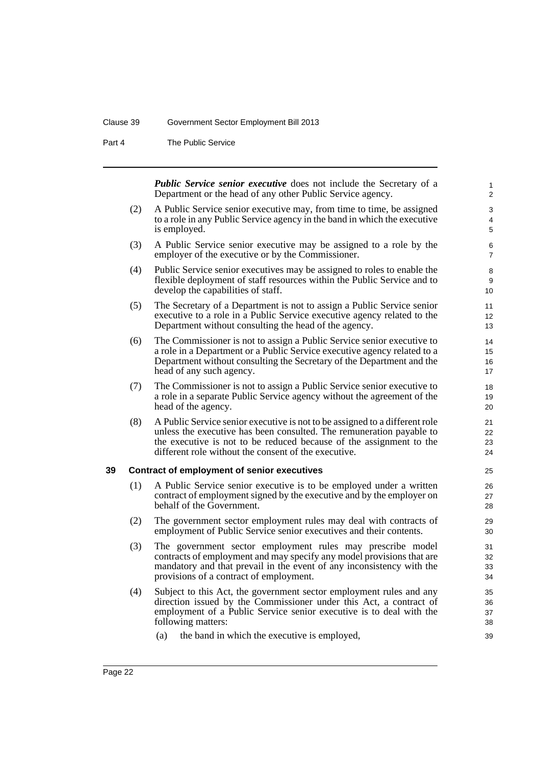#### Clause 39 Government Sector Employment Bill 2013

Part 4 The Public Service

*Public Service senior executive* does not include the Secretary of a Department or the head of any other Public Service agency.

- (2) A Public Service senior executive may, from time to time, be assigned to a role in any Public Service agency in the band in which the executive is employed.
- (3) A Public Service senior executive may be assigned to a role by the employer of the executive or by the Commissioner.
- (4) Public Service senior executives may be assigned to roles to enable the flexible deployment of staff resources within the Public Service and to develop the capabilities of staff.
- (5) The Secretary of a Department is not to assign a Public Service senior executive to a role in a Public Service executive agency related to the Department without consulting the head of the agency.
- (6) The Commissioner is not to assign a Public Service senior executive to a role in a Department or a Public Service executive agency related to a Department without consulting the Secretary of the Department and the head of any such agency.
- (7) The Commissioner is not to assign a Public Service senior executive to a role in a separate Public Service agency without the agreement of the head of the agency.
- (8) A Public Service senior executive is not to be assigned to a different role unless the executive has been consulted. The remuneration payable to the executive is not to be reduced because of the assignment to the different role without the consent of the executive.

#### **39 Contract of employment of senior executives**

- (1) A Public Service senior executive is to be employed under a written contract of employment signed by the executive and by the employer on behalf of the Government.
- (2) The government sector employment rules may deal with contracts of employment of Public Service senior executives and their contents.
- (3) The government sector employment rules may prescribe model contracts of employment and may specify any model provisions that are mandatory and that prevail in the event of any inconsistency with the provisions of a contract of employment.
- (4) Subject to this Act, the government sector employment rules and any direction issued by the Commissioner under this Act, a contract of employment of a Public Service senior executive is to deal with the following matters:
	- (a) the band in which the executive is employed,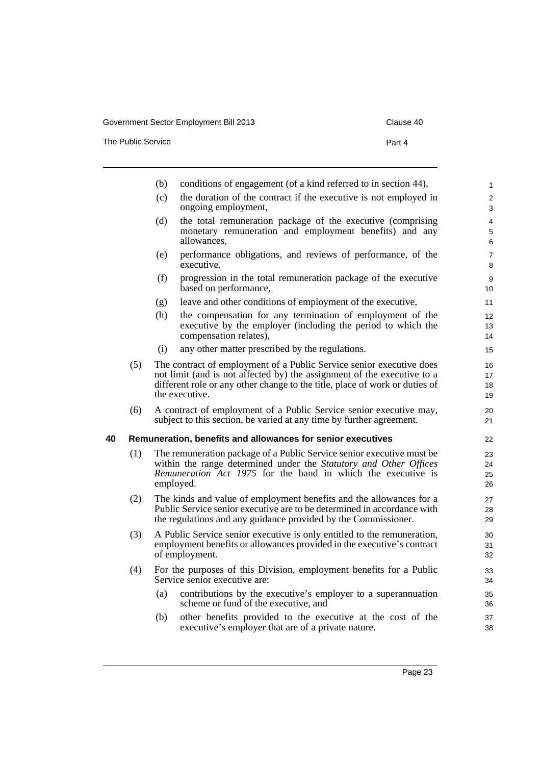The Public Service **Part 4** 

|    |     | (b) | conditions of engagement (of a kind referred to in section 44),                                                                                                                                                                                  | $\mathbf{1}$         |
|----|-----|-----|--------------------------------------------------------------------------------------------------------------------------------------------------------------------------------------------------------------------------------------------------|----------------------|
|    |     | (c) | the duration of the contract if the executive is not employed in<br>ongoing employment,                                                                                                                                                          | 2<br>3               |
|    |     | (d) | the total remuneration package of the executive (comprising<br>monetary remuneration and employment benefits) and any<br>allowances,                                                                                                             | 4<br>5<br>6          |
|    |     | (e) | performance obligations, and reviews of performance, of the<br>executive,                                                                                                                                                                        | $\overline{7}$<br>8  |
|    |     | (f) | progression in the total remuneration package of the executive<br>based on performance,                                                                                                                                                          | 9<br>10              |
|    |     | (g) | leave and other conditions of employment of the executive,                                                                                                                                                                                       | 11                   |
|    |     | (h) | the compensation for any termination of employment of the<br>executive by the employer (including the period to which the<br>compensation relates),                                                                                              | 12<br>13<br>14       |
|    |     | (i) | any other matter prescribed by the regulations.                                                                                                                                                                                                  | 15                   |
|    | (5) |     | The contract of employment of a Public Service senior executive does<br>not limit (and is not affected by) the assignment of the executive to a<br>different role or any other change to the title, place of work or duties of<br>the executive. | 16<br>17<br>18<br>19 |
|    | (6) |     | A contract of employment of a Public Service senior executive may,<br>subject to this section, be varied at any time by further agreement.                                                                                                       | 20<br>21             |
| 40 |     |     | Remuneration, benefits and allowances for senior executives                                                                                                                                                                                      | 22                   |
|    | (1) |     | The remuneration package of a Public Service senior executive must be<br>within the range determined under the Statutory and Other Offices<br>Remuneration Act 1975 for the band in which the executive is<br>employed.                          | 23<br>24<br>25<br>26 |
|    | (2) |     | The kinds and value of employment benefits and the allowances for a<br>Public Service senior executive are to be determined in accordance with<br>the regulations and any guidance provided by the Commissioner.                                 | 27<br>28<br>29       |
|    | (3) |     | A Public Service senior executive is only entitled to the remuneration,<br>employment benefits or allowances provided in the executive's contract<br>of employment.                                                                              | 30<br>31<br>32       |
|    | (4) |     | For the purposes of this Division, employment benefits for a Public<br>Service senior executive are:                                                                                                                                             | 33<br>34             |
|    |     | (a) | contributions by the executive's employer to a superannuation<br>scheme or fund of the executive, and                                                                                                                                            | 35<br>36             |
|    |     | (b) | other benefits provided to the executive at the cost of the                                                                                                                                                                                      | 37                   |

executive's employer that are of a private nature.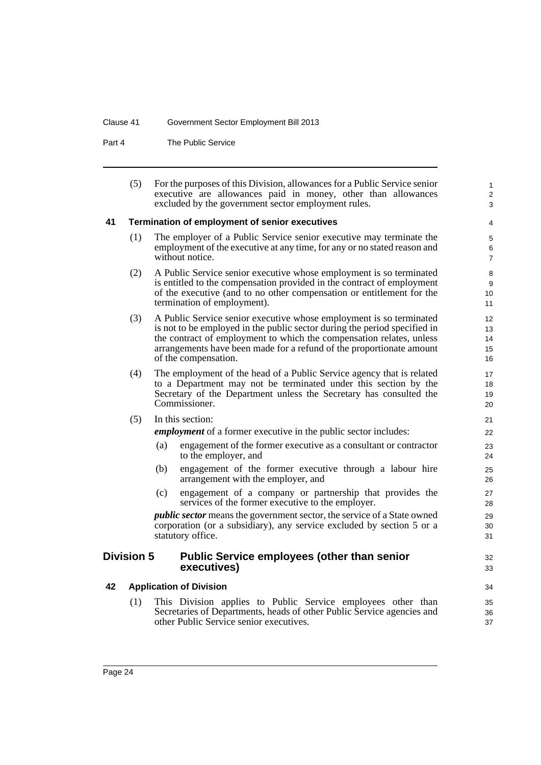#### Clause 41 Government Sector Employment Bill 2013

Part 4 The Public Service

| (5) | For the purposes of this Division, allowances for a Public Service senior |
|-----|---------------------------------------------------------------------------|
|     | executive are allowances paid in money, other than allowances             |
|     | excluded by the government sector employment rules.                       |

1 2 3

 $32$ 33

## **41 Termination of employment of senior executives**

- (1) The employer of a Public Service senior executive may terminate the employment of the executive at any time, for any or no stated reason and without notice.
- (2) A Public Service senior executive whose employment is so terminated is entitled to the compensation provided in the contract of employment of the executive (and to no other compensation or entitlement for the termination of employment).
- (3) A Public Service senior executive whose employment is so terminated is not to be employed in the public sector during the period specified in the contract of employment to which the compensation relates, unless arrangements have been made for a refund of the proportionate amount of the compensation.
- (4) The employment of the head of a Public Service agency that is related to a Department may not be terminated under this section by the Secretary of the Department unless the Secretary has consulted the Commissioner.
- (5) In this section:

*employment* of a former executive in the public sector includes:

- (a) engagement of the former executive as a consultant or contractor to the employer, and
- (b) engagement of the former executive through a labour hire arrangement with the employer, and
- (c) engagement of a company or partnership that provides the services of the former executive to the employer.

*public sector* means the government sector, the service of a State owned corporation (or a subsidiary), any service excluded by section 5 or a statutory office.

## **Division 5 Public Service employees (other than senior executives)**

## **42 Application of Division**

(1) This Division applies to Public Service employees other than Secretaries of Departments, heads of other Public Service agencies and other Public Service senior executives.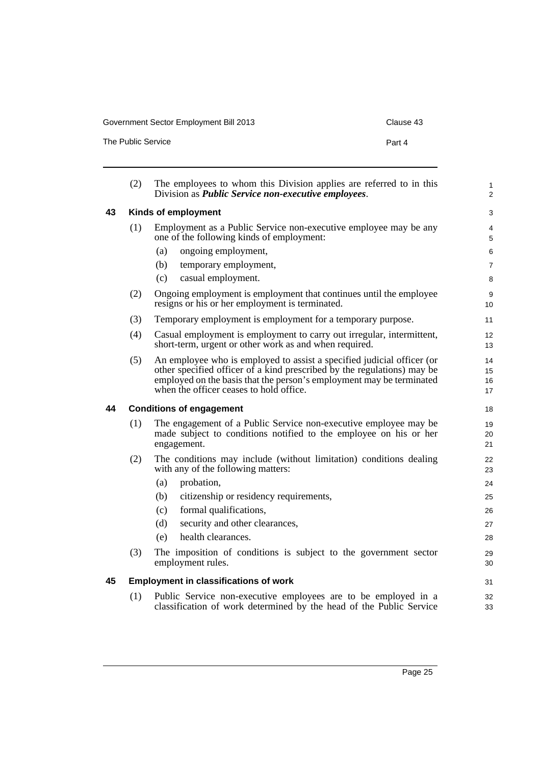| The Public Service | Part 4 |
|--------------------|--------|

|    | (2)                 | The employees to whom this Division applies are referred to in this<br>Division as <i>Public Service non-executive employees</i> .                                                                                                                                   | 1<br>$\overline{2}$  |
|----|---------------------|----------------------------------------------------------------------------------------------------------------------------------------------------------------------------------------------------------------------------------------------------------------------|----------------------|
| 43 | Kinds of employment |                                                                                                                                                                                                                                                                      |                      |
|    | (1)                 | Employment as a Public Service non-executive employee may be any<br>one of the following kinds of employment:                                                                                                                                                        | 4<br>5               |
|    |                     | ongoing employment,<br>(a)                                                                                                                                                                                                                                           | 6                    |
|    |                     | (b)<br>temporary employment,                                                                                                                                                                                                                                         | $\overline{7}$       |
|    |                     | casual employment.<br>(c)                                                                                                                                                                                                                                            | 8                    |
|    | (2)                 | Ongoing employment is employment that continues until the employee<br>resigns or his or her employment is terminated.                                                                                                                                                | 9<br>10              |
|    | (3)                 | Temporary employment is employment for a temporary purpose.                                                                                                                                                                                                          | 11                   |
|    | (4)                 | Casual employment is employment to carry out irregular, intermittent,<br>short-term, urgent or other work as and when required.                                                                                                                                      | 12<br>13             |
|    | (5)                 | An employee who is employed to assist a specified judicial officer (or<br>other specified officer of a kind prescribed by the regulations) may be<br>employed on the basis that the person's employment may be terminated<br>when the officer ceases to hold office. | 14<br>15<br>16<br>17 |
|    |                     |                                                                                                                                                                                                                                                                      |                      |
| 44 |                     | <b>Conditions of engagement</b>                                                                                                                                                                                                                                      | 18                   |
|    | (1)                 | The engagement of a Public Service non-executive employee may be<br>made subject to conditions notified to the employee on his or her<br>engagement.                                                                                                                 | 19<br>20<br>21       |
|    | (2)                 | The conditions may include (without limitation) conditions dealing<br>with any of the following matters:                                                                                                                                                             | 22<br>23             |
|    |                     | (a)<br>probation,                                                                                                                                                                                                                                                    | 24                   |
|    |                     | citizenship or residency requirements,<br>(b)                                                                                                                                                                                                                        | 25                   |
|    |                     | formal qualifications,<br>(c)                                                                                                                                                                                                                                        | 26                   |
|    |                     | security and other clearances,<br>(d)                                                                                                                                                                                                                                | 27                   |
|    |                     | health clearances.<br>(e)                                                                                                                                                                                                                                            | 28                   |
|    | (3)                 | The imposition of conditions is subject to the government sector<br>employment rules.                                                                                                                                                                                |                      |
| 45 |                     | <b>Employment in classifications of work</b>                                                                                                                                                                                                                         | 29<br>30<br>31       |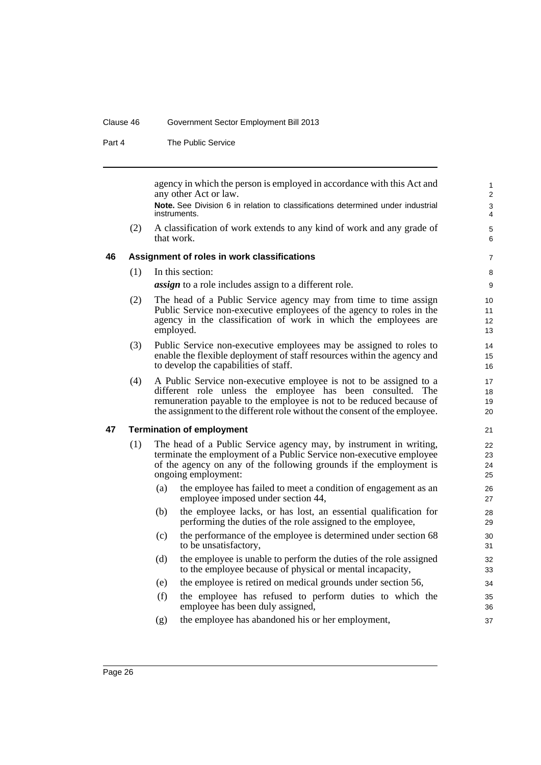#### Clause 46 Government Sector Employment Bill 2013

Part 4 The Public Service

agency in which the person is employed in accordance with this Act and any other Act or law.

**Note.** See Division 6 in relation to classifications determined under industrial instruments.

(2) A classification of work extends to any kind of work and any grade of that work.

#### **46 Assignment of roles in work classifications**

(1) In this section:

*assign* to a role includes assign to a different role.

- (2) The head of a Public Service agency may from time to time assign Public Service non-executive employees of the agency to roles in the agency in the classification of work in which the employees are employed.
- (3) Public Service non-executive employees may be assigned to roles to enable the flexible deployment of staff resources within the agency and to develop the capabilities of staff.
- (4) A Public Service non-executive employee is not to be assigned to a different role unless the employee has been consulted. The remuneration payable to the employee is not to be reduced because of the assignment to the different role without the consent of the employee.

#### **47 Termination of employment**

- (1) The head of a Public Service agency may, by instrument in writing, terminate the employment of a Public Service non-executive employee of the agency on any of the following grounds if the employment is ongoing employment:
	- (a) the employee has failed to meet a condition of engagement as an employee imposed under section 44,
	- (b) the employee lacks, or has lost, an essential qualification for performing the duties of the role assigned to the employee,
	- (c) the performance of the employee is determined under section 68 to be unsatisfactory,
	- (d) the employee is unable to perform the duties of the role assigned to the employee because of physical or mental incapacity,
	- (e) the employee is retired on medical grounds under section 56,
	- (f) the employee has refused to perform duties to which the employee has been duly assigned,
	- (g) the employee has abandoned his or her employment,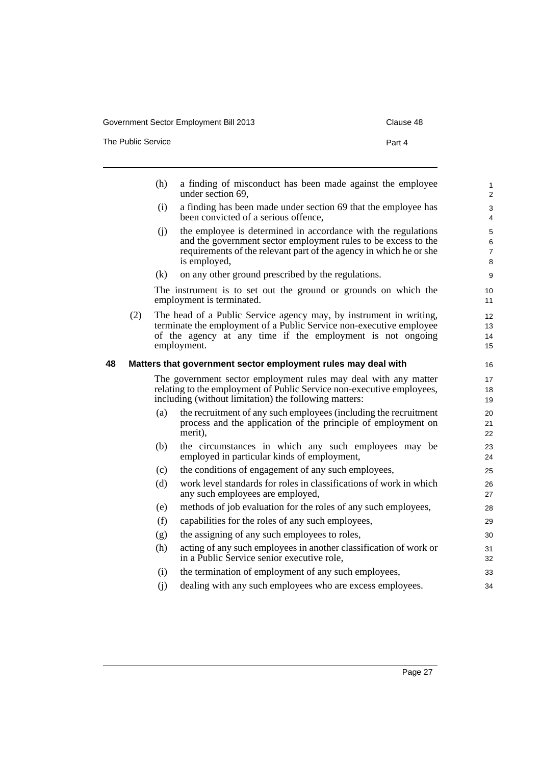The Public Service **Part 4** 

|    |     | (h) | a finding of misconduct has been made against the employee<br>under section 69,                                                                                                                                        | $\mathbf{1}$<br>2             |
|----|-----|-----|------------------------------------------------------------------------------------------------------------------------------------------------------------------------------------------------------------------------|-------------------------------|
|    |     | (i) | a finding has been made under section 69 that the employee has<br>been convicted of a serious offence,                                                                                                                 | $\mathsf 3$<br>$\overline{4}$ |
|    |     | (i) | the employee is determined in accordance with the regulations<br>and the government sector employment rules to be excess to the<br>requirements of the relevant part of the agency in which he or she<br>is employed,  | 5<br>6<br>$\overline{7}$<br>8 |
|    |     | (k) | on any other ground prescribed by the regulations.                                                                                                                                                                     | $\boldsymbol{9}$              |
|    |     |     | The instrument is to set out the ground or grounds on which the<br>employment is terminated.                                                                                                                           | 10<br>11                      |
|    | (2) |     | The head of a Public Service agency may, by instrument in writing,<br>terminate the employment of a Public Service non-executive employee<br>of the agency at any time if the employment is not ongoing<br>employment. | 12<br>13<br>14<br>15          |
| 48 |     |     | Matters that government sector employment rules may deal with                                                                                                                                                          | 16                            |
|    |     |     | The government sector employment rules may deal with any matter<br>relating to the employment of Public Service non-executive employees,<br>including (without limitation) the following matters:                      | 17<br>18<br>19                |
|    |     | (a) | the recruitment of any such employees (including the recruitment<br>process and the application of the principle of employment on<br>merit),                                                                           | 20<br>21<br>22                |
|    |     | (b) | the circumstances in which any such employees may be<br>employed in particular kinds of employment,                                                                                                                    | 23<br>24                      |
|    |     | (c) | the conditions of engagement of any such employees,                                                                                                                                                                    | 25                            |
|    |     | (d) | work level standards for roles in classifications of work in which<br>any such employees are employed,                                                                                                                 | 26<br>27                      |
|    |     | (e) | methods of job evaluation for the roles of any such employees,                                                                                                                                                         | 28                            |
|    |     | (f) | capabilities for the roles of any such employees,                                                                                                                                                                      | 29                            |
|    |     | (g) | the assigning of any such employees to roles,                                                                                                                                                                          | 30                            |
|    |     | (h) | acting of any such employees in another classification of work or<br>in a Public Service senior executive role,                                                                                                        | 31<br>32                      |
|    |     | (i) | the termination of employment of any such employees,                                                                                                                                                                   | 33                            |
|    |     | (i) | dealing with any such employees who are excess employees.                                                                                                                                                              | 34                            |
|    |     |     |                                                                                                                                                                                                                        |                               |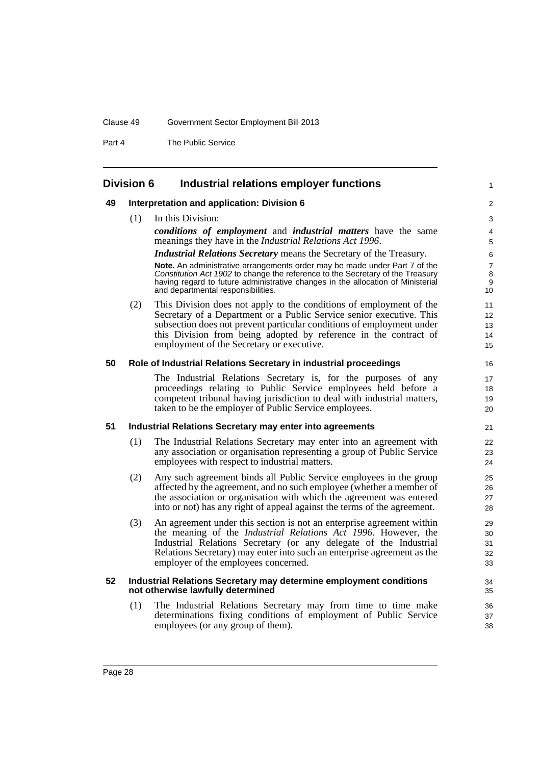#### Clause 49 Government Sector Employment Bill 2013

Part 4 The Public Service

## **Division 6 Industrial relations employer functions**

#### **49 Interpretation and application: Division 6**

(1) In this Division:

*conditions of employment* and *industrial matters* have the same meanings they have in the *Industrial Relations Act 1996*.

1

#### *Industrial Relations Secretary* means the Secretary of the Treasury.

**Note.** An administrative arrangements order may be made under Part 7 of the *Constitution Act 1902* to change the reference to the Secretary of the Treasury having regard to future administrative changes in the allocation of Ministerial and departmental responsibilities.

(2) This Division does not apply to the conditions of employment of the Secretary of a Department or a Public Service senior executive. This subsection does not prevent particular conditions of employment under this Division from being adopted by reference in the contract of employment of the Secretary or executive.

#### **50 Role of Industrial Relations Secretary in industrial proceedings**

The Industrial Relations Secretary is, for the purposes of any proceedings relating to Public Service employees held before a competent tribunal having jurisdiction to deal with industrial matters, taken to be the employer of Public Service employees.

#### **51 Industrial Relations Secretary may enter into agreements**

- (1) The Industrial Relations Secretary may enter into an agreement with any association or organisation representing a group of Public Service employees with respect to industrial matters.
- (2) Any such agreement binds all Public Service employees in the group affected by the agreement, and no such employee (whether a member of the association or organisation with which the agreement was entered into or not) has any right of appeal against the terms of the agreement.
- (3) An agreement under this section is not an enterprise agreement within the meaning of the *Industrial Relations Act 1996*. However, the Industrial Relations Secretary (or any delegate of the Industrial Relations Secretary) may enter into such an enterprise agreement as the employer of the employees concerned.

#### **52 Industrial Relations Secretary may determine employment conditions not otherwise lawfully determined**

(1) The Industrial Relations Secretary may from time to time make determinations fixing conditions of employment of Public Service employees (or any group of them).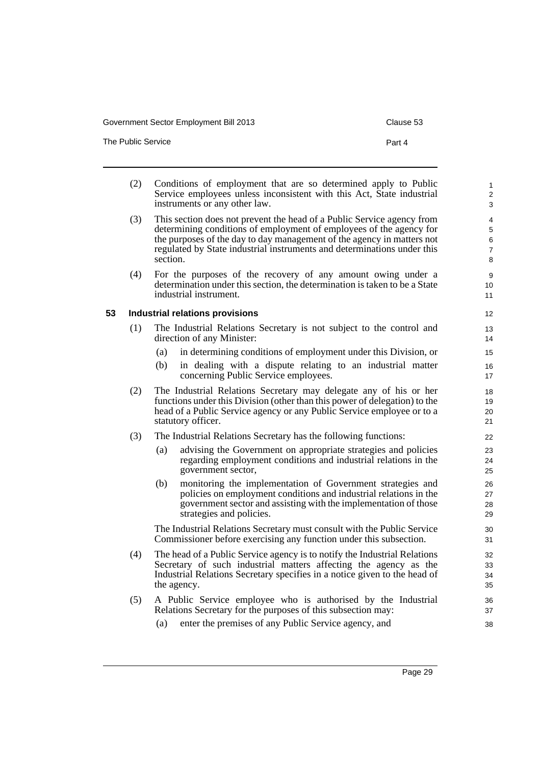The Public Service **Part 4** 

- (2) Conditions of employment that are so determined apply to Public Service employees unless inconsistent with this Act, State industrial instruments or any other law. (3) This section does not prevent the head of a Public Service agency from determining conditions of employment of employees of the agency for the purposes of the day to day management of the agency in matters not regulated by State industrial instruments and determinations under this section. (4) For the purposes of the recovery of any amount owing under a determination under this section, the determination is taken to be a State industrial instrument. **53 Industrial relations provisions** (1) The Industrial Relations Secretary is not subject to the control and direction of any Minister: (a) in determining conditions of employment under this Division, or (b) in dealing with a dispute relating to an industrial matter concerning Public Service employees. (2) The Industrial Relations Secretary may delegate any of his or her functions under this Division (other than this power of delegation) to the head of a Public Service agency or any Public Service employee or to a statutory officer. (3) The Industrial Relations Secretary has the following functions: (a) advising the Government on appropriate strategies and policies regarding employment conditions and industrial relations in the government sector, (b) monitoring the implementation of Government strategies and policies on employment conditions and industrial relations in the government sector and assisting with the implementation of those strategies and policies. The Industrial Relations Secretary must consult with the Public Service Commissioner before exercising any function under this subsection. (4) The head of a Public Service agency is to notify the Industrial Relations Secretary of such industrial matters affecting the agency as the Industrial Relations Secretary specifies in a notice given to the head of the agency. (5) A Public Service employee who is authorised by the Industrial Relations Secretary for the purposes of this subsection may: 1  $\overline{2}$ 3 4 5 6 7 8 9 10 11 12 13 14 15 16 17 18 19 20 21 22  $2<sup>2</sup>$ 24 25 26 27 28 29 30 31 32 33  $34$ 35 36 37
	- (a) enter the premises of any Public Service agency, and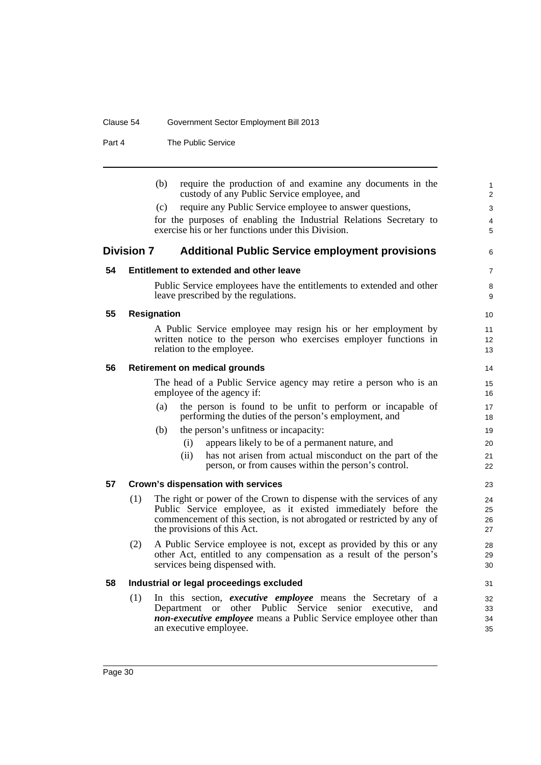## Clause 54 Government Sector Employment Bill 2013

Part 4 The Public Service

|    | require the production of and examine any documents in the<br>(b)<br>custody of any Public Service employee, and                                  | $\mathbf{1}$<br>2 |
|----|---------------------------------------------------------------------------------------------------------------------------------------------------|-------------------|
|    | require any Public Service employee to answer questions,<br>(c)                                                                                   | 3                 |
|    | for the purposes of enabling the Industrial Relations Secretary to                                                                                | 4                 |
|    | exercise his or her functions under this Division.                                                                                                | 5                 |
|    | <b>Division 7</b><br><b>Additional Public Service employment provisions</b>                                                                       | 6                 |
| 54 | Entitlement to extended and other leave                                                                                                           | $\overline{7}$    |
|    | Public Service employees have the entitlements to extended and other<br>leave prescribed by the regulations.                                      | 8<br>9            |
| 55 | <b>Resignation</b>                                                                                                                                | 10                |
|    | A Public Service employee may resign his or her employment by                                                                                     | 11                |
|    | written notice to the person who exercises employer functions in                                                                                  | 12                |
|    | relation to the employee.                                                                                                                         | 13                |
| 56 | <b>Retirement on medical grounds</b>                                                                                                              | 14                |
|    | The head of a Public Service agency may retire a person who is an                                                                                 | 15                |
|    | employee of the agency if:                                                                                                                        | 16                |
|    | the person is found to be unfit to perform or incapable of<br>(a)<br>performing the duties of the person's employment, and                        | 17<br>18          |
|    | the person's unfitness or incapacity:<br>(b)                                                                                                      | 19                |
|    | appears likely to be of a permanent nature, and<br>(i)                                                                                            | 20                |
|    | (ii)<br>has not arisen from actual misconduct on the part of the                                                                                  | 21                |
|    | person, or from causes within the person's control.                                                                                               | 22                |
| 57 | Crown's dispensation with services                                                                                                                | 23                |
|    | The right or power of the Crown to dispense with the services of any<br>(1)                                                                       | 24                |
|    | Public Service employee, as it existed immediately before the                                                                                     | 25                |
|    | commencement of this section, is not abrogated or restricted by any of<br>the provisions of this Act.                                             | 26<br>27          |
|    |                                                                                                                                                   |                   |
|    | A Public Service employee is not, except as provided by this or any<br>(2)<br>other Act, entitled to any compensation as a result of the person's | 28<br>29          |
|    | services being dispensed with.                                                                                                                    | 30                |
| 58 | Industrial or legal proceedings excluded                                                                                                          | 31                |
|    | In this section, executive employee means the Secretary of a<br>(1)                                                                               | 32                |
|    | Department or other Public Service<br>senior<br>executive,<br>and                                                                                 | 33                |
|    | non-executive employee means a Public Service employee other than                                                                                 | 34                |
|    | an executive employee.                                                                                                                            | 35                |
|    |                                                                                                                                                   |                   |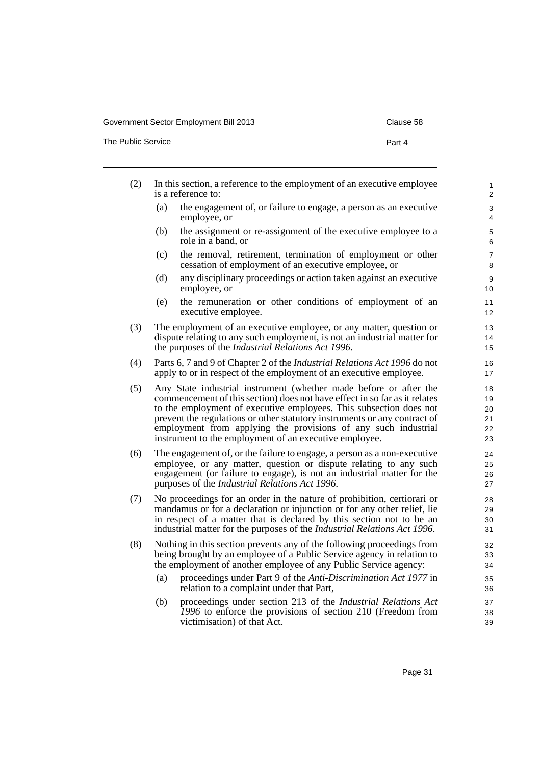The Public Service **Part 4** 

| (2) | In this section, a reference to the employment of an executive employee<br>is a reference to:                                                                                                                                                                                                                                                                                                                                  | $\mathbf{1}$<br>$\overline{2}$   |
|-----|--------------------------------------------------------------------------------------------------------------------------------------------------------------------------------------------------------------------------------------------------------------------------------------------------------------------------------------------------------------------------------------------------------------------------------|----------------------------------|
|     | the engagement of, or failure to engage, a person as an executive<br>(a)<br>employee, or                                                                                                                                                                                                                                                                                                                                       | 3<br>4                           |
|     | the assignment or re-assignment of the executive employee to a<br>(b)<br>role in a band, or                                                                                                                                                                                                                                                                                                                                    | 5<br>6                           |
|     | the removal, retirement, termination of employment or other<br>(c)<br>cessation of employment of an executive employee, or                                                                                                                                                                                                                                                                                                     | $\overline{7}$<br>8              |
|     | (d)<br>any disciplinary proceedings or action taken against an executive<br>employee, or                                                                                                                                                                                                                                                                                                                                       | 9<br>10                          |
|     | the remuneration or other conditions of employment of an<br>(e)<br>executive employee.                                                                                                                                                                                                                                                                                                                                         | 11<br>12                         |
| (3) | The employment of an executive employee, or any matter, question or<br>dispute relating to any such employment, is not an industrial matter for<br>the purposes of the <i>Industrial Relations Act 1996</i> .                                                                                                                                                                                                                  | 13<br>14<br>15                   |
| (4) | Parts 6, 7 and 9 of Chapter 2 of the <i>Industrial Relations Act 1996</i> do not<br>apply to or in respect of the employment of an executive employee.                                                                                                                                                                                                                                                                         | 16<br>17                         |
| (5) | Any State industrial instrument (whether made before or after the<br>commencement of this section) does not have effect in so far as it relates<br>to the employment of executive employees. This subsection does not<br>prevent the regulations or other statutory instruments or any contract of<br>employment from applying the provisions of any such industrial<br>instrument to the employment of an executive employee. | 18<br>19<br>20<br>21<br>22<br>23 |
| (6) | The engagement of, or the failure to engage, a person as a non-executive<br>employee, or any matter, question or dispute relating to any such<br>engagement (or failure to engage), is not an industrial matter for the<br>purposes of the Industrial Relations Act 1996.                                                                                                                                                      | 24<br>25<br>26<br>27             |
| (7) | No proceedings for an order in the nature of prohibition, certiorari or<br>mandamus or for a declaration or injunction or for any other relief, lie<br>in respect of a matter that is declared by this section not to be an<br>industrial matter for the purposes of the Industrial Relations Act 1996.                                                                                                                        | 28<br>29<br>30<br>31             |
| (8) | Nothing in this section prevents any of the following proceedings from<br>being brought by an employee of a Public Service agency in relation to<br>the employment of another employee of any Public Service agency:                                                                                                                                                                                                           | 32<br>33<br>34                   |
|     | proceedings under Part 9 of the Anti-Discrimination Act 1977 in<br>(a)<br>relation to a complaint under that Part,                                                                                                                                                                                                                                                                                                             | 35<br>36                         |
|     | proceedings under section 213 of the Industrial Relations Act<br>(b)<br>1996 to enforce the provisions of section 210 (Freedom from<br>victimisation) of that Act.                                                                                                                                                                                                                                                             | 37<br>38<br>39                   |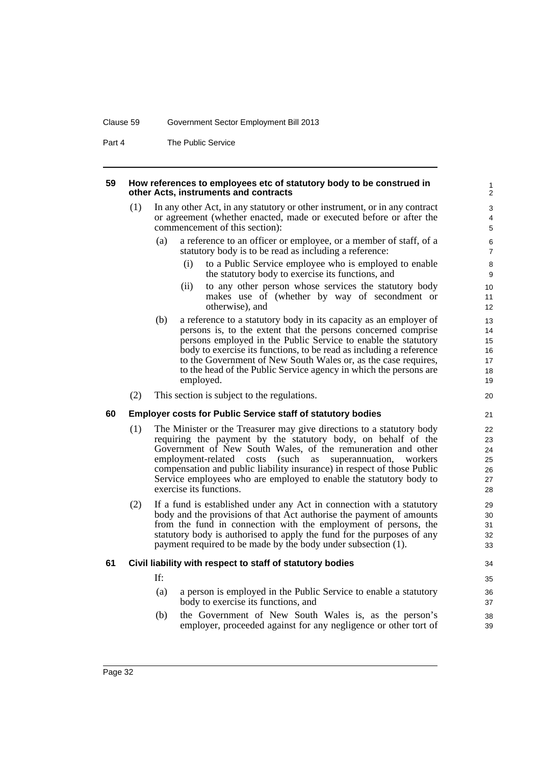#### Clause 59 Government Sector Employment Bill 2013

Part 4 The Public Service

#### **59 How references to employees etc of statutory body to be construed in other Acts, instruments and contracts**

- (1) In any other Act, in any statutory or other instrument, or in any contract or agreement (whether enacted, made or executed before or after the commencement of this section):
	- (a) a reference to an officer or employee, or a member of staff, of a statutory body is to be read as including a reference:
		- (i) to a Public Service employee who is employed to enable the statutory body to exercise its functions, and

- (ii) to any other person whose services the statutory body makes use of (whether by way of secondment or otherwise), and
- (b) a reference to a statutory body in its capacity as an employer of persons is, to the extent that the persons concerned comprise persons employed in the Public Service to enable the statutory body to exercise its functions, to be read as including a reference to the Government of New South Wales or, as the case requires, to the head of the Public Service agency in which the persons are employed.
- (2) This section is subject to the regulations.

#### **60 Employer costs for Public Service staff of statutory bodies**

- (1) The Minister or the Treasurer may give directions to a statutory body requiring the payment by the statutory body, on behalf of the Government of New South Wales, of the remuneration and other employment-related costs (such as superannuation, workers compensation and public liability insurance) in respect of those Public Service employees who are employed to enable the statutory body to exercise its functions.
- (2) If a fund is established under any Act in connection with a statutory body and the provisions of that Act authorise the payment of amounts from the fund in connection with the employment of persons, the statutory body is authorised to apply the fund for the purposes of any payment required to be made by the body under subsection (1).

#### **61 Civil liability with respect to staff of statutory bodies**

- If:
- (a) a person is employed in the Public Service to enable a statutory body to exercise its functions, and
- (b) the Government of New South Wales is, as the person's employer, proceeded against for any negligence or other tort of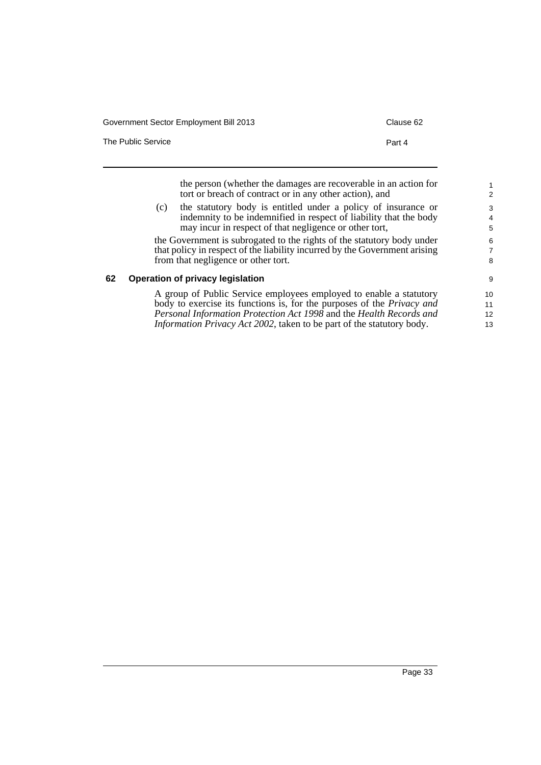| Government Sector Employment Bill 2013 | Clause 62 |
|----------------------------------------|-----------|
| The Public Service                     | Part 4    |
|                                        |           |

the person (whether the damages are recoverable in an action for tort or breach of contract or in any other action), and (c) the statutory body is entitled under a policy of insurance or

indemnity to be indemnified in respect of liability that the body may incur in respect of that negligence or other tort,

the Government is subrogated to the rights of the statutory body under that policy in respect of the liability incurred by the Government arising from that negligence or other tort.

## **62 Operation of privacy legislation**

A group of Public Service employees employed to enable a statutory body to exercise its functions is, for the purposes of the *Privacy and Personal Information Protection Act 1998* and the *Health Records and Information Privacy Act 2002*, taken to be part of the statutory body.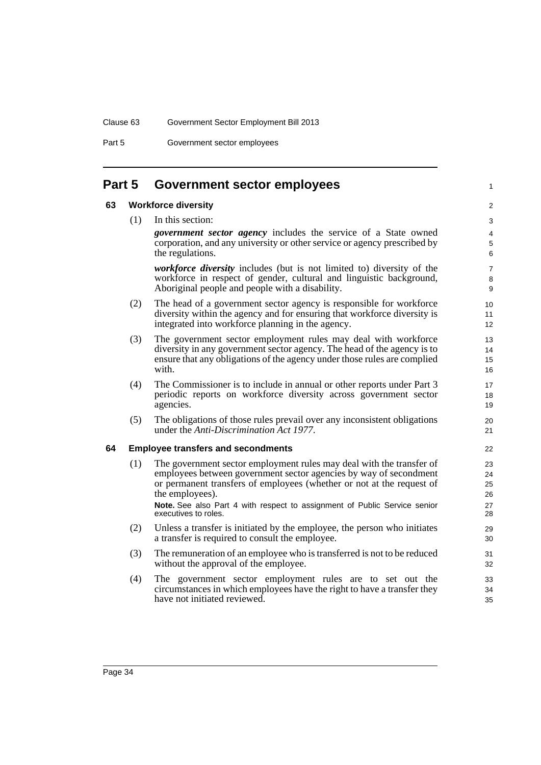Part 5 Government sector employees

# **Part 5 Government sector employees**

#### **63 Workforce diversity**

(1) In this section:

 $\overline{2}$ 3

1

*government sector agency* includes the service of a State owned corporation, and any university or other service or agency prescribed by the regulations.

*workforce diversity* includes (but is not limited to) diversity of the workforce in respect of gender, cultural and linguistic background, Aboriginal people and people with a disability.

- (2) The head of a government sector agency is responsible for workforce diversity within the agency and for ensuring that workforce diversity is integrated into workforce planning in the agency.
- (3) The government sector employment rules may deal with workforce diversity in any government sector agency. The head of the agency is to ensure that any obligations of the agency under those rules are complied with.
- (4) The Commissioner is to include in annual or other reports under Part 3 periodic reports on workforce diversity across government sector agencies.
- (5) The obligations of those rules prevail over any inconsistent obligations under the *Anti-Discrimination Act 1977*.

#### **64 Employee transfers and secondments**

- (1) The government sector employment rules may deal with the transfer of employees between government sector agencies by way of secondment or permanent transfers of employees (whether or not at the request of the employees). **Note.** See also Part 4 with respect to assignment of Public Service senior executives to roles.
- (2) Unless a transfer is initiated by the employee, the person who initiates a transfer is required to consult the employee.
- (3) The remuneration of an employee who is transferred is not to be reduced without the approval of the employee.
- (4) The government sector employment rules are to set out the circumstances in which employees have the right to have a transfer they have not initiated reviewed.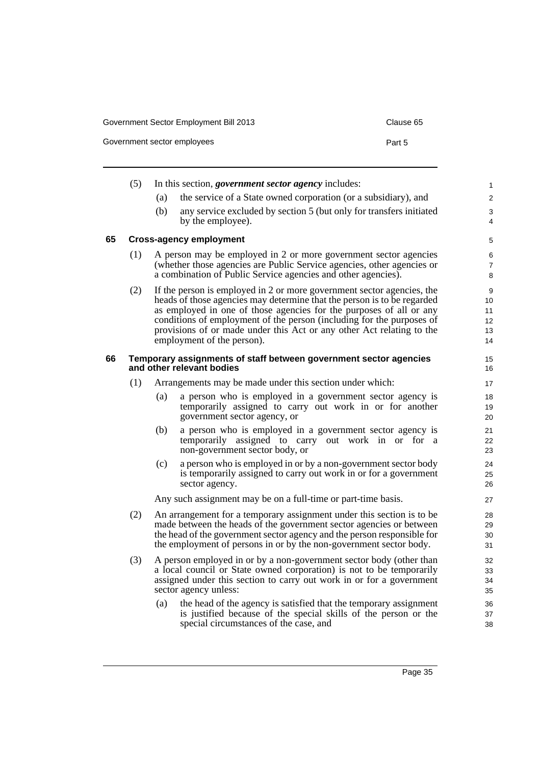Government sector employees example of the sector employees of the sector of the Part 5

|    | (5) |     | In this section, <i>government sector agency</i> includes:                                                                                                                                                                                                                                                                                                                                               | 1                               |
|----|-----|-----|----------------------------------------------------------------------------------------------------------------------------------------------------------------------------------------------------------------------------------------------------------------------------------------------------------------------------------------------------------------------------------------------------------|---------------------------------|
|    |     | (a) | the service of a State owned corporation (or a subsidiary), and                                                                                                                                                                                                                                                                                                                                          | 2                               |
|    |     | (b) | any service excluded by section 5 (but only for transfers initiated<br>by the employee).                                                                                                                                                                                                                                                                                                                 | 3<br>4                          |
| 65 |     |     | <b>Cross-agency employment</b>                                                                                                                                                                                                                                                                                                                                                                           | 5                               |
|    | (1) |     | A person may be employed in 2 or more government sector agencies<br>(whether those agencies are Public Service agencies, other agencies or<br>a combination of Public Service agencies and other agencies).                                                                                                                                                                                              | 6<br>7<br>8                     |
|    | (2) |     | If the person is employed in 2 or more government sector agencies, the<br>heads of those agencies may determine that the person is to be regarded<br>as employed in one of those agencies for the purposes of all or any<br>conditions of employment of the person (including for the purposes of<br>provisions of or made under this Act or any other Act relating to the<br>employment of the person). | 9<br>10<br>11<br>12<br>13<br>14 |
| 66 |     |     | Temporary assignments of staff between government sector agencies<br>and other relevant bodies                                                                                                                                                                                                                                                                                                           | 15<br>16                        |
|    | (1) |     | Arrangements may be made under this section under which:                                                                                                                                                                                                                                                                                                                                                 | 17                              |
|    |     | (a) | a person who is employed in a government sector agency is<br>temporarily assigned to carry out work in or for another<br>government sector agency, or                                                                                                                                                                                                                                                    | 18<br>19<br>20                  |
|    |     | (b) | a person who is employed in a government sector agency is<br>temporarily assigned to carry out work in or for<br><sub>a</sub><br>non-government sector body, or                                                                                                                                                                                                                                          | 21<br>22<br>23                  |
|    |     | (c) | a person who is employed in or by a non-government sector body<br>is temporarily assigned to carry out work in or for a government<br>sector agency.                                                                                                                                                                                                                                                     | 24<br>25<br>26                  |
|    |     |     | Any such assignment may be on a full-time or part-time basis.                                                                                                                                                                                                                                                                                                                                            | 27                              |
|    | (2) |     | An arrangement for a temporary assignment under this section is to be<br>made between the heads of the government sector agencies or between<br>the head of the government sector agency and the person responsible for<br>the employment of persons in or by the non-government sector body.                                                                                                            | 28<br>29<br>30<br>31            |
|    | (3) |     | A person employed in or by a non-government sector body (other than<br>a local council or State owned corporation) is not to be temporarily<br>assigned under this section to carry out work in or for a government<br>sector agency unless:                                                                                                                                                             | 32<br>33<br>34<br>35            |
|    |     | (a) | the head of the agency is satisfied that the temporary assignment<br>is justified because of the special skills of the person or the<br>special circumstances of the case, and                                                                                                                                                                                                                           | 36<br>37<br>38                  |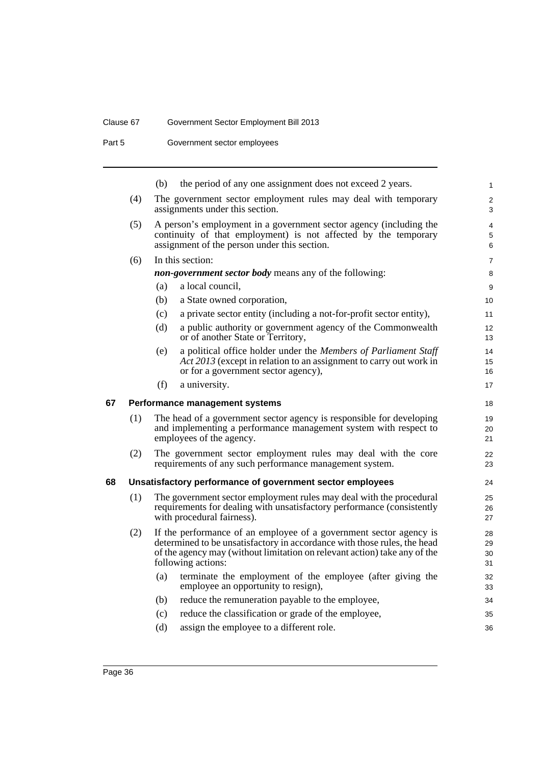## Clause 67 Government Sector Employment Bill 2013

Part 5 **Government sector employees** 

|    |     | (b)<br>the period of any one assignment does not exceed 2 years.                                                                                                                                                                                  |
|----|-----|---------------------------------------------------------------------------------------------------------------------------------------------------------------------------------------------------------------------------------------------------|
|    | (4) | The government sector employment rules may deal with temporary<br>assignments under this section.                                                                                                                                                 |
|    | (5) | A person's employment in a government sector agency (including the<br>continuity of that employment) is not affected by the temporary<br>assignment of the person under this section.                                                             |
|    | (6) | In this section:                                                                                                                                                                                                                                  |
|    |     | <i>non-government sector body</i> means any of the following:                                                                                                                                                                                     |
|    |     | (a)<br>a local council.                                                                                                                                                                                                                           |
|    |     | (b)<br>a State owned corporation,                                                                                                                                                                                                                 |
|    |     | (c)<br>a private sector entity (including a not-for-profit sector entity),                                                                                                                                                                        |
|    |     | (d)<br>a public authority or government agency of the Commonwealth<br>or of another State or Territory,                                                                                                                                           |
|    |     | a political office holder under the Members of Parliament Staff<br>(e)<br>Act 2013 (except in relation to an assignment to carry out work in<br>or for a government sector agency),                                                               |
|    |     | a university.<br>(f)                                                                                                                                                                                                                              |
| 67 |     | Performance management systems                                                                                                                                                                                                                    |
|    | (1) | The head of a government sector agency is responsible for developing<br>and implementing a performance management system with respect to<br>employees of the agency.                                                                              |
|    | (2) | The government sector employment rules may deal with the core<br>requirements of any such performance management system.                                                                                                                          |
| 68 |     | Unsatisfactory performance of government sector employees                                                                                                                                                                                         |
|    | (1) | The government sector employment rules may deal with the procedural<br>requirements for dealing with unsatisfactory performance (consistently<br>with procedural fairness).                                                                       |
|    | (2) | If the performance of an employee of a government sector agency is<br>determined to be unsatisfactory in accordance with those rules, the head<br>of the agency may (without limitation on relevant action) take any of the<br>following actions: |
|    |     | terminate the employment of the employee (after giving the<br>(a)<br>employee an opportunity to resign),                                                                                                                                          |
|    |     | reduce the remuneration payable to the employee,<br>(b)                                                                                                                                                                                           |
|    |     | reduce the classification or grade of the employee,<br>(c)                                                                                                                                                                                        |
|    |     | assign the employee to a different role.<br>(d)                                                                                                                                                                                                   |
|    |     |                                                                                                                                                                                                                                                   |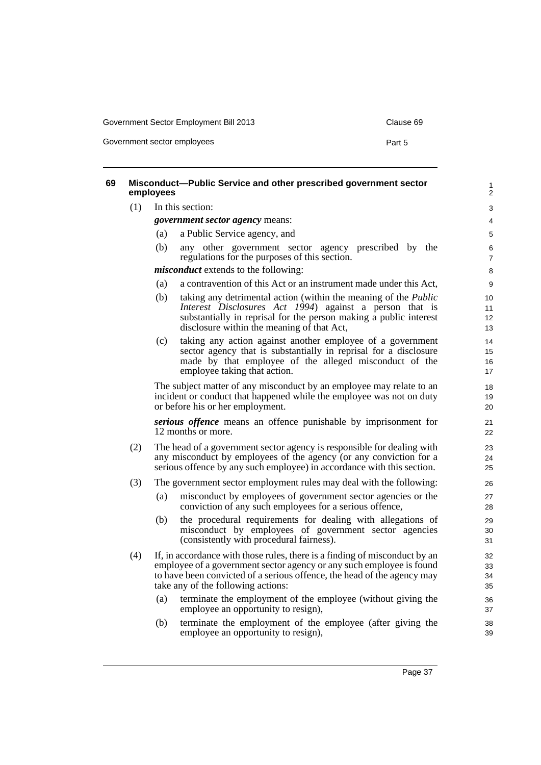Government sector employees **Part 5** 

**69 Misconduct—Public Service and other prescribed government sector employees** (1) In this section: *government sector agency* means: (a) a Public Service agency, and (b) any other government sector agency prescribed by the regulations for the purposes of this section. *misconduct* extends to the following: (a) a contravention of this Act or an instrument made under this Act, (b) taking any detrimental action (within the meaning of the *Public Interest Disclosures Act 1994*) against a person that is substantially in reprisal for the person making a public interest disclosure within the meaning of that Act, (c) taking any action against another employee of a government sector agency that is substantially in reprisal for a disclosure made by that employee of the alleged misconduct of the employee taking that action. The subject matter of any misconduct by an employee may relate to an incident or conduct that happened while the employee was not on duty or before his or her employment. *serious offence* means an offence punishable by imprisonment for 12 months or more. (2) The head of a government sector agency is responsible for dealing with any misconduct by employees of the agency (or any conviction for a serious offence by any such employee) in accordance with this section. (3) The government sector employment rules may deal with the following: (a) misconduct by employees of government sector agencies or the conviction of any such employees for a serious offence, (b) the procedural requirements for dealing with allegations of misconduct by employees of government sector agencies (consistently with procedural fairness). (4) If, in accordance with those rules, there is a finding of misconduct by an employee of a government sector agency or any such employee is found to have been convicted of a serious offence, the head of the agency may take any of the following actions: (a) terminate the employment of the employee (without giving the employee an opportunity to resign), (b) terminate the employment of the employee (after giving the employee an opportunity to resign), 1  $\overline{2}$  $\overline{a}$ 4 5 6 7 8  $\overline{Q}$ 10 11 12 13  $14$ 15 16 17 18 19  $20$ 21 22  $2<sup>2</sup>$ 24 25 26 27 28 29 30 31 32 33 34 35 36 37 38 39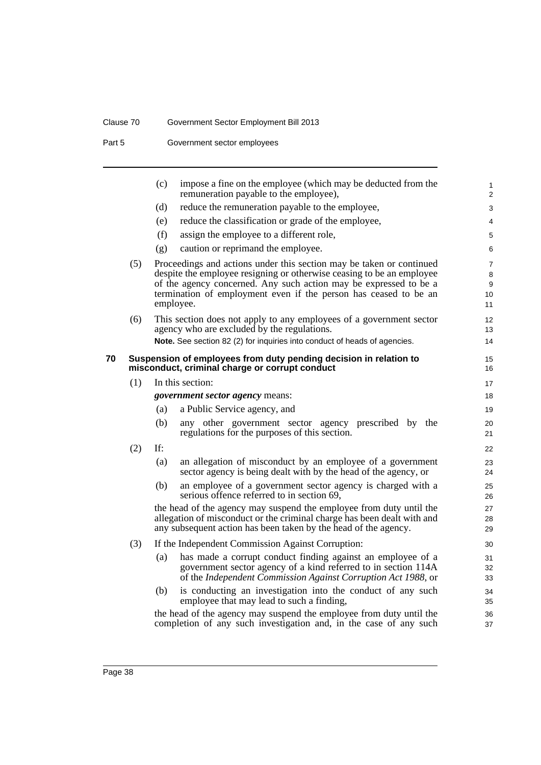## Clause 70 Government Sector Employment Bill 2013

Part 5 **Government sector employees** 

|    |     | (c) | impose a fine on the employee (which may be deducted from the<br>remuneration payable to the employee),                                                                                                           | 1<br>2         |
|----|-----|-----|-------------------------------------------------------------------------------------------------------------------------------------------------------------------------------------------------------------------|----------------|
|    |     | (d) | reduce the remuneration payable to the employee,                                                                                                                                                                  | 3              |
|    |     | (e) | reduce the classification or grade of the employee,                                                                                                                                                               | 4              |
|    |     | (f) | assign the employee to a different role,                                                                                                                                                                          | 5              |
|    |     | (g) | caution or reprimand the employee.                                                                                                                                                                                | 6              |
|    | (5) |     | Proceedings and actions under this section may be taken or continued                                                                                                                                              | $\overline{7}$ |
|    |     |     | despite the employee resigning or otherwise ceasing to be an employee                                                                                                                                             | 8              |
|    |     |     | of the agency concerned. Any such action may be expressed to be a                                                                                                                                                 | 9              |
|    |     |     | termination of employment even if the person has ceased to be an<br>employee.                                                                                                                                     | 10<br>11       |
|    | (6) |     | This section does not apply to any employees of a government sector                                                                                                                                               | 12             |
|    |     |     | agency who are excluded by the regulations.<br>Note. See section 82 (2) for inquiries into conduct of heads of agencies.                                                                                          | 13<br>14       |
|    |     |     |                                                                                                                                                                                                                   |                |
| 70 |     |     | Suspension of employees from duty pending decision in relation to                                                                                                                                                 | 15             |
|    |     |     | misconduct, criminal charge or corrupt conduct                                                                                                                                                                    | 16             |
|    | (1) |     | In this section:                                                                                                                                                                                                  | 17             |
|    |     |     | government sector agency means:                                                                                                                                                                                   | 18             |
|    |     | (a) | a Public Service agency, and                                                                                                                                                                                      | 19             |
|    |     | (b) | any other government sector agency prescribed by the<br>regulations for the purposes of this section.                                                                                                             | 20<br>21       |
|    | (2) | If: |                                                                                                                                                                                                                   | 22             |
|    |     | (a) | an allegation of misconduct by an employee of a government<br>sector agency is being dealt with by the head of the agency, or                                                                                     | 23<br>24       |
|    |     | (b) | an employee of a government sector agency is charged with a<br>serious offence referred to in section 69,                                                                                                         | 25<br>26       |
|    |     |     | the head of the agency may suspend the employee from duty until the<br>allegation of misconduct or the criminal charge has been dealt with and<br>any subsequent action has been taken by the head of the agency. | 27<br>28<br>29 |
|    | (3) |     | If the Independent Commission Against Corruption:                                                                                                                                                                 | 30             |
|    |     | (a) | has made a corrupt conduct finding against an employee of a                                                                                                                                                       | 31             |
|    |     |     | government sector agency of a kind referred to in section 114A<br>of the Independent Commission Against Corruption Act 1988, or                                                                                   | 32<br>33       |
|    |     | (b) | is conducting an investigation into the conduct of any such<br>employee that may lead to such a finding,                                                                                                          | 34<br>35       |
|    |     |     | the head of the agency may suspend the employee from duty until the<br>completion of any such investigation and, in the case of any such                                                                          | 36<br>37       |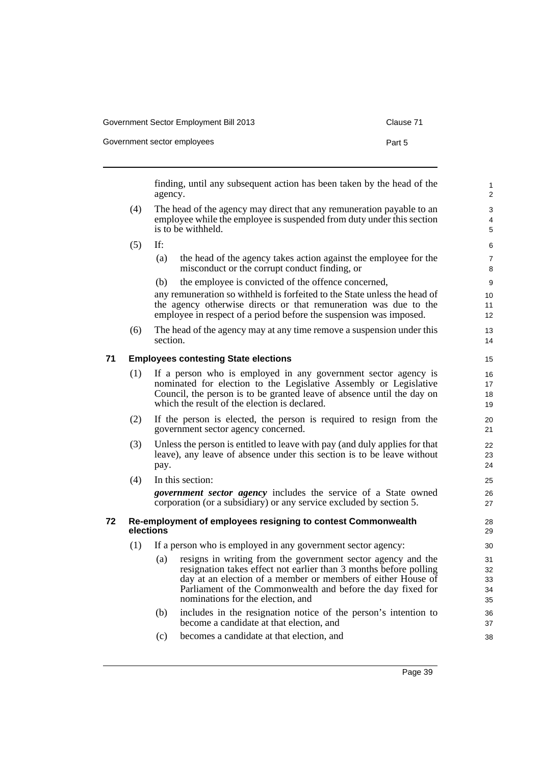| Government Sector Employment Bill 2013 | Clause 71 |
|----------------------------------------|-----------|
| Government sector employees            | Part 5    |

finding, until any subsequent action has been taken by the head of the agency.

- (4) The head of the agency may direct that any remuneration payable to an employee while the employee is suspended from duty under this section is to be withheld.
- (5) If:
	- (a) the head of the agency takes action against the employee for the misconduct or the corrupt conduct finding, or
	- (b) the employee is convicted of the offence concerned,

any remuneration so withheld is forfeited to the State unless the head of the agency otherwise directs or that remuneration was due to the employee in respect of a period before the suspension was imposed.

(6) The head of the agency may at any time remove a suspension under this section.

## **71 Employees contesting State elections**

- (1) If a person who is employed in any government sector agency is nominated for election to the Legislative Assembly or Legislative Council, the person is to be granted leave of absence until the day on which the result of the election is declared.
- (2) If the person is elected, the person is required to resign from the government sector agency concerned.
- (3) Unless the person is entitled to leave with pay (and duly applies for that leave), any leave of absence under this section is to be leave without pay.
- (4) In this section:

*government sector agency* includes the service of a State owned corporation (or a subsidiary) or any service excluded by section 5.

#### **72 Re-employment of employees resigning to contest Commonwealth elections**

- (1) If a person who is employed in any government sector agency:
	- (a) resigns in writing from the government sector agency and the resignation takes effect not earlier than 3 months before polling day at an election of a member or members of either House of Parliament of the Commonwealth and before the day fixed for nominations for the election, and
	- (b) includes in the resignation notice of the person's intention to become a candidate at that election, and
	- (c) becomes a candidate at that election, and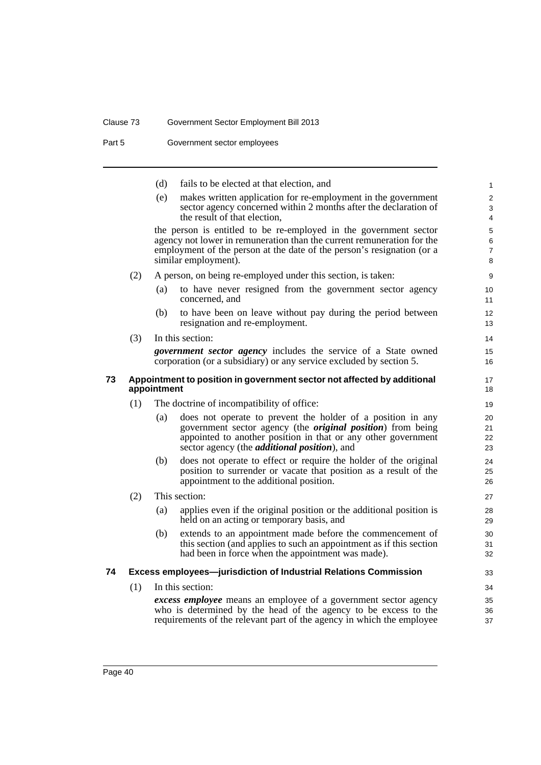# Clause 73 Government Sector Employment Bill 2013

Part 5 **Government sector employees** 

|    |     | (d)         | fails to be elected at that election, and                                                                                                        | $\mathbf{1}$        |
|----|-----|-------------|--------------------------------------------------------------------------------------------------------------------------------------------------|---------------------|
|    |     | (e)         | makes written application for re-employment in the government<br>sector agency concerned within 2 months after the declaration of                | 2<br>3              |
|    |     |             | the result of that election,                                                                                                                     | 4                   |
|    |     |             | the person is entitled to be re-employed in the government sector                                                                                | 5                   |
|    |     |             | agency not lower in remuneration than the current remuneration for the<br>employment of the person at the date of the person's resignation (or a | 6<br>$\overline{7}$ |
|    |     |             | similar employment).                                                                                                                             | 8                   |
|    | (2) |             | A person, on being re-employed under this section, is taken:                                                                                     | 9                   |
|    |     | (a)         | to have never resigned from the government sector agency<br>concerned, and                                                                       | 10<br>11            |
|    |     | (b)         | to have been on leave without pay during the period between<br>resignation and re-employment.                                                    | 12<br>13            |
|    | (3) |             | In this section:                                                                                                                                 | 14                  |
|    |     |             | <i>government sector agency</i> includes the service of a State owned                                                                            | 15                  |
|    |     |             | corporation (or a subsidiary) or any service excluded by section 5.                                                                              | 16                  |
| 73 |     | appointment | Appointment to position in government sector not affected by additional                                                                          | 17<br>18            |
|    | (1) |             | The doctrine of incompatibility of office:                                                                                                       | 19                  |
|    |     | (a)         | does not operate to prevent the holder of a position in any                                                                                      | 20                  |
|    |     |             | government sector agency (the <i>original position</i> ) from being<br>appointed to another position in that or any other government             | 21                  |
|    |     |             | sector agency (the <i>additional position</i> ), and                                                                                             | 22<br>23            |
|    |     | (b)         | does not operate to effect or require the holder of the original                                                                                 | 24                  |
|    |     |             | position to surrender or vacate that position as a result of the                                                                                 | 25                  |
|    |     |             | appointment to the additional position.                                                                                                          | 26                  |
|    | (2) |             | This section:                                                                                                                                    | 27                  |
|    |     | (a)         | applies even if the original position or the additional position is<br>held on an acting or temporary basis, and                                 | 28<br>29            |
|    |     | (b)         | extends to an appointment made before the commencement of                                                                                        | 30                  |
|    |     |             | this section (and applies to such an appointment as if this section<br>had been in force when the appointment was made).                         | 31<br>32            |
|    |     |             |                                                                                                                                                  |                     |
| 74 |     |             | Excess employees-jurisdiction of Industrial Relations Commission                                                                                 | 33                  |
|    | (1) |             | In this section:                                                                                                                                 | 34                  |
|    |     |             | excess employee means an employee of a government sector agency                                                                                  | 35                  |
|    |     |             | who is determined by the head of the agency to be excess to the<br>requirements of the relevant part of the agency in which the employee         | 36<br>37            |
|    |     |             |                                                                                                                                                  |                     |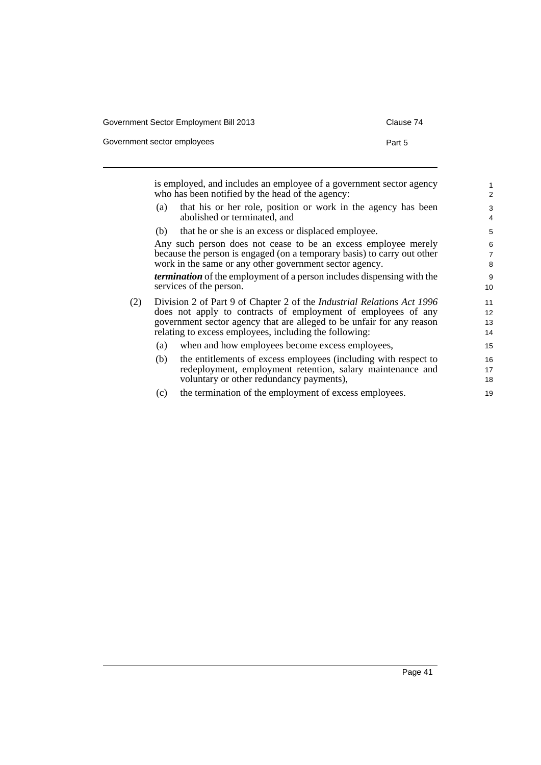Clause 74

| Government sector employees | Part 5 |
|-----------------------------|--------|
|-----------------------------|--------|

is employed, and includes an employee of a government sector agency who has been notified by the head of the agency: (a) that his or her role, position or work in the agency has been abolished or terminated, and (b) that he or she is an excess or displaced employee. Any such person does not cease to be an excess employee merely because the person is engaged (on a temporary basis) to carry out other work in the same or any other government sector agency. *termination* of the employment of a person includes dispensing with the services of the person. (2) Division 2 of Part 9 of Chapter 2 of the *Industrial Relations Act 1996* does not apply to contracts of employment of employees of any government sector agency that are alleged to be unfair for any reason relating to excess employees, including the following: (a) when and how employees become excess employees, (b) the entitlements of excess employees (including with respect to redeployment, employment retention, salary maintenance and voluntary or other redundancy payments), 1 2 3 4 5 6 7 8 9 10 11 12 13 14 15 16 17 18

(c) the termination of the employment of excess employees.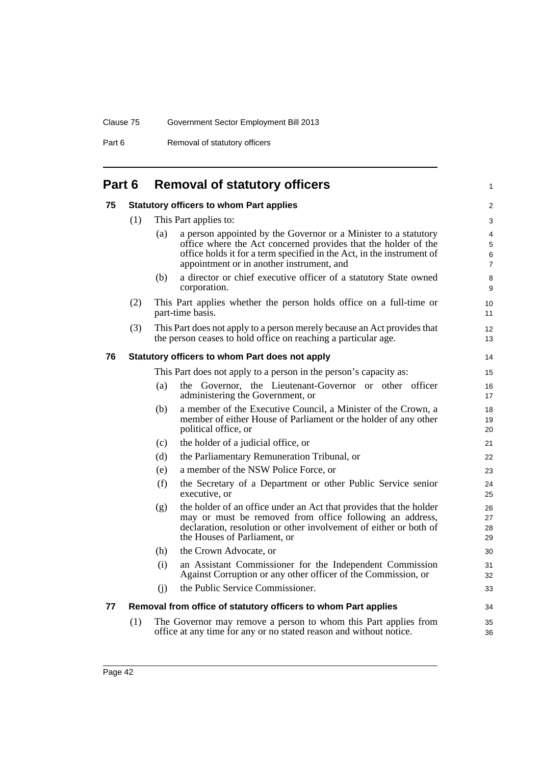Part 6 Removal of statutory officers

| Part 6 |     |     | <b>Removal of statutory officers</b>                                                                                                       | $\mathbf{1}$        |
|--------|-----|-----|--------------------------------------------------------------------------------------------------------------------------------------------|---------------------|
| 75     |     |     | <b>Statutory officers to whom Part applies</b>                                                                                             | $\overline{2}$      |
|        | (1) |     | This Part applies to:                                                                                                                      | 3                   |
|        |     | (a) | a person appointed by the Governor or a Minister to a statutory                                                                            | 4                   |
|        |     |     | office where the Act concerned provides that the holder of the                                                                             | 5                   |
|        |     |     | office holds it for a term specified in the Act, in the instrument of<br>appointment or in another instrument, and                         | 6<br>$\overline{7}$ |
|        |     | (b) | a director or chief executive officer of a statutory State owned<br>corporation.                                                           | 8<br>9              |
|        | (2) |     | This Part applies whether the person holds office on a full-time or<br>part-time basis.                                                    | 10<br>11            |
|        | (3) |     | This Part does not apply to a person merely because an Act provides that<br>the person ceases to hold office on reaching a particular age. | 12<br>13            |
| 76     |     |     | Statutory officers to whom Part does not apply                                                                                             | 14                  |
|        |     |     | This Part does not apply to a person in the person's capacity as:                                                                          | 15                  |
|        |     | (a) | the Governor, the Lieutenant-Governor or other officer<br>administering the Government, or                                                 | 16<br>17            |
|        |     | (b) | a member of the Executive Council, a Minister of the Crown, a                                                                              | 18                  |
|        |     |     | member of either House of Parliament or the holder of any other<br>political office, or                                                    | 19<br>20            |
|        |     | (c) | the holder of a judicial office, or                                                                                                        | 21                  |
|        |     | (d) | the Parliamentary Remuneration Tribunal, or                                                                                                | 22                  |
|        |     | (e) | a member of the NSW Police Force, or                                                                                                       | 23                  |
|        |     | (f) | the Secretary of a Department or other Public Service senior<br>executive, or                                                              | 24<br>25            |
|        |     | (g) | the holder of an office under an Act that provides that the holder<br>may or must be removed from office following an address,             | 26<br>27            |
|        |     |     | declaration, resolution or other involvement of either or both of                                                                          | 28                  |
|        |     |     | the Houses of Parliament, or                                                                                                               | 29                  |
|        |     | (h) | the Crown Advocate, or                                                                                                                     | 30                  |
|        |     | (i) | an Assistant Commissioner for the Independent Commission<br>Against Corruption or any other officer of the Commission, or                  | 31<br>32            |
|        |     | (i) | the Public Service Commissioner.                                                                                                           | 33                  |
| 77     |     |     | Removal from office of statutory officers to whom Part applies                                                                             | 34                  |
|        | (1) |     | The Governor may remove a person to whom this Part applies from<br>office at any time for any or no stated reason and without notice.      | 35<br>36            |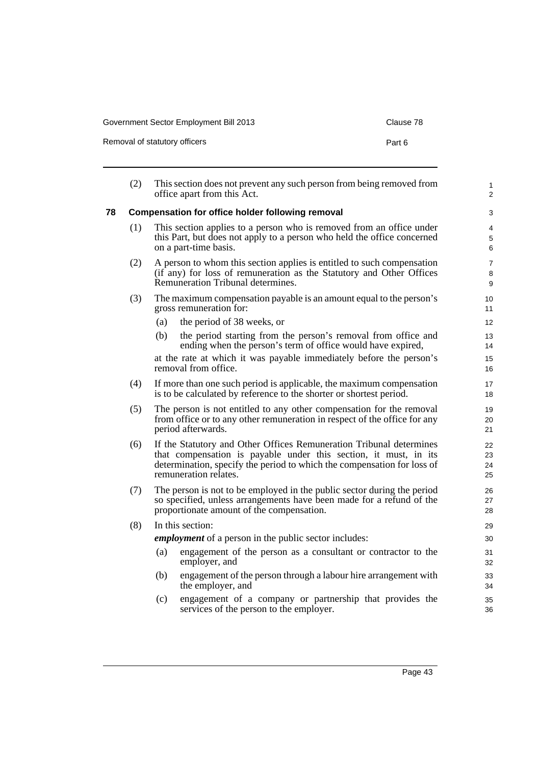| Government Sector Employment Bill 2013 | Clause 78 |
|----------------------------------------|-----------|
|----------------------------------------|-----------|

| Removal of statutory officers | Part 6 |
|-------------------------------|--------|
|-------------------------------|--------|

|    | (2) | This section does not prevent any such person from being removed from<br>office apart from this Act.                                                                                                                                        | 1<br>$\overline{c}$ |  |  |  |
|----|-----|---------------------------------------------------------------------------------------------------------------------------------------------------------------------------------------------------------------------------------------------|---------------------|--|--|--|
| 78 |     | <b>Compensation for office holder following removal</b>                                                                                                                                                                                     | 3                   |  |  |  |
|    | (1) | This section applies to a person who is removed from an office under<br>this Part, but does not apply to a person who held the office concerned<br>on a part-time basis.                                                                    | 4<br>5<br>6         |  |  |  |
|    | (2) | A person to whom this section applies is entitled to such compensation<br>(if any) for loss of remuneration as the Statutory and Other Offices<br>Remuneration Tribunal determines.                                                         | 7<br>8<br>9         |  |  |  |
|    | (3) | The maximum compensation payable is an amount equal to the person's<br>gross remuneration for:                                                                                                                                              | 10<br>11            |  |  |  |
|    |     | the period of 38 weeks, or<br>(a)                                                                                                                                                                                                           | 12                  |  |  |  |
|    |     | the period starting from the person's removal from office and<br>(b)<br>ending when the person's term of office would have expired,                                                                                                         | 13<br>14            |  |  |  |
|    |     | at the rate at which it was payable immediately before the person's<br>removal from office.                                                                                                                                                 | 15<br>16            |  |  |  |
|    | (4) | If more than one such period is applicable, the maximum compensation<br>is to be calculated by reference to the shorter or shortest period.                                                                                                 | 17<br>18            |  |  |  |
|    | (5) | The person is not entitled to any other compensation for the removal<br>from office or to any other remuneration in respect of the office for any<br>period afterwards.                                                                     | 19<br>20<br>21      |  |  |  |
|    | (6) | If the Statutory and Other Offices Remuneration Tribunal determines<br>that compensation is payable under this section, it must, in its<br>determination, specify the period to which the compensation for loss of<br>remuneration relates. |                     |  |  |  |
|    | (7) | The person is not to be employed in the public sector during the period<br>so specified, unless arrangements have been made for a refund of the<br>proportionate amount of the compensation.                                                | 26<br>27<br>28      |  |  |  |
|    | (8) | In this section:                                                                                                                                                                                                                            | 29                  |  |  |  |
|    |     | <i>employment</i> of a person in the public sector includes:                                                                                                                                                                                | 30                  |  |  |  |
|    |     | engagement of the person as a consultant or contractor to the<br>(a)<br>employer, and                                                                                                                                                       | 31<br>32            |  |  |  |
|    |     | engagement of the person through a labour hire arrangement with<br>(b)<br>the employer, and                                                                                                                                                 | 33<br>34            |  |  |  |
|    |     | engagement of a company or partnership that provides the<br>(c)<br>services of the person to the employer.                                                                                                                                  | 35<br>36            |  |  |  |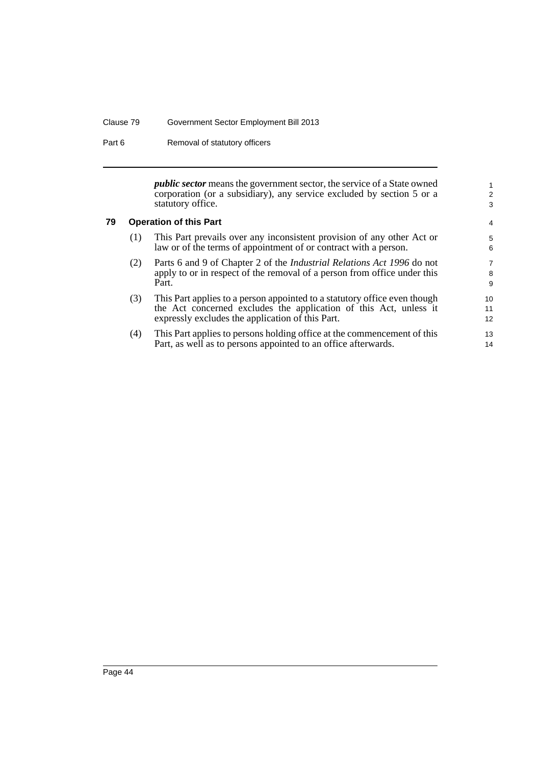#### Clause 79 Government Sector Employment Bill 2013

Part 6 Removal of statutory officers

*public sector* means the government sector, the service of a State owned corporation (or a subsidiary), any service excluded by section 5 or a statutory office.

## **79 Operation of this Part**

| (1)                                                              | This Part prevails over any inconsistent provision of any other Act or |  |  |
|------------------------------------------------------------------|------------------------------------------------------------------------|--|--|
| law or of the terms of appointment of or contract with a person. |                                                                        |  |  |

- (2) Parts 6 and 9 of Chapter 2 of the *Industrial Relations Act 1996* do not apply to or in respect of the removal of a person from office under this Part.
- (3) This Part applies to a person appointed to a statutory office even though the Act concerned excludes the application of this Act, unless it expressly excludes the application of this Part.
- (4) This Part applies to persons holding office at the commencement of this Part, as well as to persons appointed to an office afterwards.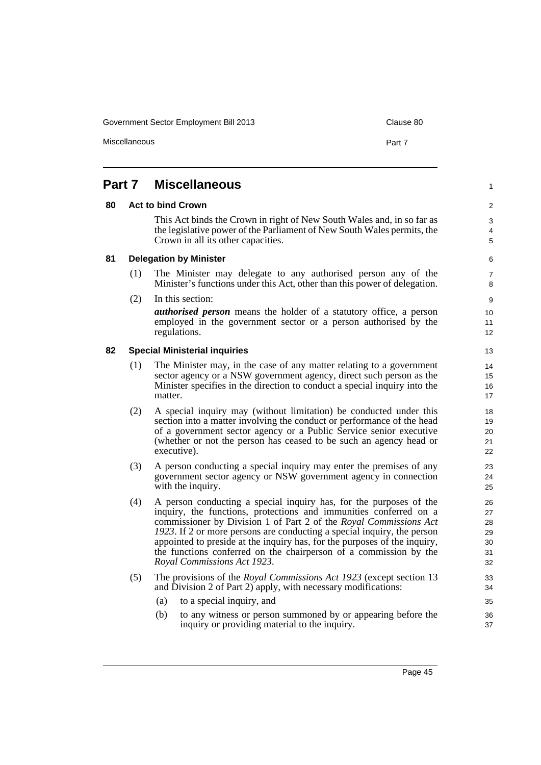Miscellaneous **Part 7** 

# **Part 7 Miscellaneous**

#### **80 Act to bind Crown**

This Act binds the Crown in right of New South Wales and, in so far as the legislative power of the Parliament of New South Wales permits, the Crown in all its other capacities.

5

1

 $\overline{2}$ 3 4

## 6 7

- (1) The Minister may delegate to any authorised person any of the Minister's functions under this Act, other than this power of delegation.
- (2) In this section:

**81 Delegation by Minister**

*authorised person* means the holder of a statutory office, a person employed in the government sector or a person authorised by the regulations.

#### **82 Special Ministerial inquiries**

- (1) The Minister may, in the case of any matter relating to a government sector agency or a NSW government agency, direct such person as the Minister specifies in the direction to conduct a special inquiry into the matter.
- (2) A special inquiry may (without limitation) be conducted under this section into a matter involving the conduct or performance of the head of a government sector agency or a Public Service senior executive (whether or not the person has ceased to be such an agency head or executive).
- (3) A person conducting a special inquiry may enter the premises of any government sector agency or NSW government agency in connection with the inquiry.
- (4) A person conducting a special inquiry has, for the purposes of the inquiry, the functions, protections and immunities conferred on a commissioner by Division 1 of Part 2 of the *Royal Commissions Act 1923*. If 2 or more persons are conducting a special inquiry, the person appointed to preside at the inquiry has, for the purposes of the inquiry, the functions conferred on the chairperson of a commission by the *Royal Commissions Act 1923*.
- (5) The provisions of the *Royal Commissions Act 1923* (except section 13 and Division 2 of Part 2) apply, with necessary modifications:
	- (a) to a special inquiry, and
	- (b) to any witness or person summoned by or appearing before the inquiry or providing material to the inquiry.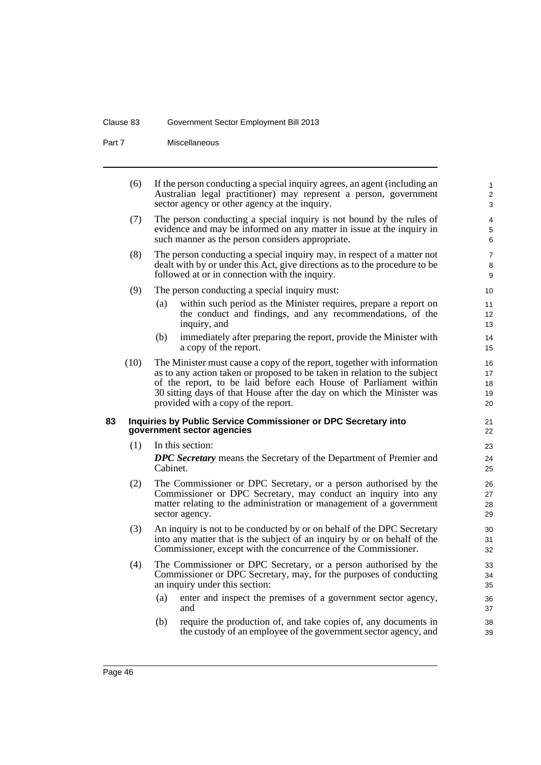#### Clause 83 Government Sector Employment Bill 2013

Part 7 Miscellaneous

(6) If the person conducting a special inquiry agrees, an agent (including an Australian legal practitioner) may represent a person, government sector agency or other agency at the inquiry. (7) The person conducting a special inquiry is not bound by the rules of evidence and may be informed on any matter in issue at the inquiry in such manner as the person considers appropriate. (8) The person conducting a special inquiry may, in respect of a matter not dealt with by or under this Act, give directions as to the procedure to be followed at or in connection with the inquiry. (9) The person conducting a special inquiry must: (a) within such period as the Minister requires, prepare a report on the conduct and findings, and any recommendations, of the inquiry, and (b) immediately after preparing the report, provide the Minister with a copy of the report. (10) The Minister must cause a copy of the report, together with information as to any action taken or proposed to be taken in relation to the subject of the report, to be laid before each House of Parliament within 30 sitting days of that House after the day on which the Minister was provided with a copy of the report. **83 Inquiries by Public Service Commissioner or DPC Secretary into government sector agencies** (1) In this section: *DPC Secretary* means the Secretary of the Department of Premier and Cabinet. (2) The Commissioner or DPC Secretary, or a person authorised by the Commissioner or DPC Secretary, may conduct an inquiry into any matter relating to the administration or management of a government sector agency. (3) An inquiry is not to be conducted by or on behalf of the DPC Secretary into any matter that is the subject of an inquiry by or on behalf of the Commissioner, except with the concurrence of the Commissioner. (4) The Commissioner or DPC Secretary, or a person authorised by the Commissioner or DPC Secretary, may, for the purposes of conducting an inquiry under this section: (a) enter and inspect the premises of a government sector agency, and (b) require the production of, and take copies of, any documents in the custody of an employee of the government sector agency, and 1  $\overline{2}$ 3 4 5 6 7 8 9 10 11 12 13 14 15 16 17 18 19 20 21 22 23 24 25 26 27 28 29 30 31 32 33  $34$ 35 36 37 38 39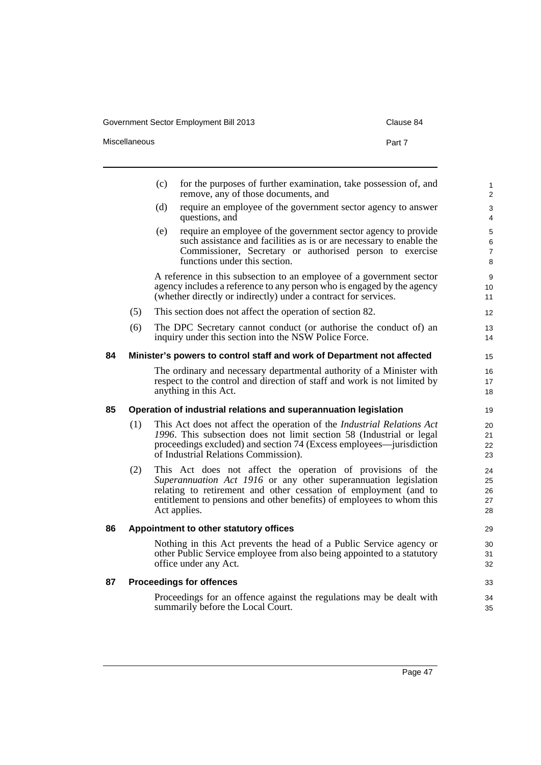#### Government Sector Employment Bill 2013 Covernment Sector Employment Bill 2013

|    | Miscellaneous |     | Part 7                                                                                                                                                                                                                                                                                      |
|----|---------------|-----|---------------------------------------------------------------------------------------------------------------------------------------------------------------------------------------------------------------------------------------------------------------------------------------------|
|    |               | (c) | for the purposes of further examination, take possession of, and<br>remove, any of those documents, and                                                                                                                                                                                     |
|    |               | (d) | require an employee of the government sector agency to answer<br>questions, and                                                                                                                                                                                                             |
|    |               | (e) | require an employee of the government sector agency to provide<br>such assistance and facilities as is or are necessary to enable the<br>Commissioner, Secretary or authorised person to exercise<br>functions under this section.                                                          |
|    |               |     | A reference in this subsection to an employee of a government sector<br>agency includes a reference to any person who is engaged by the agency<br>(whether directly or indirectly) under a contract for services.                                                                           |
|    | (5)           |     | This section does not affect the operation of section 82.                                                                                                                                                                                                                                   |
|    | (6)           |     | The DPC Secretary cannot conduct (or authorise the conduct of) an<br>inquiry under this section into the NSW Police Force.                                                                                                                                                                  |
| 84 |               |     | Minister's powers to control staff and work of Department not affected                                                                                                                                                                                                                      |
|    |               |     | The ordinary and necessary departmental authority of a Minister with<br>respect to the control and direction of staff and work is not limited by<br>anything in this Act.                                                                                                                   |
| 85 |               |     | Operation of industrial relations and superannuation legislation                                                                                                                                                                                                                            |
|    | (1)           |     | This Act does not affect the operation of the <i>Industrial Relations Act</i><br>1996. This subsection does not limit section 58 (Industrial or legal<br>proceedings excluded) and section 74 (Excess employees—jurisdiction<br>of Industrial Relations Commission).                        |
|    | (2)           |     | This Act does not affect the operation of provisions of the<br>Superannuation Act 1916 or any other superannuation legislation<br>relating to retirement and other cessation of employment (and to<br>entitlement to pensions and other benefits) of employees to whom this<br>Act applies. |
| 86 |               |     | Appointment to other statutory offices                                                                                                                                                                                                                                                      |
|    |               |     | Nothing in this Act prevents the head of a Public Service agency or<br>other Public Service employee from also being appointed to a statutory                                                                                                                                               |

# **87 Proceedings for offences**

office under any Act.

Proceedings for an offence against the regulations may be dealt with summarily before the Local Court.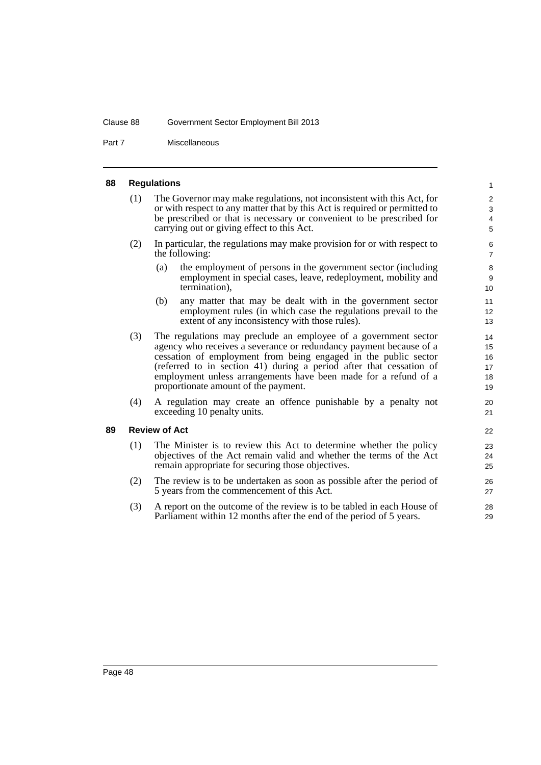#### Clause 88 Government Sector Employment Bill 2013

Part 7 Miscellaneous

#### **88 Regulations**

- (1) The Governor may make regulations, not inconsistent with this Act, for or with respect to any matter that by this Act is required or permitted to be prescribed or that is necessary or convenient to be prescribed for carrying out or giving effect to this Act.
- (2) In particular, the regulations may make provision for or with respect to the following:
	- (a) the employment of persons in the government sector (including employment in special cases, leave, redeployment, mobility and termination),

- (b) any matter that may be dealt with in the government sector employment rules (in which case the regulations prevail to the extent of any inconsistency with those rules).
- (3) The regulations may preclude an employee of a government sector agency who receives a severance or redundancy payment because of a cessation of employment from being engaged in the public sector (referred to in section 41) during a period after that cessation of employment unless arrangements have been made for a refund of a proportionate amount of the payment.
- (4) A regulation may create an offence punishable by a penalty not exceeding 10 penalty units.

#### **89 Review of Act**

- (1) The Minister is to review this Act to determine whether the policy objectives of the Act remain valid and whether the terms of the Act remain appropriate for securing those objectives.
- (2) The review is to be undertaken as soon as possible after the period of 5 years from the commencement of this Act.
- (3) A report on the outcome of the review is to be tabled in each House of Parliament within 12 months after the end of the period of 5 years.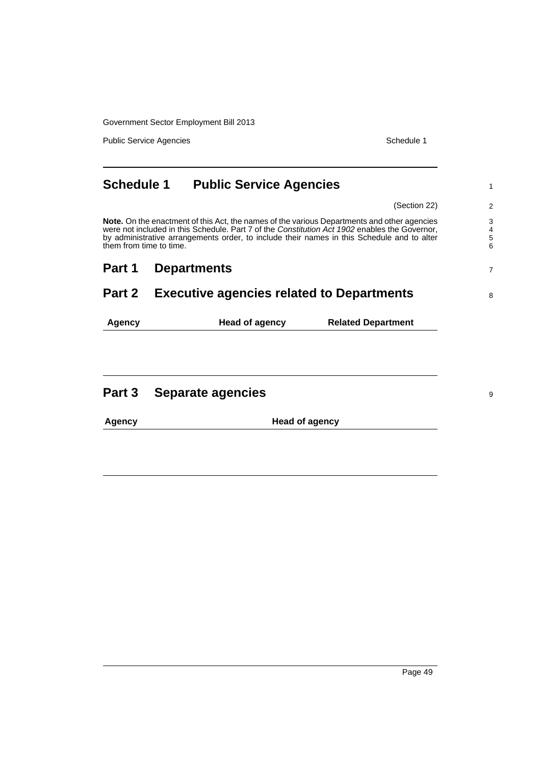Government Sector Employment Bill 2013

Public Service Agencies **Schedule 1** and the service Agencies Schedule 1

| <b>Schedule 1</b>                                                                                                                                                                                                                                                                                                     | <b>Public Service Agencies</b> | 1                              |
|-----------------------------------------------------------------------------------------------------------------------------------------------------------------------------------------------------------------------------------------------------------------------------------------------------------------------|--------------------------------|--------------------------------|
|                                                                                                                                                                                                                                                                                                                       |                                | (Section 22)<br>$\overline{2}$ |
| Note. On the enactment of this Act, the names of the various Departments and other agencies<br>were not included in this Schedule. Part 7 of the Constitution Act 1902 enables the Governor,<br>by administrative arrangements order, to include their names in this Schedule and to alter<br>them from time to time. |                                |                                |
| Part 1                                                                                                                                                                                                                                                                                                                | <b>Departments</b>             | $\overline{7}$                 |
| Part 2<br><b>Executive agencies related to Departments</b>                                                                                                                                                                                                                                                            |                                | 8                              |
| Agency                                                                                                                                                                                                                                                                                                                | Head of agency                 | <b>Related Department</b>      |
| Part 3                                                                                                                                                                                                                                                                                                                | Separate agencies              | 9                              |

| <b>Agency</b> | <b>Head of agency</b> |
|---------------|-----------------------|
|               |                       |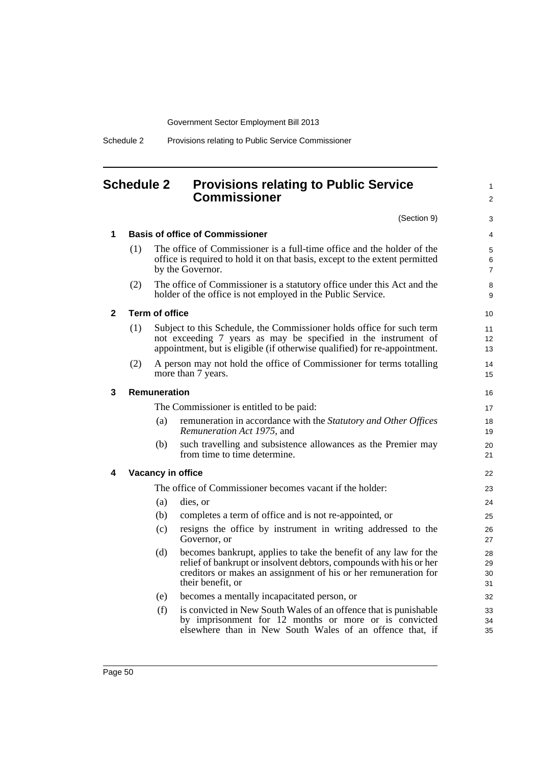Government Sector Employment Bill 2013

# **Schedule 2 Provisions relating to Public Service Commissioner**

(Section 9)

1 2

| 1 |     |                                                                                                                                                                                                                      | <b>Basis of office of Commissioner</b>                                                                                                                                                                                         | 4                        |  |
|---|-----|----------------------------------------------------------------------------------------------------------------------------------------------------------------------------------------------------------------------|--------------------------------------------------------------------------------------------------------------------------------------------------------------------------------------------------------------------------------|--------------------------|--|
|   | (1) |                                                                                                                                                                                                                      | The office of Commissioner is a full-time office and the holder of the<br>office is required to hold it on that basis, except to the extent permitted<br>by the Governor.                                                      | 5<br>6<br>$\overline{7}$ |  |
|   | (2) |                                                                                                                                                                                                                      | The office of Commissioner is a statutory office under this Act and the<br>holder of the office is not employed in the Public Service.                                                                                         | 8<br>9                   |  |
| 2 |     | <b>Term of office</b>                                                                                                                                                                                                |                                                                                                                                                                                                                                | 10                       |  |
|   | (1) | Subject to this Schedule, the Commissioner holds office for such term<br>not exceeding 7 years as may be specified in the instrument of<br>appointment, but is eligible (if otherwise qualified) for re-appointment. |                                                                                                                                                                                                                                |                          |  |
|   | (2) |                                                                                                                                                                                                                      | A person may not hold the office of Commissioner for terms totalling<br>more than 7 years.                                                                                                                                     | 14<br>15                 |  |
| 3 |     | Remuneration                                                                                                                                                                                                         |                                                                                                                                                                                                                                | 16                       |  |
|   |     |                                                                                                                                                                                                                      | The Commissioner is entitled to be paid:                                                                                                                                                                                       | 17                       |  |
|   |     | (a)                                                                                                                                                                                                                  | remuneration in accordance with the Statutory and Other Offices<br>Remuneration Act 1975, and                                                                                                                                  | 18<br>19                 |  |
|   |     | (b)                                                                                                                                                                                                                  | such travelling and subsistence allowances as the Premier may<br>from time to time determine.                                                                                                                                  | 20<br>21                 |  |
| 4 |     |                                                                                                                                                                                                                      | Vacancy in office                                                                                                                                                                                                              | 22                       |  |
|   |     |                                                                                                                                                                                                                      | The office of Commissioner becomes vacant if the holder:                                                                                                                                                                       | 23                       |  |
|   |     | (a)                                                                                                                                                                                                                  | dies, or                                                                                                                                                                                                                       | 24                       |  |
|   |     | (b)                                                                                                                                                                                                                  | completes a term of office and is not re-appointed, or                                                                                                                                                                         | 25                       |  |
|   |     | (c)                                                                                                                                                                                                                  | resigns the office by instrument in writing addressed to the<br>Governor, or                                                                                                                                                   | 26<br>27                 |  |
|   |     | (d)                                                                                                                                                                                                                  | becomes bankrupt, applies to take the benefit of any law for the<br>relief of bankrupt or insolvent debtors, compounds with his or her<br>creditors or makes an assignment of his or her remuneration for<br>their benefit, or | 28<br>29<br>30<br>31     |  |
|   |     | (e)                                                                                                                                                                                                                  | becomes a mentally incapacitated person, or                                                                                                                                                                                    | 32                       |  |
|   |     | (f)                                                                                                                                                                                                                  | is convicted in New South Wales of an offence that is punishable<br>by imprisonment for 12 months or more or is convicted<br>elsewhere than in New South Wales of an offence that, if                                          | 33<br>34<br>35           |  |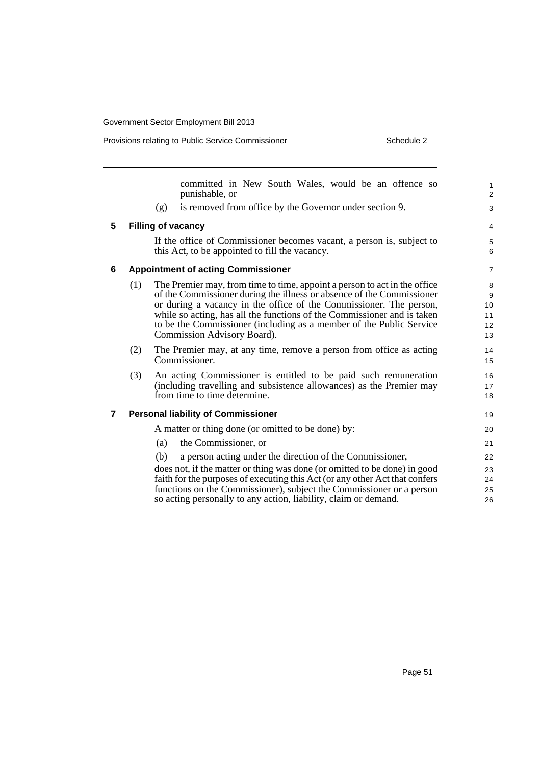Provisions relating to Public Service Commissioner Schedule 2

|   |     | committed in New South Wales, would be an offence so<br>punishable, or      | $\mathbf{1}$<br>$\overline{2}$ |  |  |
|---|-----|-----------------------------------------------------------------------------|--------------------------------|--|--|
|   |     | is removed from office by the Governor under section 9.<br>(g)              | 3                              |  |  |
| 5 |     | <b>Filling of vacancy</b>                                                   | 4                              |  |  |
|   |     | If the office of Commissioner becomes vacant, a person is, subject to       | 5                              |  |  |
|   |     | this Act, to be appointed to fill the vacancy.                              | 6                              |  |  |
| 6 |     | <b>Appointment of acting Commissioner</b>                                   | $\overline{7}$                 |  |  |
|   | (1) | The Premier may, from time to time, appoint a person to act in the office   | 8                              |  |  |
|   |     | of the Commissioner during the illness or absence of the Commissioner       | 9                              |  |  |
|   |     | or during a vacancy in the office of the Commissioner. The person,          | 10                             |  |  |
|   |     | while so acting, has all the functions of the Commissioner and is taken     | 11                             |  |  |
|   |     | to be the Commissioner (including as a member of the Public Service         | 12                             |  |  |
|   |     | Commission Advisory Board).                                                 | 13                             |  |  |
|   | (2) | The Premier may, at any time, remove a person from office as acting         | 14                             |  |  |
|   |     | Commissioner.                                                               | 15                             |  |  |
|   | (3) | An acting Commissioner is entitled to be paid such remuneration             |                                |  |  |
|   |     | (including travelling and subsistence allowances) as the Premier may        | 17                             |  |  |
|   |     | from time to time determine.                                                | 18                             |  |  |
| 7 |     | <b>Personal liability of Commissioner</b>                                   | 19                             |  |  |
|   |     | A matter or thing done (or omitted to be done) by:                          | 20                             |  |  |
|   |     | the Commissioner, or<br>(a)                                                 | 21                             |  |  |
|   |     | a person acting under the direction of the Commissioner,<br>(b)             | 22                             |  |  |
|   |     | does not, if the matter or thing was done (or omitted to be done) in good   | 23                             |  |  |
|   |     | faith for the purposes of executing this Act (or any other Act that confers | 24                             |  |  |
|   |     | functions on the Commissioner), subject the Commissioner or a person        | 25                             |  |  |
|   |     | so acting personally to any action, liability, claim or demand.             | 26                             |  |  |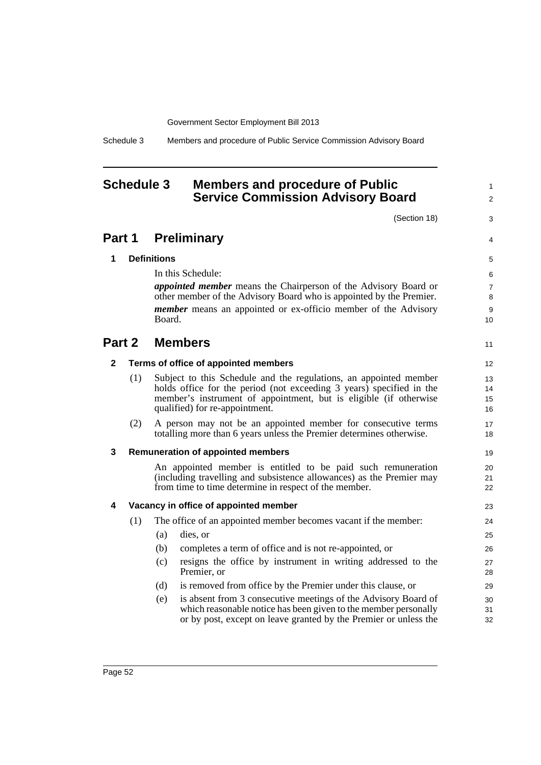Schedule 3 Members and procedure of Public Service Commission Advisory Board

# **Schedule 3 Members and procedure of Public Service Commission Advisory Board**

(Section 18)

1  $\overline{2}$ 

3

4

11

## **Part 1 Preliminary**

#### **1 Definitions**

In this Schedule:

*appointed member* means the Chairperson of the Advisory Board or other member of the Advisory Board who is appointed by the Premier. *member* means an appointed or ex-officio member of the Advisory Board.

# **Part 2 Members**

#### **2 Terms of office of appointed members**

- (1) Subject to this Schedule and the regulations, an appointed member holds office for the period (not exceeding 3 years) specified in the member's instrument of appointment, but is eligible (if otherwise qualified) for re-appointment.
- (2) A person may not be an appointed member for consecutive terms totalling more than 6 years unless the Premier determines otherwise.

#### **3 Remuneration of appointed members**

An appointed member is entitled to be paid such remuneration (including travelling and subsistence allowances) as the Premier may from time to time determine in respect of the member.

#### **4 Vacancy in office of appointed member**

| (1) | The office of an appointed member becomes vacant if the member: |                                                                             |  |  |  |
|-----|-----------------------------------------------------------------|-----------------------------------------------------------------------------|--|--|--|
|     | (a)                                                             | dies, or                                                                    |  |  |  |
|     | (b)                                                             | completes a term of office and is not re-appointed, or                      |  |  |  |
|     | (c)                                                             | resigns the office by instrument in writing addressed to the<br>Premier, or |  |  |  |

- (d) is removed from office by the Premier under this clause, or
- (e) is absent from 3 consecutive meetings of the Advisory Board of which reasonable notice has been given to the member personally or by post, except on leave granted by the Premier or unless the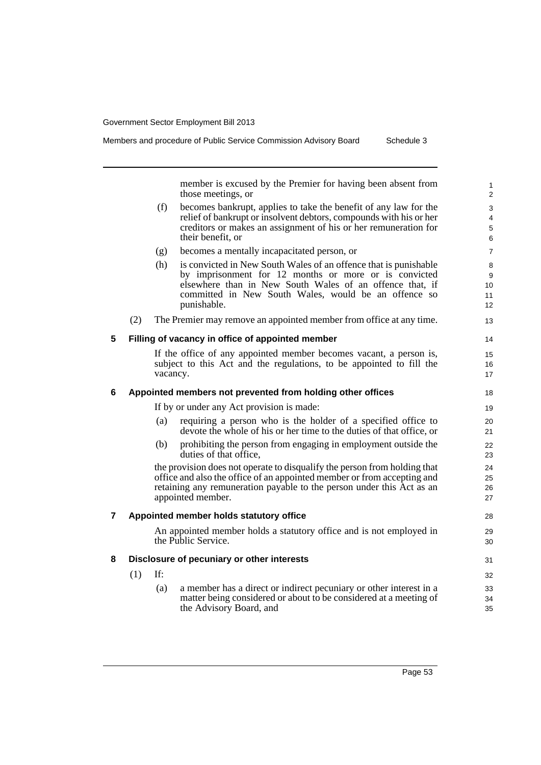Members and procedure of Public Service Commission Advisory Board Schedule 3

member is excused by the Premier for having been absent from those meetings, or

- (f) becomes bankrupt, applies to take the benefit of any law for the relief of bankrupt or insolvent debtors, compounds with his or her creditors or makes an assignment of his or her remuneration for their benefit, or
- (g) becomes a mentally incapacitated person, or
- (h) is convicted in New South Wales of an offence that is punishable by imprisonment for 12 months or more or is convicted elsewhere than in New South Wales of an offence that, if committed in New South Wales, would be an offence so punishable.
- (2) The Premier may remove an appointed member from office at any time.

### **5 Filling of vacancy in office of appointed member**

If the office of any appointed member becomes vacant, a person is, subject to this Act and the regulations, to be appointed to fill the vacancy.

### **6 Appointed members not prevented from holding other offices**

If by or under any Act provision is made:

- (a) requiring a person who is the holder of a specified office to devote the whole of his or her time to the duties of that office, or
- (b) prohibiting the person from engaging in employment outside the duties of that office,

the provision does not operate to disqualify the person from holding that office and also the office of an appointed member or from accepting and retaining any remuneration payable to the person under this Act as an appointed member.

#### **7 Appointed member holds statutory office**

An appointed member holds a statutory office and is not employed in the Public Service.

### **8 Disclosure of pecuniary or other interests**

(1) If:

(a) a member has a direct or indirect pecuniary or other interest in a matter being considered or about to be considered at a meeting of the Advisory Board, and

28 29 30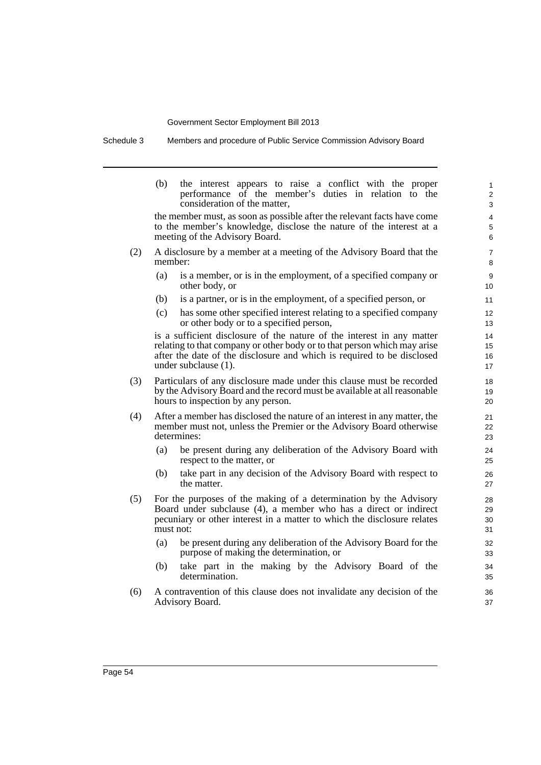Schedule 3 Members and procedure of Public Service Commission Advisory Board

|     | (b)       | the interest appears to raise a conflict with the proper<br>performance of the member's duties in relation to the<br>consideration of the matter,                                                                                                    | $\mathbf{1}$<br>$\overline{2}$<br>3 |
|-----|-----------|------------------------------------------------------------------------------------------------------------------------------------------------------------------------------------------------------------------------------------------------------|-------------------------------------|
|     |           | the member must, as soon as possible after the relevant facts have come<br>to the member's knowledge, disclose the nature of the interest at a<br>meeting of the Advisory Board.                                                                     | 4<br>5<br>6                         |
| (2) | member:   | A disclosure by a member at a meeting of the Advisory Board that the                                                                                                                                                                                 | $\overline{7}$<br>8                 |
|     | (a)       | is a member, or is in the employment, of a specified company or<br>other body, or                                                                                                                                                                    | 9<br>10                             |
|     | (b)       | is a partner, or is in the employment, of a specified person, or                                                                                                                                                                                     | 11                                  |
|     | (c)       | has some other specified interest relating to a specified company<br>or other body or to a specified person,                                                                                                                                         | 12<br>13                            |
|     |           | is a sufficient disclosure of the nature of the interest in any matter<br>relating to that company or other body or to that person which may arise<br>after the date of the disclosure and which is required to be disclosed<br>under subclause (1). | 14<br>15<br>16<br>17                |
| (3) |           | Particulars of any disclosure made under this clause must be recorded<br>by the Advisory Board and the record must be available at all reasonable<br>hours to inspection by any person.                                                              | 18<br>19<br>20                      |
| (4) |           | After a member has disclosed the nature of an interest in any matter, the<br>member must not, unless the Premier or the Advisory Board otherwise<br>determines:                                                                                      | 21<br>22<br>23                      |
|     | (a)       | be present during any deliberation of the Advisory Board with<br>respect to the matter, or                                                                                                                                                           | 24<br>25                            |
|     | (b)       | take part in any decision of the Advisory Board with respect to<br>the matter.                                                                                                                                                                       | 26<br>27                            |
| (5) | must not: | For the purposes of the making of a determination by the Advisory<br>Board under subclause (4), a member who has a direct or indirect<br>pecuniary or other interest in a matter to which the disclosure relates                                     | 28<br>29<br>30<br>31                |
|     | (a)       | be present during any deliberation of the Advisory Board for the<br>purpose of making the determination, or                                                                                                                                          | 32<br>33                            |
|     | (b)       | take part in the making by the Advisory Board of the<br>determination.                                                                                                                                                                               | 34<br>35                            |
| (6) |           | A contravention of this clause does not invalidate any decision of the                                                                                                                                                                               | 36                                  |

37

Advisory Board.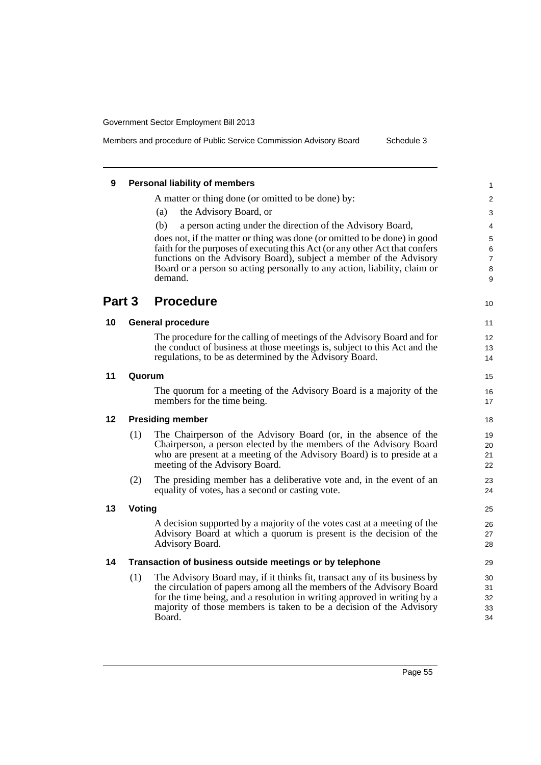Members and procedure of Public Service Commission Advisory Board Schedule 3

| 9       |        | <b>Personal liability of members</b>                                                                                                                                                                                                                                                                            |
|---------|--------|-----------------------------------------------------------------------------------------------------------------------------------------------------------------------------------------------------------------------------------------------------------------------------------------------------------------|
|         |        | A matter or thing done (or omitted to be done) by:                                                                                                                                                                                                                                                              |
|         |        | the Advisory Board, or<br>(a)                                                                                                                                                                                                                                                                                   |
|         |        | (b)<br>a person acting under the direction of the Advisory Board,                                                                                                                                                                                                                                               |
|         |        | does not, if the matter or thing was done (or omitted to be done) in good<br>faith for the purposes of executing this Act (or any other Act that confers<br>functions on the Advisory Board), subject a member of the Advisory                                                                                  |
|         |        | Board or a person so acting personally to any action, liability, claim or<br>demand.                                                                                                                                                                                                                            |
| Part 3  |        | <b>Procedure</b>                                                                                                                                                                                                                                                                                                |
| 10      |        | <b>General procedure</b>                                                                                                                                                                                                                                                                                        |
|         |        | The procedure for the calling of meetings of the Advisory Board and for                                                                                                                                                                                                                                         |
|         |        | the conduct of business at those meetings is, subject to this Act and the<br>regulations, to be as determined by the Advisory Board.                                                                                                                                                                            |
| 11      | Quorum |                                                                                                                                                                                                                                                                                                                 |
|         |        | The quorum for a meeting of the Advisory Board is a majority of the<br>members for the time being.                                                                                                                                                                                                              |
| $12 \,$ |        | <b>Presiding member</b>                                                                                                                                                                                                                                                                                         |
|         | (1)    | The Chairperson of the Advisory Board (or, in the absence of the<br>Chairperson, a person elected by the members of the Advisory Board<br>who are present at a meeting of the Advisory Board) is to preside at a<br>meeting of the Advisory Board.                                                              |
|         | (2)    | The presiding member has a deliberative vote and, in the event of an<br>equality of votes, has a second or casting vote.                                                                                                                                                                                        |
| 13      | Voting |                                                                                                                                                                                                                                                                                                                 |
|         |        | A decision supported by a majority of the votes cast at a meeting of the<br>Advisory Board at which a quorum is present is the decision of the<br>Advisory Board.                                                                                                                                               |
| 14      |        | Transaction of business outside meetings or by telephone                                                                                                                                                                                                                                                        |
|         | (1)    | The Advisory Board may, if it thinks fit, transact any of its business by<br>the circulation of papers among all the members of the Advisory Board<br>for the time being, and a resolution in writing approved in writing by a<br>majority of those members is taken to be a decision of the Advisory<br>Board. |
|         |        |                                                                                                                                                                                                                                                                                                                 |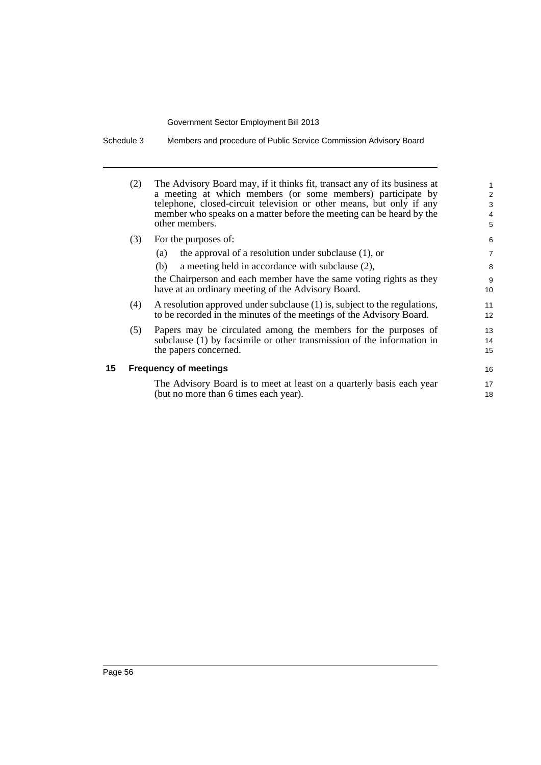Schedule 3 Members and procedure of Public Service Commission Advisory Board

|    | (2) | The Advisory Board may, if it thinks fit, transact any of its business at<br>a meeting at which members (or some members) participate by<br>telephone, closed-circuit television or other means, but only if any<br>member who speaks on a matter before the meeting can be heard by the<br>other members. | 1<br>2<br>3<br>4<br>5 |
|----|-----|------------------------------------------------------------------------------------------------------------------------------------------------------------------------------------------------------------------------------------------------------------------------------------------------------------|-----------------------|
|    | (3) | For the purposes of:                                                                                                                                                                                                                                                                                       |                       |
|    |     | the approval of a resolution under subclause $(1)$ , or<br>(a)                                                                                                                                                                                                                                             | $\overline{7}$        |
|    |     | a meeting held in accordance with subclause (2),<br>(b)                                                                                                                                                                                                                                                    | 8                     |
|    |     | the Chairperson and each member have the same voting rights as they<br>have at an ordinary meeting of the Advisory Board.                                                                                                                                                                                  | 9<br>10               |
|    | (4) | A resolution approved under subclause (1) is, subject to the regulations,<br>to be recorded in the minutes of the meetings of the Advisory Board.                                                                                                                                                          | 11<br>12              |
|    | (5) | Papers may be circulated among the members for the purposes of<br>subclause (1) by facsimile or other transmission of the information in<br>the papers concerned.                                                                                                                                          | 13<br>14<br>15        |
| 15 |     | <b>Frequency of meetings</b>                                                                                                                                                                                                                                                                               | 16                    |
|    |     | The Advisory Board is to meet at least on a quarterly basis each year<br>(but no more than 6 times each year).                                                                                                                                                                                             | 17<br>18              |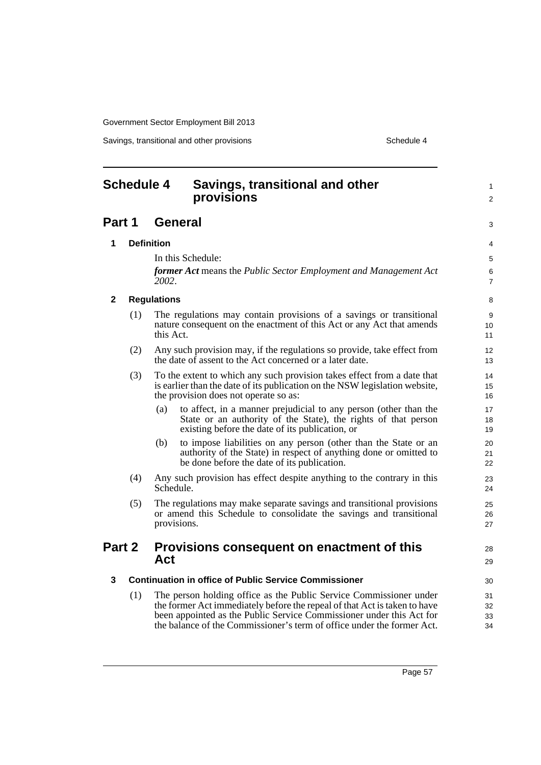Savings, transitional and other provisions Schedule 4 and the schedule 4 series of the schedule 4

#### **Schedule 4 Savings, transitional and other provisions Part 1 General 1 Definition** In this Schedule: *former Act* means the *Public Sector Employment and Management Act 2002*. **2 Regulations** (1) The regulations may contain provisions of a savings or transitional nature consequent on the enactment of this Act or any Act that amends this Act. (2) Any such provision may, if the regulations so provide, take effect from the date of assent to the Act concerned or a later date. (3) To the extent to which any such provision takes effect from a date that is earlier than the date of its publication on the NSW legislation website, the provision does not operate so as: (a) to affect, in a manner prejudicial to any person (other than the State or an authority of the State), the rights of that person existing before the date of its publication, or (b) to impose liabilities on any person (other than the State or an authority of the State) in respect of anything done or omitted to be done before the date of its publication. (4) Any such provision has effect despite anything to the contrary in this Schedule. (5) The regulations may make separate savings and transitional provisions or amend this Schedule to consolidate the savings and transitional provisions. **Part 2 Provisions consequent on enactment of this Act 3 Continuation in office of Public Service Commissioner** (1) The person holding office as the Public Service Commissioner under the former Act immediately before the repeal of that Act is taken to have been appointed as the Public Service Commissioner under this Act for the balance of the Commissioner's term of office under the former Act. 1  $\overline{2}$ 3 4 5 6 7 8 9  $1<sub>0</sub>$ 11 12 13 14 15 16 17 18 19 20 21 22 23  $24$ 25 26 27 28 29 30 31 32 33 34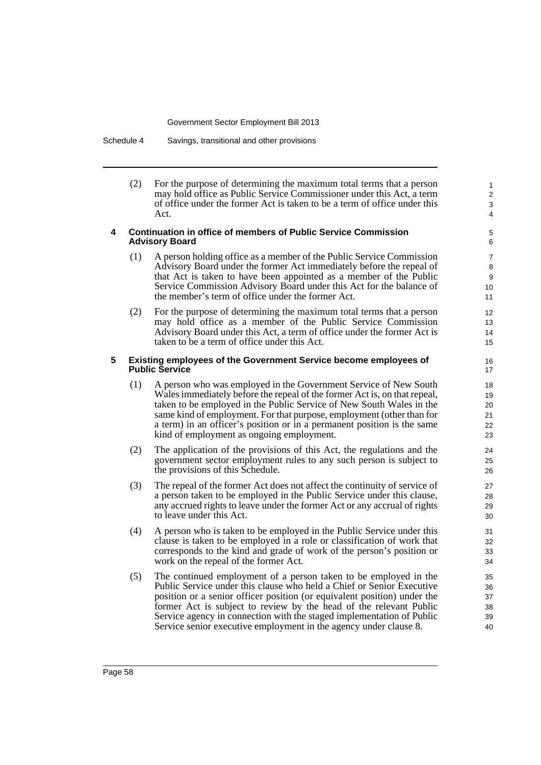Schedule 4 Savings, transitional and other provisions

(2) For the purpose of determining the maximum total terms that a person may hold office as Public Service Commissioner under this Act, a term of office under the former Act is taken to be a term of office under this Act.

#### **4 Continuation in office of members of Public Service Commission Advisory Board**

- (1) A person holding office as a member of the Public Service Commission Advisory Board under the former Act immediately before the repeal of that Act is taken to have been appointed as a member of the Public Service Commission Advisory Board under this Act for the balance of the member's term of office under the former Act.
- (2) For the purpose of determining the maximum total terms that a person may hold office as a member of the Public Service Commission Advisory Board under this Act, a term of office under the former Act is taken to be a term of office under this Act.

#### **5 Existing employees of the Government Service become employees of Public Service**

- (1) A person who was employed in the Government Service of New South Wales immediately before the repeal of the former Act is, on that repeal, taken to be employed in the Public Service of New South Wales in the same kind of employment. For that purpose, employment (other than for a term) in an officer's position or in a permanent position is the same kind of employment as ongoing employment.
- (2) The application of the provisions of this Act, the regulations and the government sector employment rules to any such person is subject to the provisions of this Schedule.
- (3) The repeal of the former Act does not affect the continuity of service of a person taken to be employed in the Public Service under this clause, any accrued rights to leave under the former Act or any accrual of rights to leave under this Act.
- (4) A person who is taken to be employed in the Public Service under this clause is taken to be employed in a role or classification of work that corresponds to the kind and grade of work of the person's position or work on the repeal of the former Act.
- (5) The continued employment of a person taken to be employed in the Public Service under this clause who held a Chief or Senior Executive position or a senior officer position (or equivalent position) under the former Act is subject to review by the head of the relevant Public Service agency in connection with the staged implementation of Public Service senior executive employment in the agency under clause 8.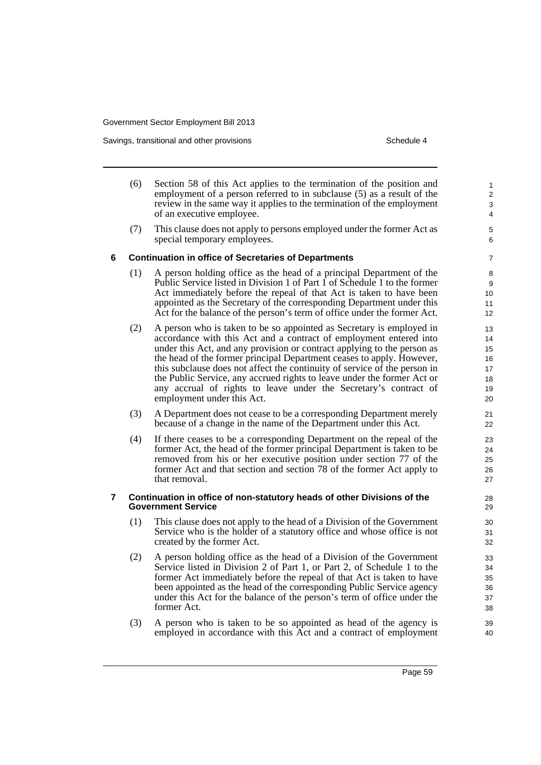Savings, transitional and other provisions Schedule 4 and the state of the Schedule 4

(6) Section 58 of this Act applies to the termination of the position and employment of a person referred to in subclause (5) as a result of the review in the same way it applies to the termination of the employment of an executive employee. (7) This clause does not apply to persons employed under the former Act as special temporary employees. **6 Continuation in office of Secretaries of Departments** (1) A person holding office as the head of a principal Department of the Public Service listed in Division 1 of Part 1 of Schedule 1 to the former Act immediately before the repeal of that Act is taken to have been appointed as the Secretary of the corresponding Department under this Act for the balance of the person's term of office under the former Act. (2) A person who is taken to be so appointed as Secretary is employed in accordance with this Act and a contract of employment entered into under this Act, and any provision or contract applying to the person as the head of the former principal Department ceases to apply. However, this subclause does not affect the continuity of service of the person in the Public Service, any accrued rights to leave under the former Act or any accrual of rights to leave under the Secretary's contract of employment under this Act. (3) A Department does not cease to be a corresponding Department merely because of a change in the name of the Department under this Act. (4) If there ceases to be a corresponding Department on the repeal of the former Act, the head of the former principal Department is taken to be removed from his or her executive position under section 77 of the former Act and that section and section 78 of the former Act apply to that removal. **7 Continuation in office of non-statutory heads of other Divisions of the Government Service** (1) This clause does not apply to the head of a Division of the Government Service who is the holder of a statutory office and whose office is not created by the former Act. (2) A person holding office as the head of a Division of the Government Service listed in Division 2 of Part 1, or Part 2, of Schedule 1 to the former Act immediately before the repeal of that Act is taken to have been appointed as the head of the corresponding Public Service agency under this Act for the balance of the person's term of office under the former Act. (3) A person who is taken to be so appointed as head of the agency is employed in accordance with this Act and a contract of employment 1 2 3 4 5 6 7 8 9 10 11 12 13 14 15 16 17 18 19  $20$ 21 22  $23$ 24 25 26 27 28 29 30 31 32 33 34 35 36 37 38 39 40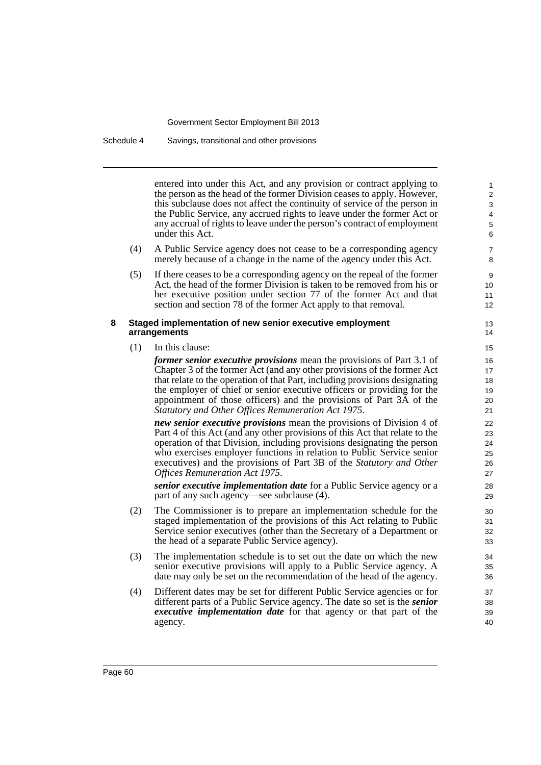Schedule 4 Savings, transitional and other provisions

entered into under this Act, and any provision or contract applying to the person as the head of the former Division ceases to apply. However, this subclause does not affect the continuity of service of the person in the Public Service, any accrued rights to leave under the former Act or any accrual of rights to leave under the person's contract of employment under this Act.

- (4) A Public Service agency does not cease to be a corresponding agency merely because of a change in the name of the agency under this Act.
- (5) If there ceases to be a corresponding agency on the repeal of the former Act, the head of the former Division is taken to be removed from his or her executive position under section 77 of the former Act and that section and section 78 of the former Act apply to that removal.

#### **8 Staged implementation of new senior executive employment arrangements**

(1) In this clause:

*former senior executive provisions* mean the provisions of Part 3.1 of Chapter 3 of the former Act (and any other provisions of the former Act that relate to the operation of that Part, including provisions designating the employer of chief or senior executive officers or providing for the appointment of those officers) and the provisions of Part 3A of the *Statutory and Other Offices Remuneration Act 1975*.

*new senior executive provisions* mean the provisions of Division 4 of Part 4 of this Act (and any other provisions of this Act that relate to the operation of that Division, including provisions designating the person who exercises employer functions in relation to Public Service senior executives) and the provisions of Part 3B of the *Statutory and Other Offices Remuneration Act 1975*.

*senior executive implementation date* for a Public Service agency or a part of any such agency—see subclause (4).

- (2) The Commissioner is to prepare an implementation schedule for the staged implementation of the provisions of this Act relating to Public Service senior executives (other than the Secretary of a Department or the head of a separate Public Service agency).
- (3) The implementation schedule is to set out the date on which the new senior executive provisions will apply to a Public Service agency. A date may only be set on the recommendation of the head of the agency.
- (4) Different dates may be set for different Public Service agencies or for different parts of a Public Service agency. The date so set is the *senior executive implementation date* for that agency or that part of the agency.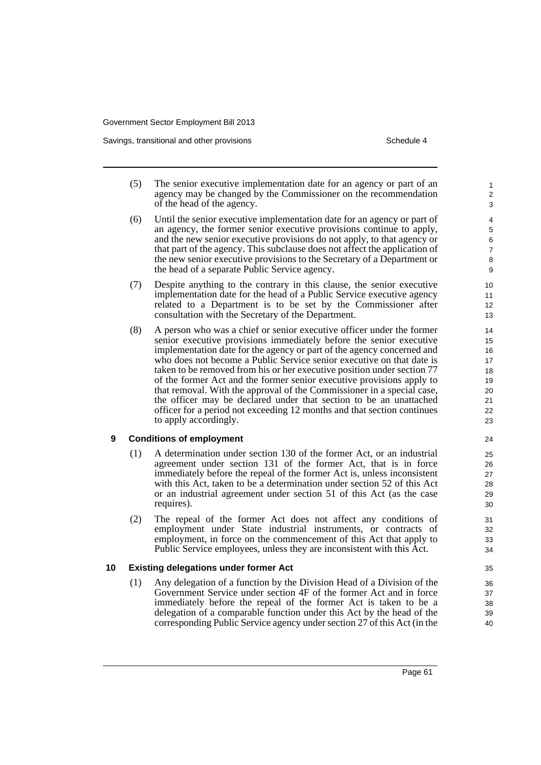Savings, transitional and other provisions Schedule 4 and the state of the Schedule 4

- (5) The senior executive implementation date for an agency or part of an agency may be changed by the Commissioner on the recommendation of the head of the agency.
- (6) Until the senior executive implementation date for an agency or part of an agency, the former senior executive provisions continue to apply, and the new senior executive provisions do not apply, to that agency or that part of the agency. This subclause does not affect the application of the new senior executive provisions to the Secretary of a Department or the head of a separate Public Service agency.
- (7) Despite anything to the contrary in this clause, the senior executive implementation date for the head of a Public Service executive agency related to a Department is to be set by the Commissioner after consultation with the Secretary of the Department.
- (8) A person who was a chief or senior executive officer under the former senior executive provisions immediately before the senior executive implementation date for the agency or part of the agency concerned and who does not become a Public Service senior executive on that date is taken to be removed from his or her executive position under section 77 of the former Act and the former senior executive provisions apply to that removal. With the approval of the Commissioner in a special case, the officer may be declared under that section to be an unattached officer for a period not exceeding 12 months and that section continues to apply accordingly.

#### **9 Conditions of employment**

- (1) A determination under section 130 of the former Act, or an industrial agreement under section 131 of the former Act, that is in force immediately before the repeal of the former Act is, unless inconsistent with this Act, taken to be a determination under section 52 of this Act or an industrial agreement under section 51 of this Act (as the case requires).
- (2) The repeal of the former Act does not affect any conditions of employment under State industrial instruments, or contracts of employment, in force on the commencement of this Act that apply to Public Service employees, unless they are inconsistent with this Act.

#### **10 Existing delegations under former Act**

(1) Any delegation of a function by the Division Head of a Division of the Government Service under section 4F of the former Act and in force immediately before the repeal of the former Act is taken to be a delegation of a comparable function under this Act by the head of the corresponding Public Service agency under section 27 of this Act (in the

Page 61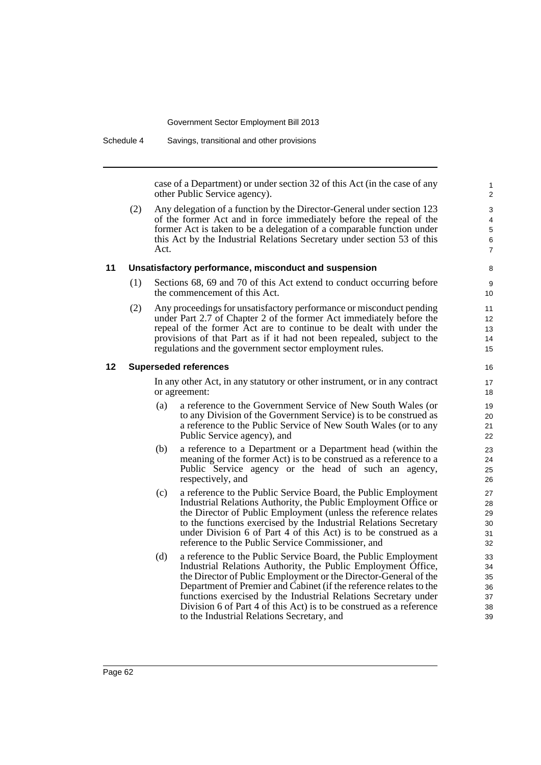Schedule 4 Savings, transitional and other provisions

case of a Department) or under section 32 of this Act (in the case of any other Public Service agency).

(2) Any delegation of a function by the Director-General under section 123 of the former Act and in force immediately before the repeal of the former Act is taken to be a delegation of a comparable function under this Act by the Industrial Relations Secretary under section 53 of this Act.

#### **11 Unsatisfactory performance, misconduct and suspension**

- (1) Sections 68, 69 and 70 of this Act extend to conduct occurring before the commencement of this Act.
- (2) Any proceedings for unsatisfactory performance or misconduct pending under Part 2.7 of Chapter 2 of the former Act immediately before the repeal of the former Act are to continue to be dealt with under the provisions of that Part as if it had not been repealed, subject to the regulations and the government sector employment rules.

#### **12 Superseded references**

In any other Act, in any statutory or other instrument, or in any contract or agreement:

- (a) a reference to the Government Service of New South Wales (or to any Division of the Government Service) is to be construed as a reference to the Public Service of New South Wales (or to any Public Service agency), and
- (b) a reference to a Department or a Department head (within the meaning of the former Act) is to be construed as a reference to a Public Service agency or the head of such an agency, respectively, and
- (c) a reference to the Public Service Board, the Public Employment Industrial Relations Authority, the Public Employment Office or the Director of Public Employment (unless the reference relates to the functions exercised by the Industrial Relations Secretary under Division 6 of Part 4 of this Act) is to be construed as a reference to the Public Service Commissioner, and
- (d) a reference to the Public Service Board, the Public Employment Industrial Relations Authority, the Public Employment Office, the Director of Public Employment or the Director-General of the Department of Premier and Cabinet (if the reference relates to the functions exercised by the Industrial Relations Secretary under Division 6 of Part 4 of this Act) is to be construed as a reference to the Industrial Relations Secretary, and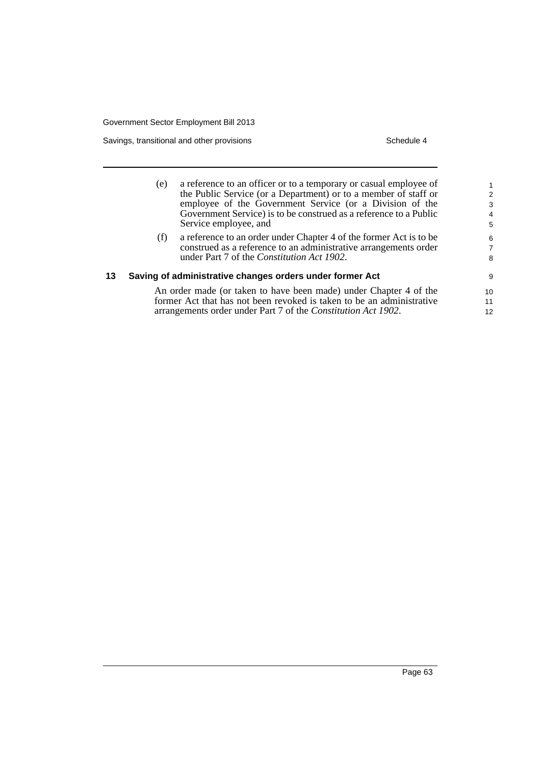Savings, transitional and other provisions Schedule 4

|    | (e) | a reference to an officer or to a temporary or casual employee of<br>the Public Service (or a Department) or to a member of staff or<br>employee of the Government Service (or a Division of the<br>Government Service) is to be construed as a reference to a Public<br>Service employee, and | 2<br>3<br>4<br>5         |
|----|-----|------------------------------------------------------------------------------------------------------------------------------------------------------------------------------------------------------------------------------------------------------------------------------------------------|--------------------------|
|    | (f) | a reference to an order under Chapter 4 of the former Act is to be<br>construed as a reference to an administrative arrangements order<br>under Part 7 of the Constitution Act 1902.                                                                                                           | 6<br>$\overline{7}$<br>8 |
| 13 |     | Saving of administrative changes orders under former Act                                                                                                                                                                                                                                       | 9                        |
|    |     | An order made (or taken to have been made) under Chapter 4 of the                                                                                                                                                                                                                              | 10 <sup>1</sup>          |
|    |     | former Act that has not been revoked is taken to be an administrative                                                                                                                                                                                                                          | 11                       |
|    |     | arrangements order under Part 7 of the Constitution Act 1902.                                                                                                                                                                                                                                  | 12 <sup>°</sup>          |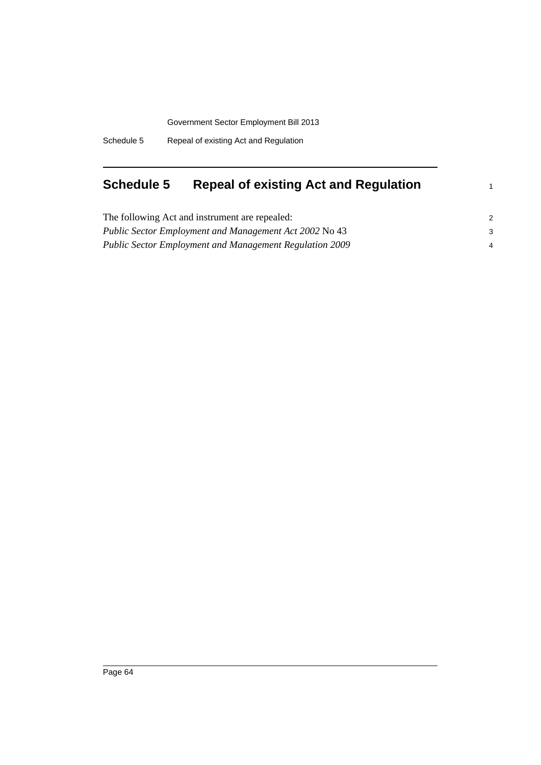Schedule 5 Repeal of existing Act and Regulation

# **Schedule 5 Repeal of existing Act and Regulation**

| The following Act and instrument are repealed:                 |   |
|----------------------------------------------------------------|---|
| Public Sector Employment and Management Act 2002 No 43         |   |
| <b>Public Sector Employment and Management Regulation 2009</b> | 4 |

1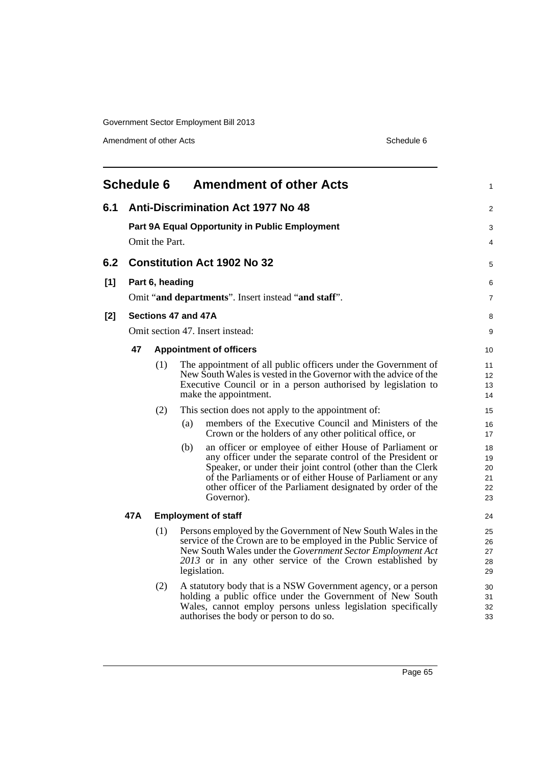Amendment of other Acts Schedule 6

|       | <b>Schedule 6</b>                                                       |                 |                     | <b>Amendment of other Acts</b>                                                                                                                                                                                                                                                                                                 | 1                                |
|-------|-------------------------------------------------------------------------|-----------------|---------------------|--------------------------------------------------------------------------------------------------------------------------------------------------------------------------------------------------------------------------------------------------------------------------------------------------------------------------------|----------------------------------|
| 6.1   | <b>Anti-Discrimination Act 1977 No 48</b>                               |                 |                     |                                                                                                                                                                                                                                                                                                                                |                                  |
|       | <b>Part 9A Equal Opportunity in Public Employment</b><br>Omit the Part. |                 |                     |                                                                                                                                                                                                                                                                                                                                | 3<br>4                           |
| 6.2   |                                                                         |                 |                     | <b>Constitution Act 1902 No 32</b>                                                                                                                                                                                                                                                                                             | 5                                |
| [1]   |                                                                         | Part 6, heading |                     | Omit "and departments". Insert instead "and staff".                                                                                                                                                                                                                                                                            | 6<br>7                           |
| $[2]$ |                                                                         |                 | Sections 47 and 47A |                                                                                                                                                                                                                                                                                                                                | 8                                |
|       |                                                                         |                 |                     | Omit section 47. Insert instead:                                                                                                                                                                                                                                                                                               | 9                                |
|       | 47                                                                      |                 |                     | <b>Appointment of officers</b>                                                                                                                                                                                                                                                                                                 | 10                               |
|       |                                                                         | (1)             |                     | The appointment of all public officers under the Government of<br>New South Wales is vested in the Governor with the advice of the<br>Executive Council or in a person authorised by legislation to<br>make the appointment.                                                                                                   | 11<br>12<br>13<br>14             |
|       |                                                                         | (2)             |                     | This section does not apply to the appointment of:                                                                                                                                                                                                                                                                             | 15                               |
|       |                                                                         |                 | (a)                 | members of the Executive Council and Ministers of the<br>Crown or the holders of any other political office, or                                                                                                                                                                                                                | 16<br>17                         |
|       |                                                                         |                 | (b)                 | an officer or employee of either House of Parliament or<br>any officer under the separate control of the President or<br>Speaker, or under their joint control (other than the Clerk<br>of the Parliaments or of either House of Parliament or any<br>other officer of the Parliament designated by order of the<br>Governor). | 18<br>19<br>20<br>21<br>22<br>23 |
|       | 47 A                                                                    |                 |                     | <b>Employment of staff</b>                                                                                                                                                                                                                                                                                                     | 24                               |
|       |                                                                         | (1)             |                     | Persons employed by the Government of New South Wales in the<br>service of the Crown are to be employed in the Public Service of<br>New South Wales under the Government Sector Employment Act<br>2013 or in any other service of the Crown established by<br>legislation.                                                     | 25<br>26<br>27<br>28<br>29       |
|       |                                                                         | (2)             |                     | A statutory body that is a NSW Government agency, or a person<br>holding a public office under the Government of New South<br>Wales, cannot employ persons unless legislation specifically<br>authorises the body or person to do so.                                                                                          | 30<br>31<br>32<br>33             |
|       |                                                                         |                 |                     |                                                                                                                                                                                                                                                                                                                                |                                  |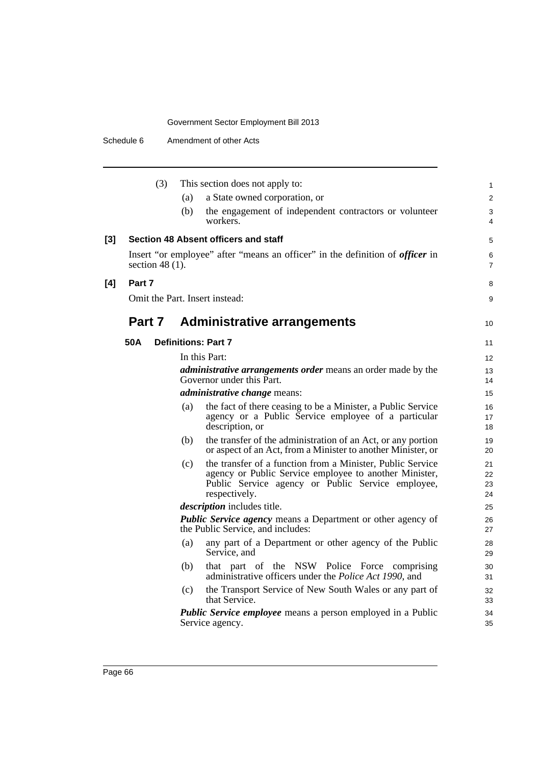|       | (3)                | (a)<br>(b) | This section does not apply to:<br>a State owned corporation, or<br>the engagement of independent contractors or volunteer<br>workers.                                                     | 1<br>$\overline{c}$<br>3<br>4 |
|-------|--------------------|------------|--------------------------------------------------------------------------------------------------------------------------------------------------------------------------------------------|-------------------------------|
| $[3]$ |                    |            | Section 48 Absent officers and staff                                                                                                                                                       | 5                             |
|       | section 48 $(1)$ . |            | Insert "or employee" after "means an officer" in the definition of <i>officer</i> in                                                                                                       | 6<br>7                        |
| [4]   | Part 7             |            |                                                                                                                                                                                            | 8                             |
|       |                    |            | Omit the Part. Insert instead:                                                                                                                                                             | 9                             |
|       | Part 7             |            | <b>Administrative arrangements</b>                                                                                                                                                         | 10                            |
|       | 50A                |            | <b>Definitions: Part 7</b>                                                                                                                                                                 | 11                            |
|       |                    |            | In this Part:                                                                                                                                                                              | 12                            |
|       |                    |            | <i>administrative arrangements order</i> means an order made by the<br>Governor under this Part.                                                                                           | 13<br>14                      |
|       |                    |            | <i>administrative change</i> means:                                                                                                                                                        | 15                            |
|       |                    | (a)        | the fact of there ceasing to be a Minister, a Public Service<br>agency or a Public Service employee of a particular<br>description, or                                                     | 16<br>17<br>18                |
|       |                    | (b)        | the transfer of the administration of an Act, or any portion<br>or aspect of an Act, from a Minister to another Minister, or                                                               | 19<br>20                      |
|       |                    | (c)        | the transfer of a function from a Minister, Public Service<br>agency or Public Service employee to another Minister,<br>Public Service agency or Public Service employee,<br>respectively. | 21<br>22<br>23<br>24          |
|       |                    |            | <i>description</i> includes title.                                                                                                                                                         | 25                            |
|       |                    |            | <b>Public Service agency means a Department or other agency of</b><br>the Public Service, and includes:                                                                                    | 26<br>27                      |
|       |                    | (a)        | any part of a Department or other agency of the Public<br>Service, and                                                                                                                     | 28<br>29                      |
|       |                    | (b)        | that part of the NSW Police Force comprising<br>administrative officers under the Police Act 1990, and                                                                                     | 30<br>31                      |
|       |                    | (c)        | the Transport Service of New South Wales or any part of<br>that Service.                                                                                                                   | 32<br>33                      |
|       |                    |            | Public Service employee means a person employed in a Public<br>Service agency.                                                                                                             | 34<br>35                      |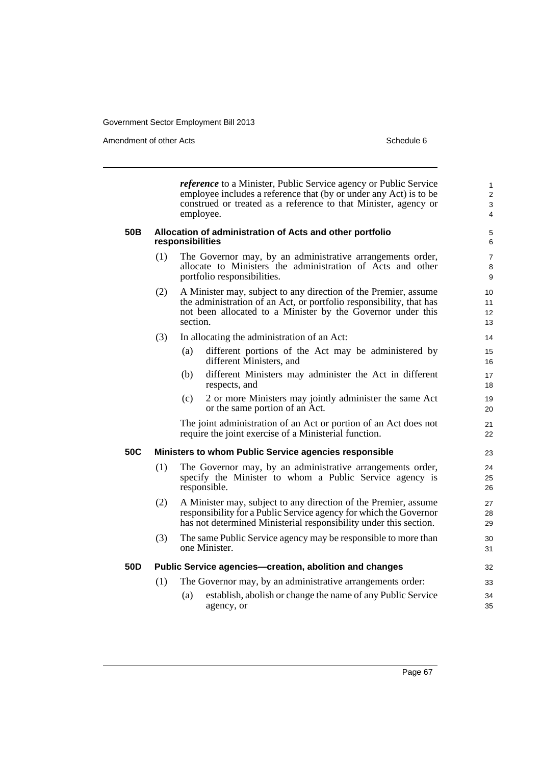Amendment of other Acts **Schedule 6** and the state of the state of the Schedule 6

*reference* to a Minister, Public Service agency or Public Service employee includes a reference that (by or under any Act) is to be construed or treated as a reference to that Minister, agency or employee. **50B Allocation of administration of Acts and other portfolio responsibilities** (1) The Governor may, by an administrative arrangements order, allocate to Ministers the administration of Acts and other portfolio responsibilities. (2) A Minister may, subject to any direction of the Premier, assume the administration of an Act, or portfolio responsibility, that has not been allocated to a Minister by the Governor under this section. (3) In allocating the administration of an Act: (a) different portions of the Act may be administered by different Ministers, and (b) different Ministers may administer the Act in different respects, and (c) 2 or more Ministers may jointly administer the same Act or the same portion of an Act. The joint administration of an Act or portion of an Act does not require the joint exercise of a Ministerial function. **50C Ministers to whom Public Service agencies responsible** (1) The Governor may, by an administrative arrangements order, specify the Minister to whom a Public Service agency is responsible. (2) A Minister may, subject to any direction of the Premier, assume responsibility for a Public Service agency for which the Governor has not determined Ministerial responsibility under this section. (3) The same Public Service agency may be responsible to more than one Minister. **50D Public Service agencies—creation, abolition and changes** (1) The Governor may, by an administrative arrangements order: (a) establish, abolish or change the name of any Public Service agency, or 1 2 3 4 5 6 7 8 9  $10$ 11 12 13 14 15 16 17 18 19 20 21 22 23 24 25 26 27 28 29 30 31 32 33 34 35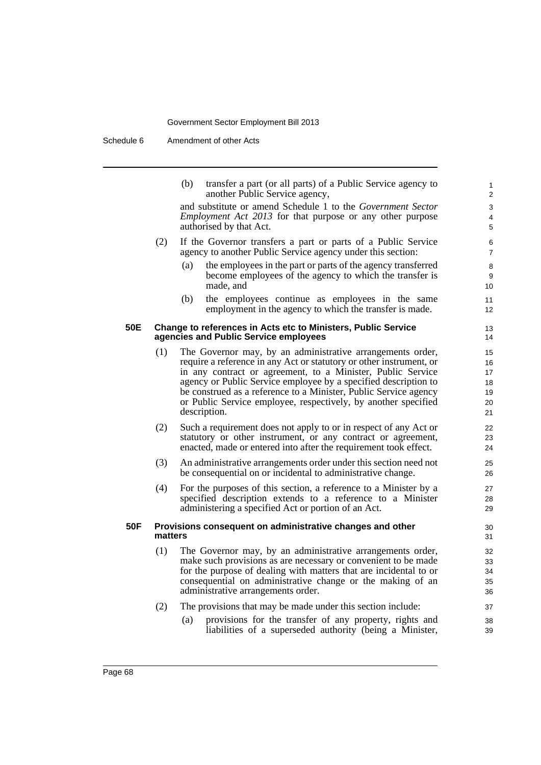| (b) | transfer a part (or all parts) of a Public Service agency to |
|-----|--------------------------------------------------------------|
|     | another Public Service agency,                               |

and substitute or amend Schedule 1 to the *Government Sector Employment Act 2013* for that purpose or any other purpose authorised by that Act.

- (2) If the Governor transfers a part or parts of a Public Service agency to another Public Service agency under this section:
	- (a) the employees in the part or parts of the agency transferred become employees of the agency to which the transfer is made, and
	- (b) the employees continue as employees in the same employment in the agency to which the transfer is made.

#### **50E Change to references in Acts etc to Ministers, Public Service agencies and Public Service employees**

- (1) The Governor may, by an administrative arrangements order, require a reference in any Act or statutory or other instrument, or in any contract or agreement, to a Minister, Public Service agency or Public Service employee by a specified description to be construed as a reference to a Minister, Public Service agency or Public Service employee, respectively, by another specified description.
- (2) Such a requirement does not apply to or in respect of any Act or statutory or other instrument, or any contract or agreement, enacted, made or entered into after the requirement took effect.
- (3) An administrative arrangements order under this section need not be consequential on or incidental to administrative change.
- (4) For the purposes of this section, a reference to a Minister by a specified description extends to a reference to a Minister administering a specified Act or portion of an Act.

#### **50F Provisions consequent on administrative changes and other matters**

- (1) The Governor may, by an administrative arrangements order, make such provisions as are necessary or convenient to be made for the purpose of dealing with matters that are incidental to or consequential on administrative change or the making of an administrative arrangements order.
- (2) The provisions that may be made under this section include:
	- (a) provisions for the transfer of any property, rights and liabilities of a superseded authority (being a Minister,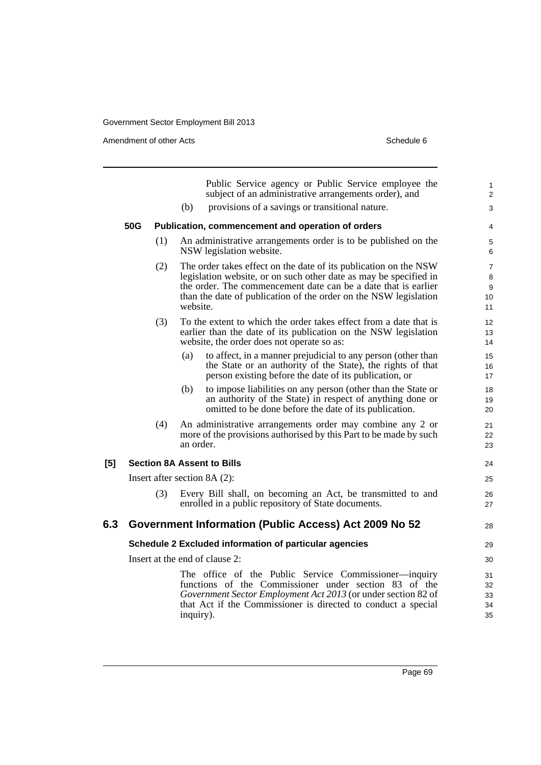Amendment of other Acts Schedule 6

|     |                                                        |     |           | Public Service agency or Public Service employee the<br>subject of an administrative arrangements order), and                                                                                                                                                               | $\mathbf{1}$<br>2                    |  |
|-----|--------------------------------------------------------|-----|-----------|-----------------------------------------------------------------------------------------------------------------------------------------------------------------------------------------------------------------------------------------------------------------------------|--------------------------------------|--|
|     |                                                        |     | (b)       | provisions of a savings or transitional nature.                                                                                                                                                                                                                             | 3                                    |  |
|     | 50G                                                    |     |           | Publication, commencement and operation of orders                                                                                                                                                                                                                           | 4                                    |  |
|     |                                                        | (1) |           | An administrative arrangements order is to be published on the<br>NSW legislation website.                                                                                                                                                                                  | 5<br>6                               |  |
|     |                                                        | (2) | website.  | The order takes effect on the date of its publication on the NSW<br>legislation website, or on such other date as may be specified in<br>the order. The commencement date can be a date that is earlier<br>than the date of publication of the order on the NSW legislation | $\overline{7}$<br>8<br>9<br>10<br>11 |  |
|     |                                                        | (3) |           | To the extent to which the order takes effect from a date that is<br>earlier than the date of its publication on the NSW legislation<br>website, the order does not operate so as:                                                                                          | 12<br>13<br>14                       |  |
|     |                                                        |     | (a)       | to affect, in a manner prejudicial to any person (other than<br>the State or an authority of the State), the rights of that<br>person existing before the date of its publication, or                                                                                       | 15<br>16<br>17                       |  |
|     |                                                        |     | (b)       | to impose liabilities on any person (other than the State or<br>an authority of the State) in respect of anything done or<br>omitted to be done before the date of its publication.                                                                                         | 18<br>19<br>20                       |  |
|     |                                                        | (4) | an order. | An administrative arrangements order may combine any 2 or<br>more of the provisions authorised by this Part to be made by such                                                                                                                                              | 21<br>22<br>23                       |  |
| [5] |                                                        |     |           | <b>Section 8A Assent to Bills</b>                                                                                                                                                                                                                                           | 24                                   |  |
|     |                                                        |     |           | Insert after section 8A (2):                                                                                                                                                                                                                                                | 25                                   |  |
|     |                                                        | (3) |           | Every Bill shall, on becoming an Act, be transmitted to and<br>enrolled in a public repository of State documents.                                                                                                                                                          | 26<br>27                             |  |
| 6.3 |                                                        |     |           | Government Information (Public Access) Act 2009 No 52                                                                                                                                                                                                                       | 28                                   |  |
|     | Schedule 2 Excluded information of particular agencies |     |           |                                                                                                                                                                                                                                                                             |                                      |  |
|     |                                                        |     |           | Insert at the end of clause 2:                                                                                                                                                                                                                                              | 30                                   |  |
|     |                                                        |     | inquiry). | The office of the Public Service Commissioner—inquiry<br>functions of the Commissioner under section 83 of the<br>Government Sector Employment Act 2013 (or under section 82 of<br>that Act if the Commissioner is directed to conduct a special                            | 31<br>32<br>33<br>34<br>35           |  |
|     |                                                        |     |           |                                                                                                                                                                                                                                                                             |                                      |  |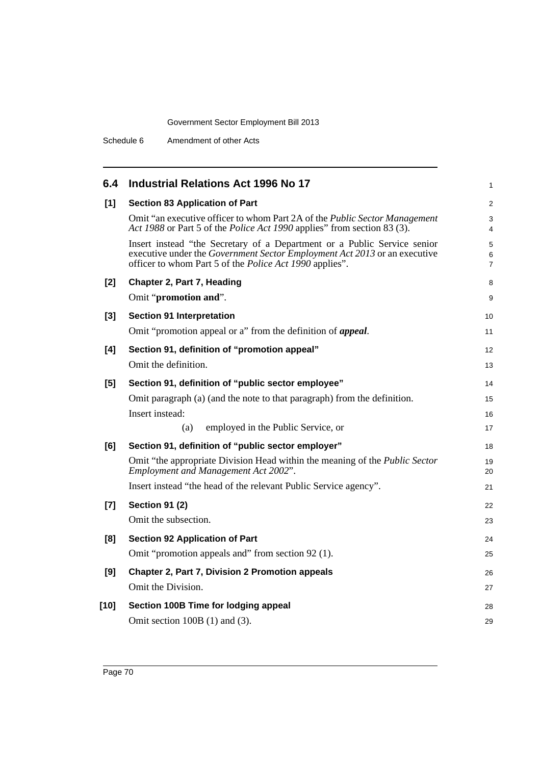| 6.4    | <b>Industrial Relations Act 1996 No 17</b>                                                                                                                                                                              | 1                        |
|--------|-------------------------------------------------------------------------------------------------------------------------------------------------------------------------------------------------------------------------|--------------------------|
| $[1]$  | <b>Section 83 Application of Part</b>                                                                                                                                                                                   | $\overline{2}$           |
|        | Omit "an executive officer to whom Part 2A of the <i>Public Sector Management</i><br>Act 1988 or Part 5 of the <i>Police Act 1990</i> applies" from section 83 (3).                                                     | 3<br>4                   |
|        | Insert instead "the Secretary of a Department or a Public Service senior<br>executive under the Government Sector Employment Act 2013 or an executive<br>officer to whom Part 5 of the <i>Police Act 1990</i> applies". | 5<br>6<br>$\overline{7}$ |
| $[2]$  | Chapter 2, Part 7, Heading                                                                                                                                                                                              | 8                        |
|        | Omit "promotion and".                                                                                                                                                                                                   | 9                        |
| $[3]$  | <b>Section 91 Interpretation</b>                                                                                                                                                                                        | 10                       |
|        | Omit "promotion appeal or a" from the definition of <i>appeal</i> .                                                                                                                                                     | 11                       |
| [4]    | Section 91, definition of "promotion appeal"                                                                                                                                                                            | 12                       |
|        | Omit the definition.                                                                                                                                                                                                    | 13                       |
| [5]    | Section 91, definition of "public sector employee"                                                                                                                                                                      | 14                       |
|        | Omit paragraph (a) (and the note to that paragraph) from the definition.                                                                                                                                                | 15                       |
|        | Insert instead:                                                                                                                                                                                                         | 16                       |
|        | employed in the Public Service, or<br>(a)                                                                                                                                                                               | 17                       |
| [6]    | Section 91, definition of "public sector employer"                                                                                                                                                                      | 18                       |
|        | Omit "the appropriate Division Head within the meaning of the <i>Public Sector</i><br>Employment and Management Act 2002".                                                                                              | 19<br>20                 |
|        | Insert instead "the head of the relevant Public Service agency".                                                                                                                                                        | 21                       |
| $[7]$  | <b>Section 91 (2)</b>                                                                                                                                                                                                   | 22                       |
|        | Omit the subsection.                                                                                                                                                                                                    | 23                       |
| [8]    | <b>Section 92 Application of Part</b>                                                                                                                                                                                   | 24                       |
|        | Omit "promotion appeals and" from section 92 (1).                                                                                                                                                                       | 25                       |
| [9]    | Chapter 2, Part 7, Division 2 Promotion appeals                                                                                                                                                                         | 26                       |
|        | Omit the Division.                                                                                                                                                                                                      | 27                       |
| $[10]$ | Section 100B Time for lodging appeal                                                                                                                                                                                    | 28                       |
|        | Omit section $100B(1)$ and $(3)$ .                                                                                                                                                                                      | 29                       |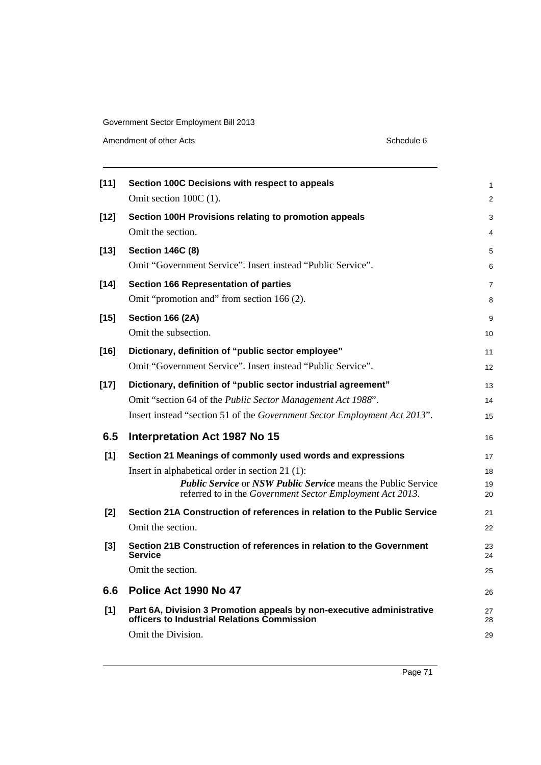Amendment of other Acts Schedule 6

| [11]   | Section 100C Decisions with respect to appeals                                                                                    | 1        |
|--------|-----------------------------------------------------------------------------------------------------------------------------------|----------|
|        | Omit section $100C(1)$ .                                                                                                          | 2        |
| $[12]$ | Section 100H Provisions relating to promotion appeals                                                                             | 3        |
|        | Omit the section.                                                                                                                 | 4        |
| $[13]$ | <b>Section 146C (8)</b>                                                                                                           | 5        |
|        | Omit "Government Service". Insert instead "Public Service".                                                                       | 6        |
| $[14]$ | <b>Section 166 Representation of parties</b>                                                                                      | 7        |
|        | Omit "promotion and" from section 166 (2).                                                                                        | 8        |
| $[15]$ | <b>Section 166 (2A)</b>                                                                                                           | 9        |
|        | Omit the subsection.                                                                                                              | 10       |
| [16]   | Dictionary, definition of "public sector employee"                                                                                | 11       |
|        | Omit "Government Service". Insert instead "Public Service".                                                                       | 12       |
| $[17]$ | Dictionary, definition of "public sector industrial agreement"                                                                    | 13       |
|        | Omit "section 64 of the Public Sector Management Act 1988".                                                                       | 14       |
|        | Insert instead "section 51 of the Government Sector Employment Act 2013".                                                         | 15       |
| 6.5    | Interpretation Act 1987 No 15                                                                                                     | 16       |
| [1]    | Section 21 Meanings of commonly used words and expressions                                                                        | 17       |
|        | Insert in alphabetical order in section 21 (1):                                                                                   | 18       |
|        | <b>Public Service or NSW Public Service means the Public Service</b><br>referred to in the Government Sector Employment Act 2013. | 19<br>20 |
| [2]    | Section 21A Construction of references in relation to the Public Service                                                          | 21       |
|        | Omit the section.                                                                                                                 | 22       |
| $[3]$  | Section 21B Construction of references in relation to the Government<br><b>Service</b>                                            | 23<br>24 |
|        | Omit the section.                                                                                                                 | 25       |
| 6.6    | Police Act 1990 No 47                                                                                                             | 26       |
| [1]    | Part 6A, Division 3 Promotion appeals by non-executive administrative<br>officers to Industrial Relations Commission              | 27<br>28 |
|        |                                                                                                                                   |          |
|        | Omit the Division.                                                                                                                | 29       |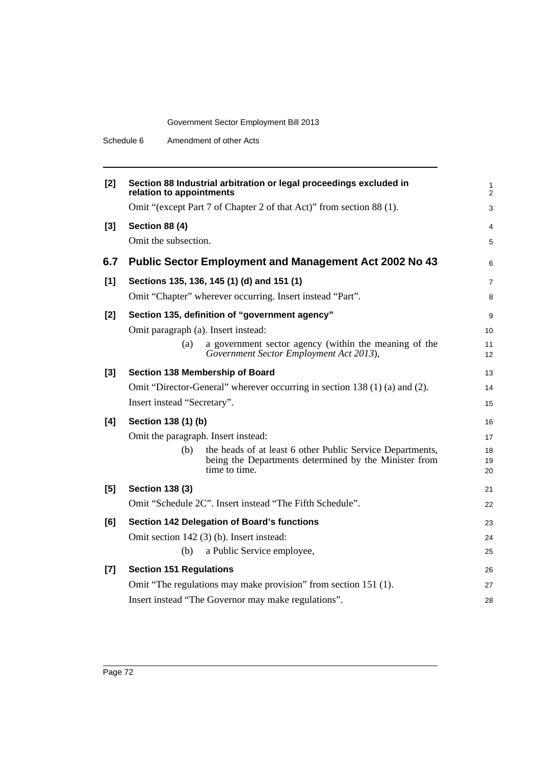Schedule 6 Amendment of other Acts

| $[2]$ | Section 88 Industrial arbitration or legal proceedings excluded in<br>relation to appointments                                             | $\mathbf{1}$<br>2 |
|-------|--------------------------------------------------------------------------------------------------------------------------------------------|-------------------|
|       | Omit "(except Part 7 of Chapter 2 of that Act)" from section 88 (1).                                                                       | 3                 |
| $[3]$ | <b>Section 88 (4)</b>                                                                                                                      | 4                 |
|       | Omit the subsection.                                                                                                                       | 5                 |
| 6.7   | <b>Public Sector Employment and Management Act 2002 No 43</b>                                                                              | 6                 |
| [1]   | Sections 135, 136, 145 (1) (d) and 151 (1)                                                                                                 | $\overline{7}$    |
|       | Omit "Chapter" wherever occurring. Insert instead "Part".                                                                                  | 8                 |
| $[2]$ | Section 135, definition of "government agency"                                                                                             | 9                 |
|       | Omit paragraph (a). Insert instead:                                                                                                        | 10                |
|       | a government sector agency (within the meaning of the<br>(a)<br>Government Sector Employment Act 2013),                                    | 11<br>12          |
| $[3]$ | Section 138 Membership of Board                                                                                                            | 13                |
|       | Omit "Director-General" wherever occurring in section 138 (1) (a) and (2).                                                                 | 14                |
|       | Insert instead "Secretary".                                                                                                                | 15                |
| [4]   | Section 138 (1) (b)                                                                                                                        | 16                |
|       | Omit the paragraph. Insert instead:                                                                                                        | 17                |
|       | the heads of at least 6 other Public Service Departments,<br>(b)<br>being the Departments determined by the Minister from<br>time to time. | 18<br>19<br>20    |
| [5]   | <b>Section 138 (3)</b>                                                                                                                     | 21                |
|       | Omit "Schedule 2C". Insert instead "The Fifth Schedule".                                                                                   | 22                |
| [6]   | Section 142 Delegation of Board's functions                                                                                                | 23                |
|       | Omit section 142 (3) (b). Insert instead:                                                                                                  | 24                |
|       | a Public Service employee,<br>(b)                                                                                                          | 25                |
| $[7]$ | <b>Section 151 Regulations</b>                                                                                                             | 26                |
|       | Omit "The regulations may make provision" from section 151 (1).                                                                            | 27                |
|       | Insert instead "The Governor may make regulations".                                                                                        | 28                |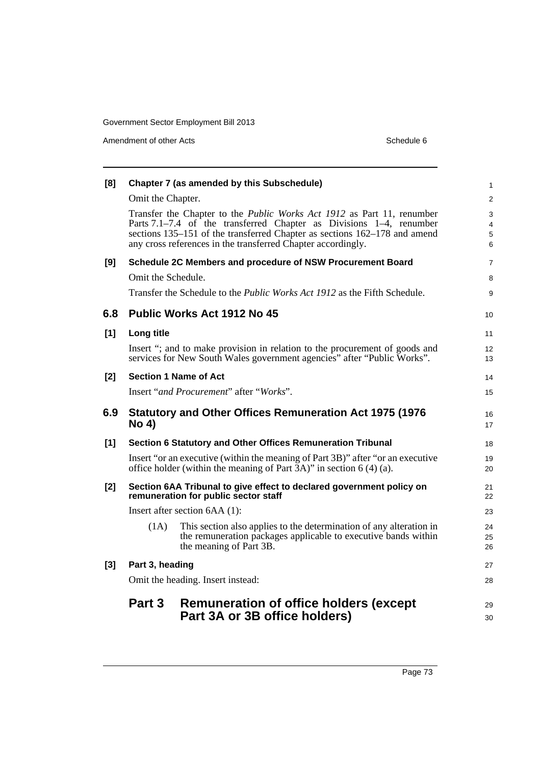Amendment of other Acts Schedule 6

| [8]   |                                                                                                                                                            | Chapter 7 (as amended by this Subschedule)                                                                                                                                                                                                                                                        | $\mathbf{1}$     |  |
|-------|------------------------------------------------------------------------------------------------------------------------------------------------------------|---------------------------------------------------------------------------------------------------------------------------------------------------------------------------------------------------------------------------------------------------------------------------------------------------|------------------|--|
|       | Omit the Chapter.                                                                                                                                          |                                                                                                                                                                                                                                                                                                   | $\overline{2}$   |  |
|       |                                                                                                                                                            | Transfer the Chapter to the <i>Public Works Act 1912</i> as Part 11, renumber<br>Parts 7.1–7.4 of the transferred Chapter as Divisions 1–4, renumber<br>sections 135–151 of the transferred Chapter as sections 162–178 and amend<br>any cross references in the transferred Chapter accordingly. | 3<br>4<br>5<br>6 |  |
| [9]   |                                                                                                                                                            | Schedule 2C Members and procedure of NSW Procurement Board                                                                                                                                                                                                                                        | 7                |  |
|       | Omit the Schedule.                                                                                                                                         |                                                                                                                                                                                                                                                                                                   | 8                |  |
|       |                                                                                                                                                            | Transfer the Schedule to the <i>Public Works Act 1912</i> as the Fifth Schedule.                                                                                                                                                                                                                  | 9                |  |
| 6.8   |                                                                                                                                                            | <b>Public Works Act 1912 No 45</b>                                                                                                                                                                                                                                                                | 10               |  |
| $[1]$ | Long title                                                                                                                                                 |                                                                                                                                                                                                                                                                                                   | 11               |  |
|       |                                                                                                                                                            | Insert "; and to make provision in relation to the procurement of goods and<br>services for New South Wales government agencies" after "Public Works".                                                                                                                                            | 12<br>13         |  |
| [2]   |                                                                                                                                                            | <b>Section 1 Name of Act</b>                                                                                                                                                                                                                                                                      | 14               |  |
|       |                                                                                                                                                            | Insert "and Procurement" after "Works".                                                                                                                                                                                                                                                           | 15               |  |
| 6.9   | <b>No 4)</b>                                                                                                                                               | <b>Statutory and Other Offices Remuneration Act 1975 (1976)</b>                                                                                                                                                                                                                                   | 16<br>17         |  |
| [1]   |                                                                                                                                                            | Section 6 Statutory and Other Offices Remuneration Tribunal                                                                                                                                                                                                                                       | 18               |  |
|       | Insert "or an executive (within the meaning of Part 3B)" after "or an executive<br>office holder (within the meaning of Part $3A$ )" in section 6 (4) (a). |                                                                                                                                                                                                                                                                                                   |                  |  |
| [2]   |                                                                                                                                                            | Section 6AA Tribunal to give effect to declared government policy on<br>remuneration for public sector staff                                                                                                                                                                                      | 21<br>22         |  |
|       |                                                                                                                                                            | Insert after section 6AA (1):                                                                                                                                                                                                                                                                     | 23               |  |
|       | (1A)                                                                                                                                                       | This section also applies to the determination of any alteration in<br>the remuneration packages applicable to executive bands within<br>the meaning of Part 3B.                                                                                                                                  | 24<br>25<br>26   |  |
| $[3]$ | Part 3, heading                                                                                                                                            |                                                                                                                                                                                                                                                                                                   | 27               |  |
|       | Omit the heading. Insert instead:                                                                                                                          |                                                                                                                                                                                                                                                                                                   |                  |  |
|       | Part 3                                                                                                                                                     | <b>Remuneration of office holders (except</b><br>Part 3A or 3B office holders)                                                                                                                                                                                                                    | 29<br>30         |  |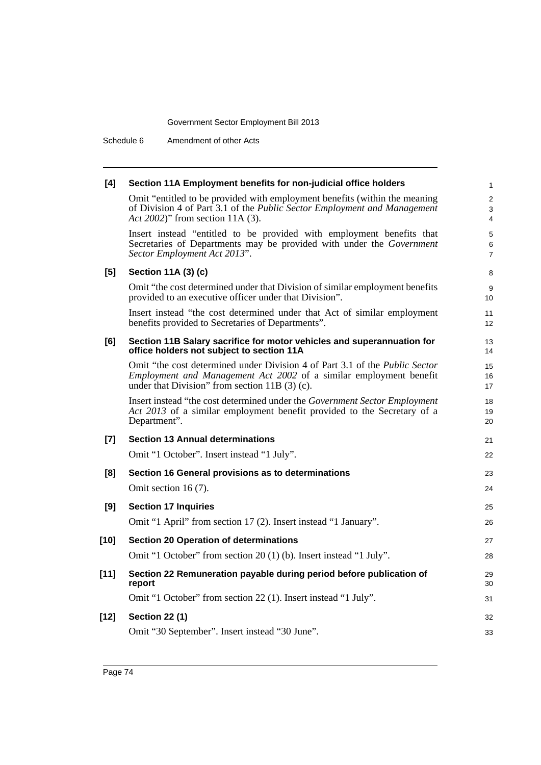Schedule 6 Amendment of other Acts

| [4]    | Section 11A Employment benefits for non-judicial office holders                                                                                                                                             | $\mathbf{1}$             |
|--------|-------------------------------------------------------------------------------------------------------------------------------------------------------------------------------------------------------------|--------------------------|
|        | Omit "entitled to be provided with employment benefits (within the meaning<br>of Division 4 of Part 3.1 of the Public Sector Employment and Management<br>Act 2002)" from section 11A (3).                  | 2<br>3<br>4              |
|        | Insert instead "entitled to be provided with employment benefits that<br>Secretaries of Departments may be provided with under the Government<br>Sector Employment Act 2013".                               | 5<br>6<br>$\overline{7}$ |
| [5]    | Section 11A (3) (c)                                                                                                                                                                                         | 8                        |
|        | Omit "the cost determined under that Division of similar employment benefits<br>provided to an executive officer under that Division".                                                                      | 9<br>10                  |
|        | Insert instead "the cost determined under that Act of similar employment<br>benefits provided to Secretaries of Departments".                                                                               | 11<br>12                 |
| [6]    | Section 11B Salary sacrifice for motor vehicles and superannuation for<br>office holders not subject to section 11A                                                                                         | 13<br>14                 |
|        | Omit "the cost determined under Division 4 of Part 3.1 of the <i>Public Sector</i><br>Employment and Management Act 2002 of a similar employment benefit<br>under that Division" from section $11B(3)$ (c). | 15<br>16<br>17           |
|        | Insert instead "the cost determined under the Government Sector Employment<br>Act 2013 of a similar employment benefit provided to the Secretary of a<br>Department".                                       | 18<br>19<br>20           |
| $[7]$  | <b>Section 13 Annual determinations</b>                                                                                                                                                                     | 21                       |
|        | Omit "1 October". Insert instead "1 July".                                                                                                                                                                  | 22                       |
| [8]    | Section 16 General provisions as to determinations                                                                                                                                                          | 23                       |
|        | Omit section 16 $(7)$ .                                                                                                                                                                                     | 24                       |
| [9]    | <b>Section 17 Inquiries</b>                                                                                                                                                                                 | 25                       |
|        | Omit "1 April" from section 17 (2). Insert instead "1 January".                                                                                                                                             | 26                       |
| $[10]$ | <b>Section 20 Operation of determinations</b>                                                                                                                                                               | 27                       |
|        | Omit "1 October" from section 20 (1) (b). Insert instead "1 July".                                                                                                                                          | 28                       |
| $[11]$ | Section 22 Remuneration payable during period before publication of<br>report                                                                                                                               | 29<br>30                 |
|        | Omit "1 October" from section 22 (1). Insert instead "1 July".                                                                                                                                              | 31                       |
| $[12]$ | <b>Section 22 (1)</b>                                                                                                                                                                                       | 32                       |
|        | Omit "30 September". Insert instead "30 June".                                                                                                                                                              | 33                       |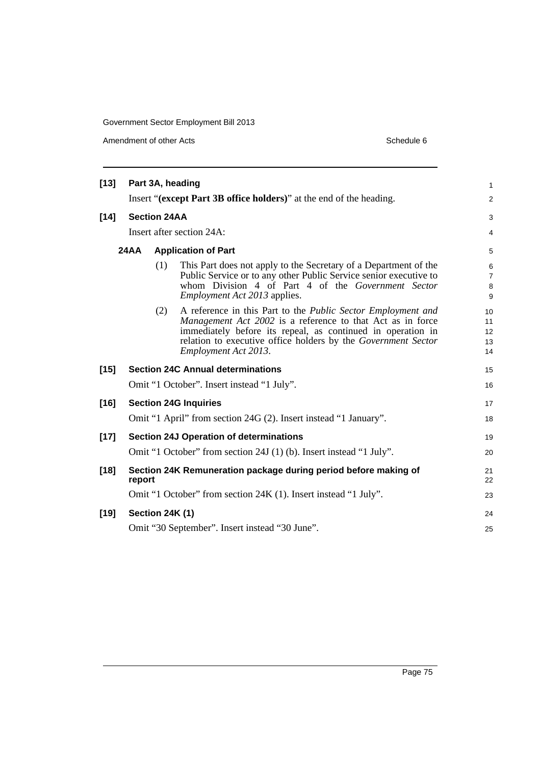Amendment of other Acts Schedule 6

| $[13]$ |             |                     | Part 3A, heading                                                                                                                                                                                                                                                                          | $\mathbf{1}$                  |
|--------|-------------|---------------------|-------------------------------------------------------------------------------------------------------------------------------------------------------------------------------------------------------------------------------------------------------------------------------------------|-------------------------------|
|        |             |                     | Insert "(except Part 3B office holders)" at the end of the heading.                                                                                                                                                                                                                       | 2                             |
| $[14]$ |             | <b>Section 24AA</b> |                                                                                                                                                                                                                                                                                           | 3                             |
|        |             |                     | Insert after section 24A:                                                                                                                                                                                                                                                                 | $\overline{4}$                |
|        | <b>24AA</b> |                     | <b>Application of Part</b>                                                                                                                                                                                                                                                                | 5                             |
|        |             | (1)                 | This Part does not apply to the Secretary of a Department of the<br>Public Service or to any other Public Service senior executive to<br>whom Division 4 of Part 4 of the Government Sector<br><i>Employment Act 2013</i> applies.                                                        | 6<br>$\overline{7}$<br>8<br>9 |
|        |             | (2)                 | A reference in this Part to the <i>Public Sector Employment and</i><br>Management Act 2002 is a reference to that Act as in force<br>immediately before its repeal, as continued in operation in<br>relation to executive office holders by the Government Sector<br>Employment Act 2013. | 10<br>11<br>12<br>13<br>14    |
| $[15]$ |             |                     | <b>Section 24C Annual determinations</b>                                                                                                                                                                                                                                                  | 15                            |
|        |             |                     | Omit "1 October". Insert instead "1 July".                                                                                                                                                                                                                                                | 16                            |
| $[16]$ |             |                     | <b>Section 24G Inquiries</b>                                                                                                                                                                                                                                                              | 17                            |
|        |             |                     | Omit "1 April" from section 24G (2). Insert instead "1 January".                                                                                                                                                                                                                          | 18                            |
| $[17]$ |             |                     | <b>Section 24J Operation of determinations</b>                                                                                                                                                                                                                                            | 19                            |
|        |             |                     | Omit "1 October" from section 24J (1) (b). Insert instead "1 July".                                                                                                                                                                                                                       | 20                            |
| $[18]$ | report      |                     | Section 24K Remuneration package during period before making of                                                                                                                                                                                                                           | 21<br>22                      |
|        |             |                     | Omit "1 October" from section 24K (1). Insert instead "1 July".                                                                                                                                                                                                                           | 23                            |
| $[19]$ |             | Section 24K (1)     |                                                                                                                                                                                                                                                                                           | 24                            |
|        |             |                     | Omit "30 September". Insert instead "30 June".                                                                                                                                                                                                                                            | 25                            |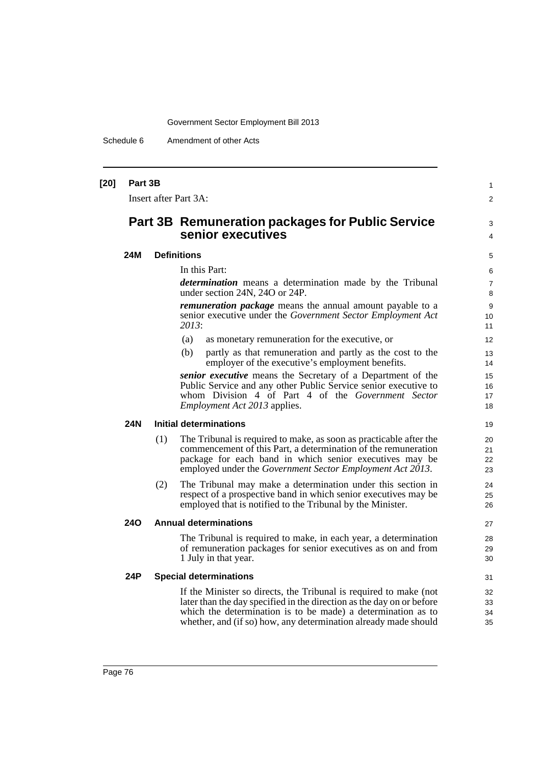Schedule 6 Amendment of other Acts

| $[20]$ | Part 3B    |     | Insert after Part 3A:                                                                                                                                                                                                                                                         | 1<br>$\overline{2}$  |
|--------|------------|-----|-------------------------------------------------------------------------------------------------------------------------------------------------------------------------------------------------------------------------------------------------------------------------------|----------------------|
|        |            |     | <b>Part 3B Remuneration packages for Public Service</b><br>senior executives                                                                                                                                                                                                  | 3<br>4               |
|        | 24M        |     | <b>Definitions</b>                                                                                                                                                                                                                                                            | 5                    |
|        |            |     | In this Part:                                                                                                                                                                                                                                                                 | 6                    |
|        |            |     | determination means a determination made by the Tribunal<br>under section 24N, 24O or 24P.                                                                                                                                                                                    | $\overline{7}$<br>8  |
|        |            |     | <i>remuneration package</i> means the annual amount payable to a<br>senior executive under the Government Sector Employment Act<br>2013:                                                                                                                                      | 9<br>10<br>11        |
|        |            |     | (a)<br>as monetary remuneration for the executive, or                                                                                                                                                                                                                         | 12                   |
|        |            |     | (b)<br>partly as that remuneration and partly as the cost to the<br>employer of the executive's employment benefits.                                                                                                                                                          | 13<br>14             |
|        |            |     | senior executive means the Secretary of a Department of the<br>Public Service and any other Public Service senior executive to<br>whom Division 4 of Part 4 of the Government Sector<br><i>Employment Act 2013</i> applies.                                                   | 15<br>16<br>17<br>18 |
|        | <b>24N</b> |     | <b>Initial determinations</b>                                                                                                                                                                                                                                                 | 19                   |
|        |            | (1) | The Tribunal is required to make, as soon as practicable after the<br>commencement of this Part, a determination of the remuneration<br>package for each band in which senior executives may be<br>employed under the Government Sector Employment Act 2013.                  | 20<br>21<br>22<br>23 |
|        |            | (2) | The Tribunal may make a determination under this section in<br>respect of a prospective band in which senior executives may be<br>employed that is notified to the Tribunal by the Minister.                                                                                  | 24<br>25<br>26       |
|        | <b>240</b> |     | <b>Annual determinations</b>                                                                                                                                                                                                                                                  | 27                   |
|        |            |     | The Tribunal is required to make, in each year, a determination<br>of remuneration packages for senior executives as on and from<br>1 July in that year.                                                                                                                      | 28<br>29<br>30       |
|        | 24P        |     | <b>Special determinations</b>                                                                                                                                                                                                                                                 | 31                   |
|        |            |     | If the Minister so directs, the Tribunal is required to make (not<br>later than the day specified in the direction as the day on or before<br>which the determination is to be made) a determination as to<br>whether, and (if so) how, any determination already made should | 32<br>33<br>34<br>35 |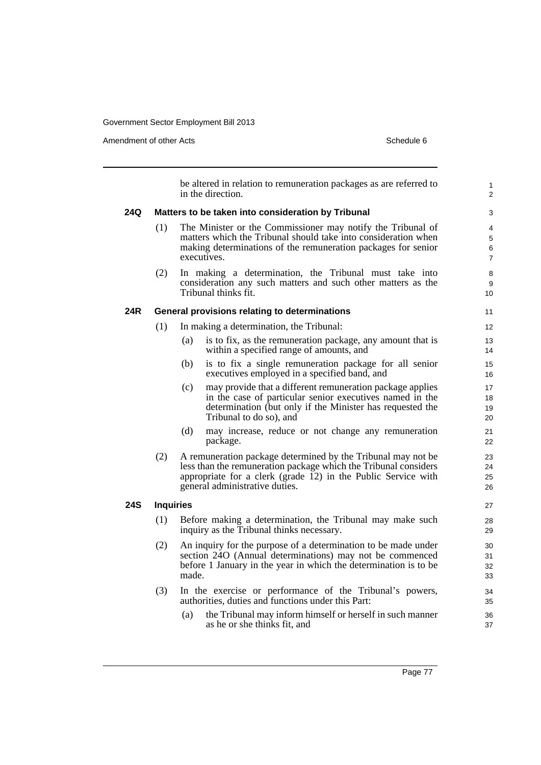Amendment of other Acts **Schedule 6** and the state of the state of the Schedule 6

be altered in relation to remuneration packages as are referred to in the direction. **24Q Matters to be taken into consideration by Tribunal** (1) The Minister or the Commissioner may notify the Tribunal of matters which the Tribunal should take into consideration when making determinations of the remuneration packages for senior executives. (2) In making a determination, the Tribunal must take into consideration any such matters and such other matters as the Tribunal thinks fit. **24R General provisions relating to determinations** (1) In making a determination, the Tribunal: (a) is to fix, as the remuneration package, any amount that is within a specified range of amounts, and (b) is to fix a single remuneration package for all senior executives employed in a specified band, and (c) may provide that a different remuneration package applies in the case of particular senior executives named in the determination (but only if the Minister has requested the Tribunal to do so), and (d) may increase, reduce or not change any remuneration package. (2) A remuneration package determined by the Tribunal may not be less than the remuneration package which the Tribunal considers appropriate for a clerk (grade 12) in the Public Service with general administrative duties. **24S Inquiries** (1) Before making a determination, the Tribunal may make such inquiry as the Tribunal thinks necessary. (2) An inquiry for the purpose of a determination to be made under section 24O (Annual determinations) may not be commenced before 1 January in the year in which the determination is to be made. (3) In the exercise or performance of the Tribunal's powers, authorities, duties and functions under this Part: (a) the Tribunal may inform himself or herself in such manner as he or she thinks fit, and 1  $\overline{2}$  $\mathbf{\hat{z}}$ 4 5 6 7 8 9 10 11 12 13 14 15 16 17 18 19 20 21 22 23 24 25 26 27 28 29 30 31 32 33 34 35 36 37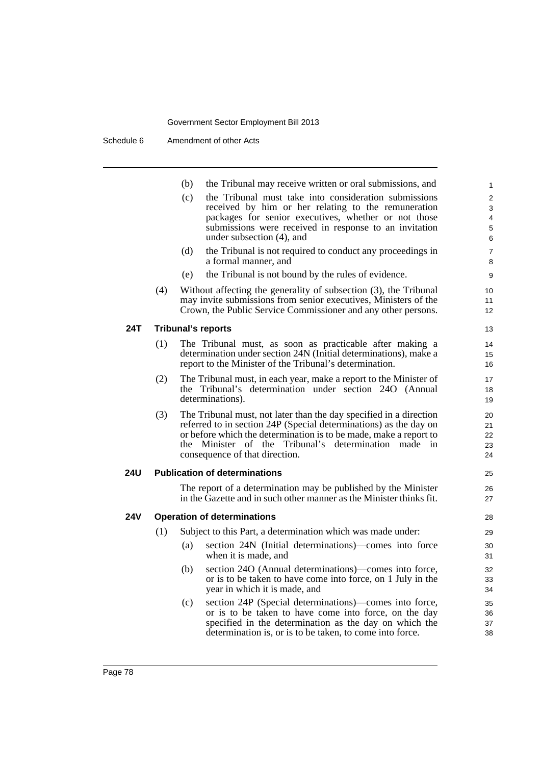|            |     | (b)<br>the Tribunal may receive written or oral submissions, and                                               | 1               |
|------------|-----|----------------------------------------------------------------------------------------------------------------|-----------------|
|            |     | (c)<br>the Tribunal must take into consideration submissions                                                   | $\overline{2}$  |
|            |     | received by him or her relating to the remuneration                                                            | 3               |
|            |     | packages for senior executives, whether or not those<br>submissions were received in response to an invitation | 4               |
|            |     | under subsection (4), and                                                                                      | 5<br>6          |
|            |     | (d)<br>the Tribunal is not required to conduct any proceedings in                                              | $\overline{7}$  |
|            |     | a formal manner, and                                                                                           | 8               |
|            |     | the Tribunal is not bound by the rules of evidence.<br>(e)                                                     | 9               |
|            | (4) | Without affecting the generality of subsection (3), the Tribunal                                               | 10 <sup>°</sup> |
|            |     | may invite submissions from senior executives, Ministers of the                                                | 11              |
|            |     | Crown, the Public Service Commissioner and any other persons.                                                  | 12 <sup>2</sup> |
| 24T        |     | <b>Tribunal's reports</b>                                                                                      | 13              |
|            | (1) | The Tribunal must, as soon as practicable after making a                                                       | 14              |
|            |     | determination under section 24N (Initial determinations), make a                                               | 15              |
|            |     | report to the Minister of the Tribunal's determination.                                                        | 16              |
|            | (2) | The Tribunal must, in each year, make a report to the Minister of                                              | 17              |
|            |     | the Tribunal's determination under section 240 (Annual<br>determinations).                                     | 18<br>19        |
|            | (3) | The Tribunal must, not later than the day specified in a direction                                             | 20              |
|            |     | referred to in section 24P (Special determinations) as the day on                                              | 21              |
|            |     | or before which the determination is to be made, make a report to                                              | 22              |
|            |     | the Minister of the Tribunal's determination made in                                                           | 23              |
|            |     | consequence of that direction.                                                                                 | 24              |
| <b>24U</b> |     | <b>Publication of determinations</b>                                                                           | 25              |
|            |     | The report of a determination may be published by the Minister                                                 | 26              |
|            |     | in the Gazette and in such other manner as the Minister thinks fit.                                            | 27              |
| <b>24V</b> |     | <b>Operation of determinations</b>                                                                             | 28              |
|            | (1) | Subject to this Part, a determination which was made under:                                                    | 29              |
|            |     | section 24N (Initial determinations)—comes into force<br>(a)                                                   | 30              |
|            |     | when it is made, and                                                                                           | 31              |
|            |     | section 24O (Annual determinations)—comes into force,<br>(b)                                                   | 32              |
|            |     | or is to be taken to have come into force, on 1 July in the<br>year in which it is made, and                   | 33<br>34        |
|            |     | section 24P (Special determinations)—comes into force,<br>(c)                                                  | 35              |
|            |     | or is to be taken to have come into force, on the day                                                          | 36              |
|            |     | specified in the determination as the day on which the                                                         | 37              |
|            |     | determination is, or is to be taken, to come into force.                                                       | 38              |
|            |     |                                                                                                                |                 |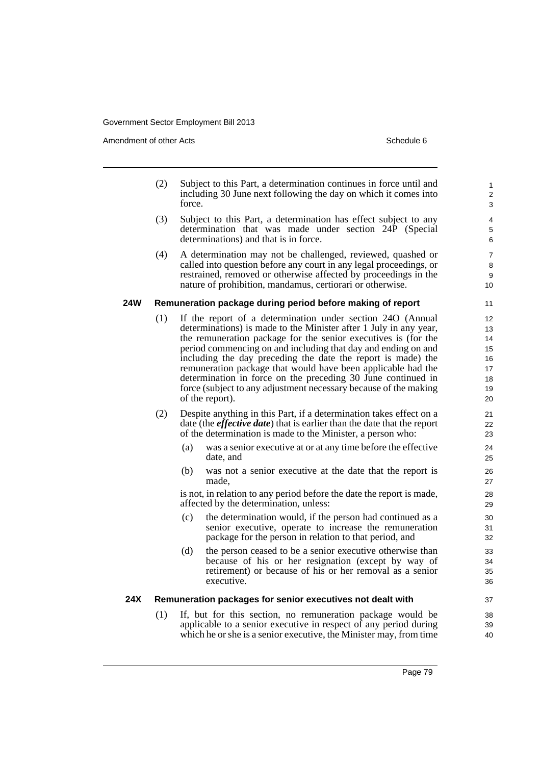Amendment of other Acts **Schedule 6** and the state of the state of the Schedule 6

- (2) Subject to this Part, a determination continues in force until and including 30 June next following the day on which it comes into force.
- (3) Subject to this Part, a determination has effect subject to any determination that was made under section 24P (Special determinations) and that is in force.
- (4) A determination may not be challenged, reviewed, quashed or called into question before any court in any legal proceedings, or restrained, removed or otherwise affected by proceedings in the nature of prohibition, mandamus, certiorari or otherwise.

#### **24W Remuneration package during period before making of report**

- (1) If the report of a determination under section 24O (Annual determinations) is made to the Minister after 1 July in any year, the remuneration package for the senior executives is (for the period commencing on and including that day and ending on and including the day preceding the date the report is made) the remuneration package that would have been applicable had the determination in force on the preceding 30 June continued in force (subject to any adjustment necessary because of the making of the report).
- (2) Despite anything in this Part, if a determination takes effect on a date (the *effective date*) that is earlier than the date that the report of the determination is made to the Minister, a person who:
	- (a) was a senior executive at or at any time before the effective date, and
	- (b) was not a senior executive at the date that the report is made,

is not, in relation to any period before the date the report is made, affected by the determination, unless:

- (c) the determination would, if the person had continued as a senior executive, operate to increase the remuneration package for the person in relation to that period, and
- (d) the person ceased to be a senior executive otherwise than because of his or her resignation (except by way of retirement) or because of his or her removal as a senior executive.

#### **24X Remuneration packages for senior executives not dealt with**

(1) If, but for this section, no remuneration package would be applicable to a senior executive in respect of any period during which he or she is a senior executive, the Minister may, from time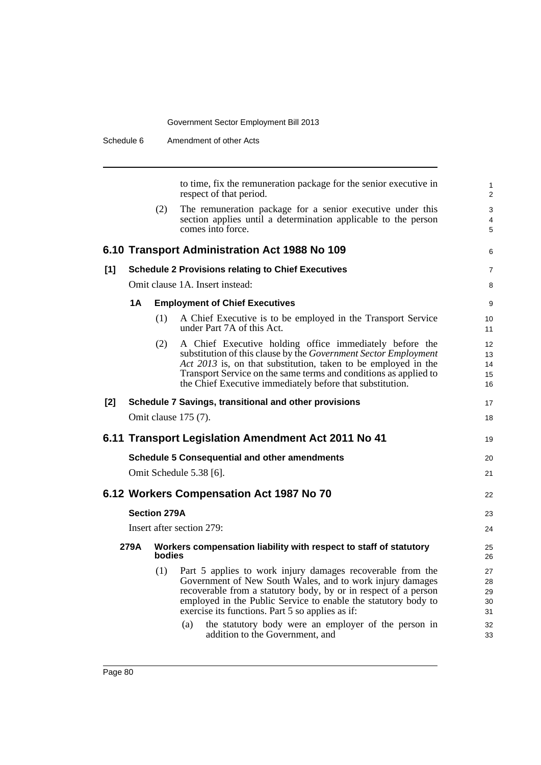| Schedule 6 |    |                     | Amendment of other Acts                                                                                                                                                                                                                                                                                                                                                                                            |                                        |
|------------|----|---------------------|--------------------------------------------------------------------------------------------------------------------------------------------------------------------------------------------------------------------------------------------------------------------------------------------------------------------------------------------------------------------------------------------------------------------|----------------------------------------|
|            |    |                     | to time, fix the remuneration package for the senior executive in<br>respect of that period.                                                                                                                                                                                                                                                                                                                       | $\mathbf{1}$<br>2                      |
|            |    | (2)                 | The remuneration package for a senior executive under this<br>section applies until a determination applicable to the person<br>comes into force.                                                                                                                                                                                                                                                                  | 3<br>4<br>5                            |
|            |    |                     | 6.10 Transport Administration Act 1988 No 109                                                                                                                                                                                                                                                                                                                                                                      | 6                                      |
| [1]        |    |                     | <b>Schedule 2 Provisions relating to Chief Executives</b>                                                                                                                                                                                                                                                                                                                                                          | $\overline{7}$                         |
|            |    |                     | Omit clause 1A. Insert instead:                                                                                                                                                                                                                                                                                                                                                                                    | 8                                      |
|            | 1A |                     | <b>Employment of Chief Executives</b>                                                                                                                                                                                                                                                                                                                                                                              | 9                                      |
|            |    | (1)                 | A Chief Executive is to be employed in the Transport Service<br>under Part 7A of this Act.                                                                                                                                                                                                                                                                                                                         | 10<br>11                               |
|            |    | (2)                 | A Chief Executive holding office immediately before the<br>substitution of this clause by the Government Sector Employment<br>Act 2013 is, on that substitution, taken to be employed in the<br>Transport Service on the same terms and conditions as applied to<br>the Chief Executive immediately before that substitution.                                                                                      | 12<br>13<br>14<br>15<br>16             |
| $[2]$      |    |                     | Schedule 7 Savings, transitional and other provisions                                                                                                                                                                                                                                                                                                                                                              | 17                                     |
|            |    |                     | Omit clause 175 (7).                                                                                                                                                                                                                                                                                                                                                                                               | 18                                     |
|            |    |                     | 6.11 Transport Legislation Amendment Act 2011 No 41                                                                                                                                                                                                                                                                                                                                                                | 19                                     |
|            |    |                     | <b>Schedule 5 Consequential and other amendments</b>                                                                                                                                                                                                                                                                                                                                                               | 20                                     |
|            |    |                     | Omit Schedule 5.38 [6].                                                                                                                                                                                                                                                                                                                                                                                            | 21                                     |
|            |    |                     | 6.12 Workers Compensation Act 1987 No 70                                                                                                                                                                                                                                                                                                                                                                           | 22                                     |
|            |    | <b>Section 279A</b> |                                                                                                                                                                                                                                                                                                                                                                                                                    | 23                                     |
|            |    |                     | Insert after section 279:                                                                                                                                                                                                                                                                                                                                                                                          | 24                                     |
|            |    | bodies              | 279A Workers compensation liability with respect to staff of statutory                                                                                                                                                                                                                                                                                                                                             | 25<br>26                               |
|            |    | (1)                 | Part 5 applies to work injury damages recoverable from the<br>Government of New South Wales, and to work injury damages<br>recoverable from a statutory body, by or in respect of a person<br>employed in the Public Service to enable the statutory body to<br>exercise its functions. Part 5 so applies as if:<br>the statutory body were an employer of the person in<br>(a)<br>addition to the Government, and | 27<br>28<br>29<br>30<br>31<br>32<br>33 |